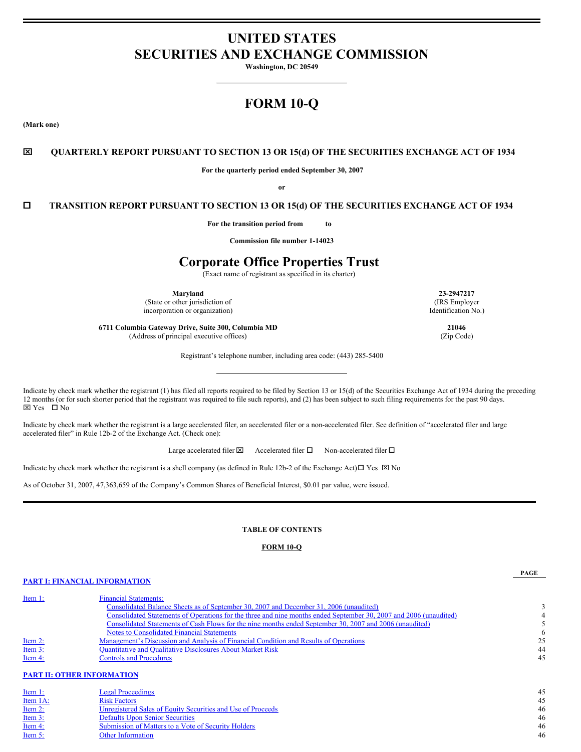## **UNITED STATES SECURITIES AND EXCHANGE COMMISSION**

**Washington, DC 20549**

# **FORM 10-Q**

**(Mark one)**

## x **QUARTERLY REPORT PURSUANT TO SECTION 13 OR 15(d) OF THE SECURITIES EXCHANGE ACT OF 1934**

**For the quarterly period ended September 30, 2007**

**or**

## o **TRANSITION REPORT PURSUANT TO SECTION 13 OR 15(d) OF THE SECURITIES EXCHANGE ACT OF 1934**

**For the transition period from to**

**Commission file number 1-14023**

## **Corporate Office Properties Trust**

(Exact name of registrant as specified in its charter)

(State or other jurisdiction of (IRS Employer incorporation or organization) Identification No.)

**Maryland 23-2947217**

**6711 Columbia Gateway Drive, Suite 300, Columbia MD 21046** (Address of principal executive offices) (Zip Code)

**PAGE**

Registrant's telephone number, including area code: (443) 285-5400

Indicate by check mark whether the registrant (1) has filed all reports required to be filed by Section 13 or 15(d) of the Securities Exchange Act of 1934 during the preceding 12 months (or for such shorter period that the registrant was required to file such reports), and (2) has been subject to such filing requirements for the past 90 days.  $\boxtimes$  Yes  $\Box$  No

Indicate by check mark whether the registrant is a large accelerated filer, an accelerated filer or a non-accelerated filer. See definition of "accelerated filer and large accelerated filer" in Rule 12b-2 of the Exchange Act. (Check one):

Large accelerated filer  $\boxtimes$  Accelerated filer  $\Box$  Non-accelerated filer  $\Box$ 

Indicate by check mark whether the registrant is a shell company (as defined in Rule 12b-2 of the Exchange Act) $\Box$  Yes  $\boxtimes$  No

As of October 31, 2007, 47,363,659 of the Company's Common Shares of Beneficial Interest, \$0.01 par value, were issued.

#### **TABLE OF CONTENTS**

## **FORM 10-Q**

#### **PART I: FINANCIAL [INFORMATION](#page-1-0)**

| Item 1:   | <b>Financial Statements:</b>                                                                                      |    |
|-----------|-------------------------------------------------------------------------------------------------------------------|----|
|           | Consolidated Balance Sheets as of September 30, 2007 and December 31, 2006 (unaudited)                            |    |
|           | Consolidated Statements of Operations for the three and nine months ended September 30, 2007 and 2006 (unaudited) |    |
|           | Consolidated Statements of Cash Flows for the nine months ended September 30, 2007 and 2006 (unaudited)           |    |
|           | <b>Notes to Consolidated Financial Statements</b>                                                                 | 6  |
| Item 2:   | Management's Discussion and Analysis of Financial Condition and Results of Operations                             | 25 |
| Item $3:$ | <b>Quantitative and Qualitative Disclosures About Market Risk</b>                                                 | 44 |
| Item 4:   | <b>Controls and Procedures</b>                                                                                    | 45 |
|           |                                                                                                                   |    |

## **PART II: OTHER [INFORMATION](#page-27-0)**

| Item 1:  | <b>Legal Proceedings</b>                                    | 45 |
|----------|-------------------------------------------------------------|----|
| Item 1A: | <b>Risk Factors</b>                                         | 45 |
| Item 2:  | Unregistered Sales of Equity Securities and Use of Proceeds | 46 |
| Item 3:  | <b>Defaults Upon Senior Securities</b>                      | 46 |
| Item 4:  | Submission of Matters to a Vote of Security Holders         | 46 |
| Item 5:  | <b>Other Information</b>                                    | 46 |
|          |                                                             |    |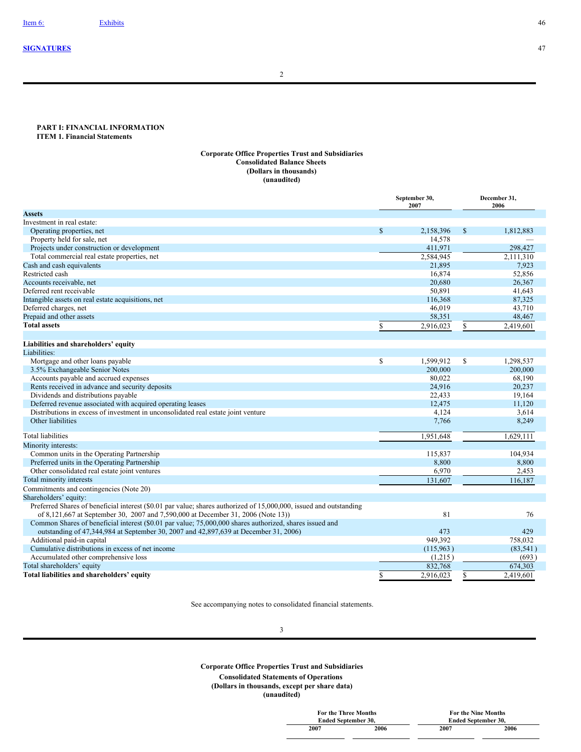**[SIGNATURES](#page-27-8)** 47

<span id="page-1-2"></span>2

**PART I: FINANCIAL INFORMATION**

**ITEM 1. Financial Statements**

#### <span id="page-1-1"></span><span id="page-1-0"></span>**Corporate Office Properties Trust and Subsidiaries Consolidated Balance Sheets (Dollars in thousands) (unaudited)**

|                                                                                                                    |              | September 30,<br>2007 | December 31,<br>2006 |
|--------------------------------------------------------------------------------------------------------------------|--------------|-----------------------|----------------------|
| <b>Assets</b>                                                                                                      |              |                       |                      |
| Investment in real estate:                                                                                         |              |                       |                      |
| Operating properties, net                                                                                          | $\mathbb{S}$ | 2,158,396             | \$<br>1,812,883      |
| Property held for sale, net                                                                                        |              | 14,578                |                      |
| Projects under construction or development                                                                         |              | 411,971               | 298,427              |
| Total commercial real estate properties, net                                                                       |              | 2,584,945             | 2,111,310            |
| Cash and cash equivalents                                                                                          |              | 21,895                | 7,923                |
| Restricted cash                                                                                                    |              | 16,874                | 52,856               |
| Accounts receivable, net                                                                                           |              | 20,680                | 26,367               |
| Deferred rent receivable                                                                                           |              | 50,891                | 41.643               |
| Intangible assets on real estate acquisitions, net                                                                 |              | 116,368               | 87,325               |
| Deferred charges, net                                                                                              |              | 46,019                | 43,710               |
| Prepaid and other assets                                                                                           |              | 58,351                | 48,467               |
| <b>Total assets</b>                                                                                                | \$           | 2,916,023             | \$<br>2,419,601      |
| Liabilities and shareholders' equity                                                                               |              |                       |                      |
| Liabilities:                                                                                                       |              |                       |                      |
| Mortgage and other loans payable                                                                                   | \$           | 1,599,912             | \$<br>1,298,537      |
| 3.5% Exchangeable Senior Notes                                                                                     |              | 200,000               | 200,000              |
| Accounts payable and accrued expenses                                                                              |              | 80,022                | 68,190               |
| Rents received in advance and security deposits                                                                    |              | 24,916                | 20,237               |
| Dividends and distributions payable                                                                                |              | 22,433                | 19,164               |
| Deferred revenue associated with acquired operating leases                                                         |              | 12,475                | 11,120               |
| Distributions in excess of investment in unconsolidated real estate joint venture                                  |              | 4,124                 | 3,614                |
| Other liabilities                                                                                                  |              | 7,766                 | 8,249                |
| <b>Total liabilities</b>                                                                                           |              |                       |                      |
|                                                                                                                    |              | 1,951,648             | 1,629,111            |
| Minority interests:                                                                                                |              |                       |                      |
| Common units in the Operating Partnership                                                                          |              | 115,837               | 104,934              |
| Preferred units in the Operating Partnership                                                                       |              | 8,800                 | 8,800                |
| Other consolidated real estate joint ventures                                                                      |              | 6,970                 | 2.453                |
| Total minority interests                                                                                           |              | 131.607               | 116.187              |
| Commitments and contingencies (Note 20)                                                                            |              |                       |                      |
| Shareholders' equity:                                                                                              |              |                       |                      |
| Preferred Shares of beneficial interest (\$0.01 par value; shares authorized of 15,000,000, issued and outstanding |              |                       |                      |
| of 8,121,667 at September 30, 2007 and 7,590,000 at December 31, 2006 (Note 13))                                   |              | 81                    | 76                   |
| Common Shares of beneficial interest (\$0.01 par value; 75,000,000 shares authorized, shares issued and            |              |                       |                      |
| outstanding of 47,344,984 at September 30, 2007 and 42,897,639 at December 31, 2006)                               |              | 473                   | 429                  |
| Additional paid-in capital                                                                                         |              | 949,392               | 758,032              |
| Cumulative distributions in excess of net income                                                                   |              | (115,963)             | (83, 541)            |
| Accumulated other comprehensive loss                                                                               |              | (1,215)               | (693)                |
| Total shareholders' equity                                                                                         |              | 832,768               | 674,303              |
| Total liabilities and shareholders' equity                                                                         | $\mathbf S$  | 2.916.023             | \$<br>2.419.601      |

See accompanying notes to consolidated financial statements.

3

**Corporate Office Properties Trust and Subsidiaries Consolidated Statements of Operations (Dollars in thousands, except per share data) (unaudited)**

<span id="page-1-3"></span>

| For the Three Months       |      | <b>For the Nine Months</b> |      |  |  |  |
|----------------------------|------|----------------------------|------|--|--|--|
| <b>Ended September 30,</b> |      | <b>Ended September 30.</b> |      |  |  |  |
| 2007                       | 2006 | 2007                       | 2006 |  |  |  |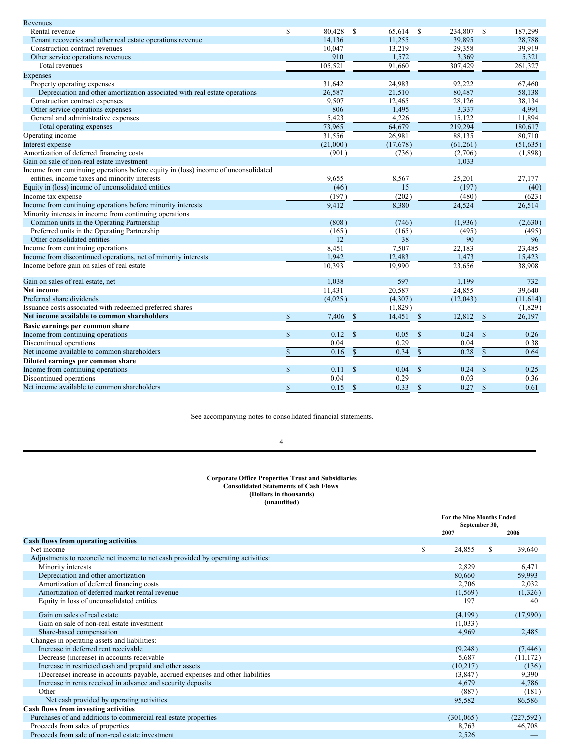| Revenues                                                                           |              |          |              |          |               |                        |                          |
|------------------------------------------------------------------------------------|--------------|----------|--------------|----------|---------------|------------------------|--------------------------|
| Rental revenue                                                                     | \$           | 80,428   | S            | 65,614   | <sup>\$</sup> | 234,807 \$             | 187,299                  |
| Tenant recoveries and other real estate operations revenue                         |              | 14,136   |              | 11,255   |               | 39,895                 | 28,788                   |
| Construction contract revenues                                                     |              | 10,047   |              | 13,219   |               | 29,358                 | 39,919                   |
| Other service operations revenues                                                  |              | 910      |              | 1,572    |               | 3,369                  | 5,321                    |
| Total revenues                                                                     |              | 105,521  |              | 91,660   |               | 307,429                | 261,327                  |
| <b>Expenses</b>                                                                    |              |          |              |          |               |                        |                          |
| Property operating expenses                                                        |              | 31,642   |              | 24,983   |               | 92,222                 | 67,460                   |
| Depreciation and other amortization associated with real estate operations         |              | 26,587   |              | 21,510   |               | 80,487                 | 58,138                   |
| Construction contract expenses                                                     |              | 9,507    |              | 12.465   |               | 28,126                 | 38,134                   |
| Other service operations expenses                                                  |              | 806      |              | 1,495    |               | 3,337                  | 4,991                    |
| General and administrative expenses                                                |              | 5,423    |              | 4,226    |               | 15,122                 | 11,894                   |
| Total operating expenses                                                           |              | 73,965   |              | 64.679   |               | 219,294                | 180,617                  |
| Operating income                                                                   |              | 31,556   |              | 26,981   |               | 88,135                 | 80,710                   |
| Interest expense                                                                   |              | (21,000) |              | (17,678) |               | (61,261)               | (51, 635)                |
| Amortization of deferred financing costs                                           |              | (901)    |              | (736)    |               | (2,706)                | (1,898)                  |
| Gain on sale of non-real estate investment                                         |              |          |              |          |               | 1,033                  | $\overline{\phantom{a}}$ |
| Income from continuing operations before equity in (loss) income of unconsolidated |              |          |              |          |               |                        |                          |
| entities, income taxes and minority interests                                      |              | 9,655    |              | 8,567    |               | 25,201                 | 27,177                   |
| Equity in (loss) income of unconsolidated entities                                 |              | (46)     |              | 15       |               | (197)                  | (40)                     |
| Income tax expense                                                                 |              | (197)    |              | (202)    |               | (480)                  | (623)                    |
| Income from continuing operations before minority interests                        |              | 9,412    |              | 8,380    |               | 24,524                 | 26,514                   |
| Minority interests in income from continuing operations                            |              |          |              |          |               |                        |                          |
| Common units in the Operating Partnership                                          |              | (808)    |              | (746)    |               | (1,936)                | (2,630)                  |
| Preferred units in the Operating Partnership                                       |              | (165)    |              | (165)    |               | (495)                  | (495)                    |
| Other consolidated entities                                                        |              | 12       |              | 38       |               | 90                     | 96                       |
| Income from continuing operations                                                  |              | 8,451    |              | 7,507    |               | 22,183                 | 23,485                   |
| Income from discontinued operations, net of minority interests                     |              | 1,942    |              | 12,483   |               | 1,473                  | 15,423                   |
| Income before gain on sales of real estate                                         |              | 10,393   |              | 19.990   |               | 23,656                 | 38,908                   |
| Gain on sales of real estate, net                                                  |              | 1,038    |              | 597      |               | 1,199                  | 732                      |
| Net income                                                                         |              | 11,431   |              | 20,587   |               | 24,855                 | 39,640                   |
| Preferred share dividends                                                          |              | (4,025)  |              | (4,307)  |               | (12,043)               | (11,614)                 |
| Issuance costs associated with redeemed preferred shares                           |              |          |              | (1,829)  |               |                        | (1,829)                  |
| Net income available to common shareholders                                        | \$           | 7,406    | $\mathbb{S}$ | 14,451   | $\mathbb{S}$  | 12,812<br>$\mathbb{S}$ | 26,197                   |
| Basic earnings per common share                                                    |              |          |              |          |               |                        |                          |
| Income from continuing operations                                                  | $\mathbb{S}$ | 0.12     | $\mathbf{s}$ | 0.05     | $\mathbf S$   | 0.24<br><sup>\$</sup>  | 0.26                     |
| Discontinued operations                                                            |              | 0.04     |              | 0.29     |               | 0.04                   | 0.38                     |
| Net income available to common shareholders                                        | \$           | 0.16     | $\mathbb S$  | 0.34     | $\mathbb S$   | $\mathbb{S}$<br>0.28   | 0.64                     |
| Diluted earnings per common share                                                  |              |          |              |          |               |                        |                          |
| Income from continuing operations                                                  | $\mathbb{S}$ | 0.11     | $\mathbf{s}$ | 0.04     | <sup>\$</sup> | 0.24<br>$\mathbf{s}$   | 0.25                     |
| Discontinued operations                                                            |              | 0.04     |              | 0.29     |               | 0.03                   | 0.36                     |
| Net income available to common shareholders                                        | \$           | 0.15     | $\mathbb{S}$ | 0.33     | $\mathbb{S}$  | 0.27<br>$\mathbb{S}$   | 0.61                     |
|                                                                                    |              |          |              |          |               |                        |                          |

See accompanying notes to consolidated financial statements.

<span id="page-2-0"></span>4

#### **Corporate Office Properties Trust and Subsidiaries Consolidated Statements of Cash Flows (Dollars in thousands) (unaudited)**

|                                                                                   | <b>For the Nine Months Ended</b> |           |    |            |
|-----------------------------------------------------------------------------------|----------------------------------|-----------|----|------------|
|                                                                                   | September 30,                    |           |    |            |
|                                                                                   |                                  | 2007      |    | 2006       |
| Cash flows from operating activities                                              |                                  |           |    |            |
| Net income                                                                        | \$                               | 24,855    | S. | 39,640     |
| Adjustments to reconcile net income to net cash provided by operating activities: |                                  |           |    |            |
| Minority interests                                                                |                                  | 2,829     |    | 6,471      |
| Depreciation and other amortization                                               |                                  | 80,660    |    | 59,993     |
| Amortization of deferred financing costs                                          |                                  | 2,706     |    | 2,032      |
| Amortization of deferred market rental revenue                                    |                                  | (1,569)   |    | (1,326)    |
| Equity in loss of unconsolidated entities                                         |                                  | 197       |    | 40         |
| Gain on sales of real estate                                                      |                                  | (4,199)   |    | (17,990)   |
| Gain on sale of non-real estate investment                                        |                                  | (1,033)   |    |            |
| Share-based compensation                                                          |                                  | 4,969     |    | 2,485      |
| Changes in operating assets and liabilities:                                      |                                  |           |    |            |
| Increase in deferred rent receivable                                              |                                  | (9,248)   |    | (7, 446)   |
| Decrease (increase) in accounts receivable                                        |                                  | 5,687     |    | (11, 172)  |
| Increase in restricted cash and prepaid and other assets                          |                                  | (10,217)  |    | (136)      |
| (Decrease) increase in accounts payable, accrued expenses and other liabilities   |                                  | (3,847)   |    | 9,390      |
| Increase in rents received in advance and security deposits                       |                                  | 4,679     |    | 4,786      |
| Other                                                                             |                                  | (887)     |    | (181)      |
| Net cash provided by operating activities                                         |                                  | 95,582    |    | 86,586     |
| Cash flows from investing activities                                              |                                  |           |    |            |
| Purchases of and additions to commercial real estate properties                   |                                  | (301,065) |    | (227, 592) |
| Proceeds from sales of properties                                                 |                                  | 8,763     |    | 46,708     |
| Proceeds from sale of non-real estate investment                                  |                                  | 2,526     |    |            |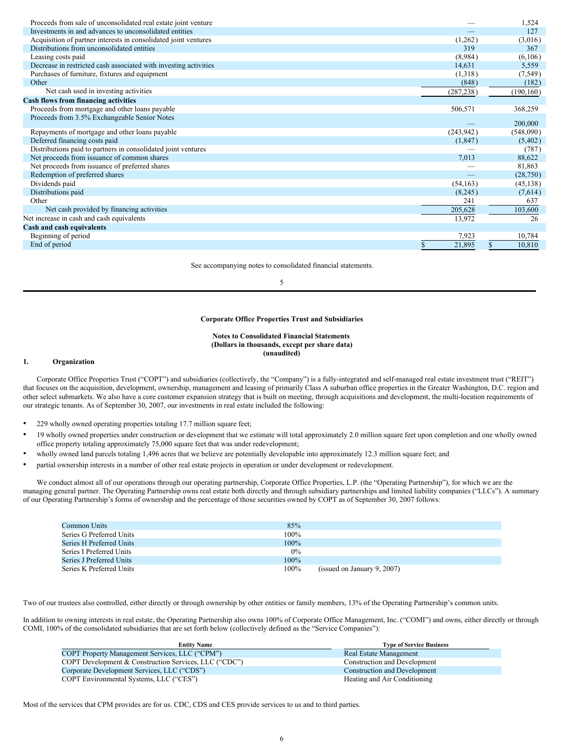| Proceeds from sale of unconsolidated real estate joint venture   |            | 1,524      |
|------------------------------------------------------------------|------------|------------|
| Investments in and advances to unconsolidated entities           |            | 127        |
| Acquisition of partner interests in consolidated joint ventures  | (1,262)    | (3,016)    |
| Distributions from unconsolidated entities                       | 319        | 367        |
| Leasing costs paid                                               | (8,984)    | (6,106)    |
| Decrease in restricted cash associated with investing activities | 14,631     | 5,559      |
| Purchases of furniture, fixtures and equipment                   | (1,318)    | (7, 549)   |
| Other                                                            | (848)      | (182)      |
| Net cash used in investing activities                            | (287, 238) | (190, 160) |
| <b>Cash flows from financing activities</b>                      |            |            |
| Proceeds from mortgage and other loans payable                   | 506,571    | 368,259    |
| Proceeds from 3.5% Exchangeable Senior Notes                     |            |            |
|                                                                  |            | 200,000    |
| Repayments of mortgage and other loans payable                   | (243, 942) | (548,090)  |
| Deferred financing costs paid                                    | (1, 847)   | (5,402)    |
| Distributions paid to partners in consolidated joint ventures    |            | (787)      |
| Net proceeds from issuance of common shares                      | 7,013      | 88,622     |
| Net proceeds from issuance of preferred shares                   |            | 81,863     |
| Redemption of preferred shares                                   |            | (28,750)   |
| Dividends paid                                                   | (54, 163)  | (45, 138)  |
| Distributions paid                                               | (8,245)    | (7,614)    |
| Other                                                            | 241        | 637        |
| Net cash provided by financing activities                        | 205,628    | 103,600    |
| Net increase in cash and cash equivalents                        | 13,972     | 26         |
| Cash and cash equivalents                                        |            |            |
| Beginning of period                                              | 7,923      | 10,784     |
| End of period                                                    | 21,895     | 10,810     |
|                                                                  |            |            |

See accompanying notes to consolidated financial statements.

<span id="page-3-0"></span>5

#### **Corporate Office Properties Trust and Subsidiaries**

#### **Notes to Consolidated Financial Statements (Dollars in thousands, except per share data) (unaudited)**

#### **1. Organization**

Corporate Office Properties Trust ("COPT") and subsidiaries (collectively, the "Company") is a fully-integrated and self-managed real estate investment trust ("REIT") that focuses on the acquisition, development, ownership, management and leasing of primarily Class A suburban office properties in the Greater Washington, D.C. region and other select submarkets. We also have a core customer expansion strategy that is built on meeting, through acquisitions and development, the multi-location requirements of our strategic tenants. As of September 30, 2007, our investments in real estate included the following:

- 229 wholly owned operating properties totaling 17.7 million square feet;
- 19 wholly owned properties under construction or development that we estimate will total approximately 2.0 million square feet upon completion and one wholly owned office property totaling approximately 75,000 square feet that was under redevelopment;
- wholly owned land parcels totaling 1,496 acres that we believe are potentially developable into approximately 12.3 million square feet; and
- partial ownership interests in a number of other real estate projects in operation or under development or redevelopment.

We conduct almost all of our operations through our operating partnership, Corporate Office Properties, L.P. (the "Operating Partnership"), for which we are the managing general partner. The Operating Partnership owns real estate both directly and through subsidiary partnerships and limited liability companies ("LLCs"). A summary of our Operating Partnership's forms of ownership and the percentage of those securities owned by COPT as of September 30, 2007 follows:

| Common Units             | 85%                                       |
|--------------------------|-------------------------------------------|
| Series G Preferred Units | 100%                                      |
| Series H Preferred Units | $100\%$                                   |
| Series I Preferred Units | $0\%$                                     |
| Series J Preferred Units | 100%                                      |
| Series K Preferred Units | $100\%$<br>(issued on January $9, 2007$ ) |

Two of our trustees also controlled, either directly or through ownership by other entities or family members, 13% of the Operating Partnership's common units.

In addition to owning interests in real estate, the Operating Partnership also owns 100% of Corporate Office Management, Inc. ("COMI") and owns, either directly or through COMI, 100% of the consolidated subsidiaries that are set forth below (collectively defined as the "Service Companies"):

| <b>Entity Name</b>                                    | <b>Type of Service Business</b> |
|-------------------------------------------------------|---------------------------------|
| COPT Property Management Services, LLC ("CPM")        | Real Estate Management          |
| COPT Development & Construction Services, LLC ("CDC") | Construction and Development    |
| Corporate Development Services, LLC ("CDS")           | Construction and Development    |
| COPT Environmental Systems, LLC ("CES")               | Heating and Air Conditioning    |

Most of the services that CPM provides are for us. CDC, CDS and CES provide services to us and to third parties.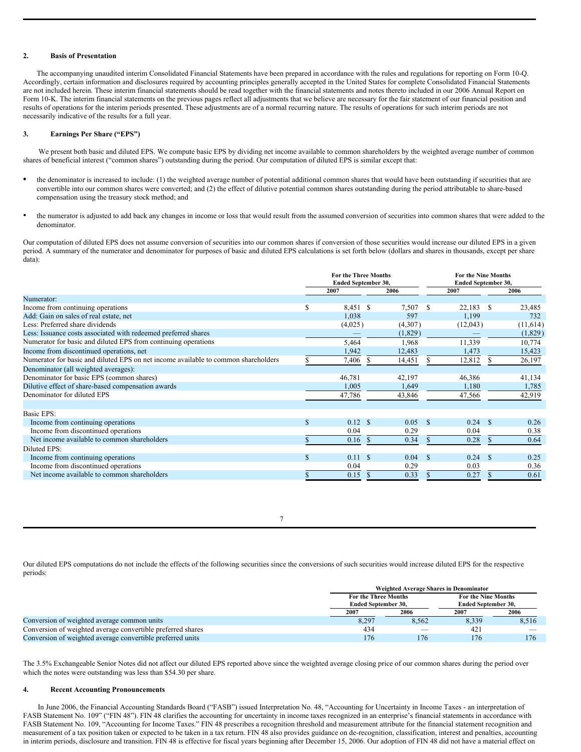## **2. Basis of Presentation**

The accompanying unaudited interim Consolidated Financial Statements have been prepared in accordance with the rules and regulations for reporting on Form 10-Q. Accordingly, certain information and disclosures required by accounting principles generally accepted in the United States for complete Consolidated Financial Statements are not included herein. These interim financial statements should be read together with the financial statements and notes thereto included in our 2006 Annual Report on Form 10-K. The interim financial statements on the previous pages reflect all adjustments that we believe are necessary for the fair statement of our financial position and results of operations for the interim periods presented. These adjustments are of a normal recurring nature. The results of operations for such interim periods are not necessarily indicative of the results for a full year.

#### **3. Earnings Per Share ("EPS")**

We present both basic and diluted EPS. We compute basic EPS by dividing net income available to common shareholders by the weighted average number of common shares of beneficial interest ("common shares") outstanding during the period. Our computation of diluted EPS is similar except that:

- the denominator is increased to include: (1) the weighted average number of potential additional common shares that would have been outstanding if securities that are convertible into our common shares were converted; and (2) the effect of dilutive potential common shares outstanding during the period attributable to share-based compensation using the treasury stock method; and
- the numerator is adjusted to add back any changes in income or loss that would result from the assumed conversion of securities into common shares that were added to the denominator.

Our computation of diluted EPS does not assume conversion of securities into our common shares if conversion of those securities would increase our diluted EPS in a given period. A summary of the numerator and denominator for purposes of basic and diluted EPS calculations is set forth below (dollars and shares in thousands, except per share data):

|                                                                                    | <b>For the Three Months</b><br>Ended September 30, |          |               | <b>For the Nine Months</b><br>Ended September 30, |               |          |          |          |
|------------------------------------------------------------------------------------|----------------------------------------------------|----------|---------------|---------------------------------------------------|---------------|----------|----------|----------|
|                                                                                    |                                                    | 2007     | 2006          |                                                   |               | 2007     |          | 2006     |
| Numerator:                                                                         |                                                    |          |               |                                                   |               |          |          |          |
| Income from continuing operations                                                  | <sup>\$</sup>                                      | 8,451 \$ |               | 7,507                                             | S             | 22,183   | -S       | 23,485   |
| Add: Gain on sales of real estate, net                                             |                                                    | 1,038    |               | 597                                               |               | 1,199    |          | 732      |
| Less: Preferred share dividends                                                    |                                                    | (4,025)  |               | (4,307)                                           |               | (12,043) |          | (11,614) |
| Less: Issuance costs associated with redeemed preferred shares                     |                                                    |          |               | (1,829)                                           |               |          |          | (1,829)  |
| Numerator for basic and diluted EPS from continuing operations                     |                                                    | 5,464    |               | 1,968                                             |               | 11,339   |          | 10,774   |
| Income from discontinued operations, net                                           |                                                    | 1,942    |               | 12,483                                            |               | 1,473    |          | 15,423   |
| Numerator for basic and diluted EPS on net income available to common shareholders |                                                    | 7,406    | -S            | 14,451                                            |               | 12,812   | <b>S</b> | 26,197   |
| Denominator (all weighted averages):                                               |                                                    |          |               |                                                   |               |          |          |          |
| Denominator for basic EPS (common shares)                                          |                                                    | 46,781   |               | 42,197                                            |               | 46,386   |          | 41,134   |
| Dilutive effect of share-based compensation awards                                 |                                                    | 1,005    |               | 1,649                                             |               | 1,180    |          | 1,785    |
| Denominator for diluted EPS                                                        |                                                    | 47,786   |               | 43,846                                            |               | 47,566   |          | 42,919   |
|                                                                                    |                                                    |          |               |                                                   |               |          |          |          |
| Basic EPS:                                                                         |                                                    |          |               |                                                   |               |          |          |          |
| Income from continuing operations                                                  | <sup>\$</sup>                                      | 0.12 S   |               | 0.05                                              | -S            | 0.24     | - \$     | 0.26     |
| Income from discontinued operations                                                |                                                    | 0.04     |               | 0.29                                              |               | 0.04     |          | 0.38     |
| Net income available to common shareholders                                        |                                                    | 0.16     | <sup>S</sup>  | 0.34                                              | \$.           | 0.28     | -S       | 0.64     |
| Diluted EPS:                                                                       |                                                    |          |               |                                                   |               |          |          |          |
| Income from continuing operations                                                  | <sup>\$</sup>                                      | 0.11     | $\mathcal{S}$ | 0.04                                              | $\mathcal{S}$ | 0.24     | -S       | 0.25     |
| Income from discontinued operations                                                |                                                    | 0.04     |               | 0.29                                              |               | 0.03     |          | 0.36     |
| Net income available to common shareholders                                        |                                                    | 0.15     | -S            | 0.33                                              |               | 0.27     |          | 0.61     |

7

Our diluted EPS computations do not include the effects of the following securities since the conversions of such securities would increase diluted EPS for the respective periods:

|                                                             |                                                    | Weighted Average Shares in Denominator |                                                   |                          |  |  |  |
|-------------------------------------------------------------|----------------------------------------------------|----------------------------------------|---------------------------------------------------|--------------------------|--|--|--|
|                                                             | For the Three Months<br><b>Ended September 30.</b> |                                        | For the Nine Months<br><b>Ended September 30.</b> |                          |  |  |  |
|                                                             | 2007                                               | 2006                                   | 2007                                              | 2006                     |  |  |  |
| Conversion of weighted average common units                 | 8,297                                              | 8.562                                  | 8,339                                             | 8,516                    |  |  |  |
| Conversion of weighted average convertible preferred shares | 434                                                | --                                     | 421                                               | $\overline{\phantom{a}}$ |  |  |  |
| Conversion of weighted average convertible preferred units  | 176                                                | 176                                    | 176                                               | '76                      |  |  |  |

The 3.5% Exchangeable Senior Notes did not affect our diluted EPS reported above since the weighted average closing price of our common shares during the period over which the notes were outstanding was less than \$54.30 per share.

## **4. Recent Accounting Pronouncements**

In June 2006, the Financial Accounting Standards Board ("FASB") issued Interpretation No. 48, "Accounting for Uncertainty in Income Taxes - an interpretation of FASB Statement No. 109" ("FIN 48"). FIN 48 clarifies the accounting for uncertainty in income taxes recognized in an enterprise's financial statements in accordance with FASB Statement No. 109, "Accounting for Income Taxes." FIN 48 prescribes a recognition threshold and measurement attribute for the financial statement recognition and measurement of a tax position taken or expected to be taken in a tax return. FIN 48 also provides guidance on de-recognition, classification, interest and penalties, accounting in interim periods, disclosure and transition. FIN 48 is effective for fiscal years beginning after December 15, 2006. Our adoption of FIN 48 did not have a material effect on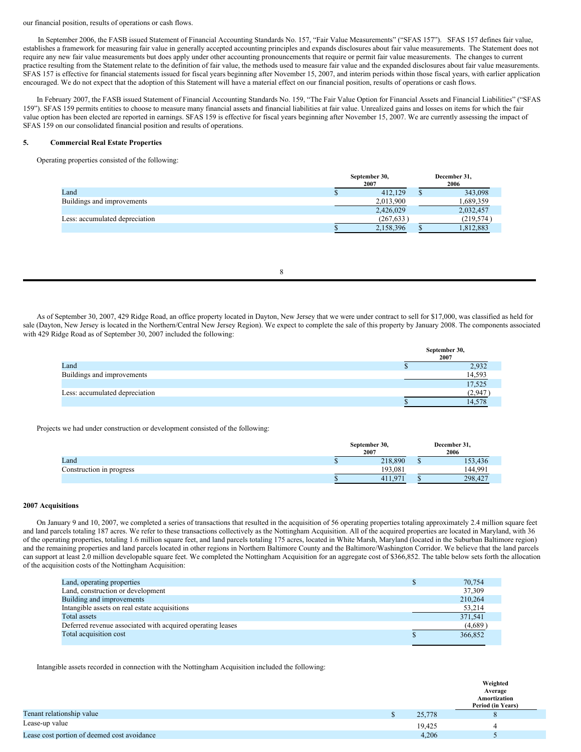#### our financial position, results of operations or cash flows.

In September 2006, the FASB issued Statement of Financial Accounting Standards No. 157, "Fair Value Measurements" ("SFAS 157"). SFAS 157 defines fair value, establishes a framework for measuring fair value in generally accepted accounting principles and expands disclosures about fair value measurements. The Statement does not require any new fair value measurements but does apply under other accounting pronouncements that require or permit fair value measurements. The changes to current practice resulting from the Statement relate to the definition of fair value, the methods used to measure fair value and the expanded disclosures about fair value measurements. SFAS 157 is effective for financial statements issued for fiscal years beginning after November 15, 2007, and interim periods within those fiscal years, with earlier application encouraged. We do not expect that the adoption of this Statement will have a material effect on our financial position, results of operations or cash flows.

In February 2007, the FASB issued Statement of Financial Accounting Standards No. 159, "The Fair Value Option for Financial Assets and Financial Liabilities" ("SFAS 159"). SFAS 159 permits entities to choose to measure many financial assets and financial liabilities at fair value. Unrealized gains and losses on items for which the fair value option has been elected are reported in earnings. SFAS 159 is effective for fiscal years beginning after November 15, 2007. We are currently assessing the impact of SFAS 159 on our consolidated financial position and results of operations.

#### **5. Commercial Real Estate Properties**

Operating properties consisted of the following:

|                                | September 30,<br>2007 | December 31,<br>2006 |            |  |
|--------------------------------|-----------------------|----------------------|------------|--|
| Land                           | 412.129               |                      | 343,098    |  |
| Buildings and improvements     | 2,013,900             |                      | 1,689,359  |  |
|                                | 2,426,029             |                      | 2,032,457  |  |
| Less: accumulated depreciation | (267, 633)            |                      | (219, 574) |  |
|                                | 2,158,396             |                      | 1,812,883  |  |
|                                |                       |                      |            |  |

8

As of September 30, 2007, 429 Ridge Road, an office property located in Dayton, New Jersey that we were under contract to sell for \$17,000, was classified as held for sale (Dayton, New Jersey is located in the Northern/Central New Jersey Region). We expect to complete the sale of this property by January 2008. The components associated with 429 Ridge Road as of September 30, 2007 included the following:

|                                | September 30,<br>2007 |
|--------------------------------|-----------------------|
| Land                           | 2,932                 |
| Buildings and improvements     | 14,593                |
|                                | 17,525                |
| Less: accumulated depreciation | (2,947                |
|                                | 14,578                |

Projects we had under construction or development consisted of the following:

|                          | September 30,<br>2007 | December 31,<br>2006 |
|--------------------------|-----------------------|----------------------|
| Land                     | 218,890               | 153,436              |
| Construction in progress | 193.081               | 144.991              |
|                          | 411,971               | 298,427              |

## **2007 Acquisitions**

On January 9 and 10, 2007, we completed a series of transactions that resulted in the acquisition of 56 operating properties totaling approximately 2.4 million square feet and land parcels totaling 187 acres. We refer to these transactions collectively as the Nottingham Acquisition. All of the acquired properties are located in Maryland, with 36 of the operating properties, totaling 1.6 million square feet, and land parcels totaling 175 acres, located in White Marsh, Maryland (located in the Suburban Baltimore region) and the remaining properties and land parcels located in other regions in Northern Baltimore County and the Baltimore/Washington Corridor. We believe that the land parcels can support at least 2.0 million developable square feet. We completed the Nottingham Acquisition for an aggregate cost of \$366,852. The table below sets forth the allocation of the acquisition costs of the Nottingham Acquisition:

| Land, operating properties                                 | 70.754  |
|------------------------------------------------------------|---------|
| Land, construction or development                          | 37,309  |
| Building and improvements                                  | 210,264 |
| Intangible assets on real estate acquisitions              | 53,214  |
| Total assets                                               | 371,541 |
| Deferred revenue associated with acquired operating leases | (4,689) |
| Total acquisition cost                                     | 366,852 |

Intangible assets recorded in connection with the Nottingham Acquisition included the following:

|                                             |        | Weighted<br>Average<br>Amortization<br>Period (in Years) |
|---------------------------------------------|--------|----------------------------------------------------------|
| Tenant relationship value                   | 25,778 | Ō                                                        |
| Lease-up value                              | 19.425 |                                                          |
| Lease cost portion of deemed cost avoidance | 4,206  |                                                          |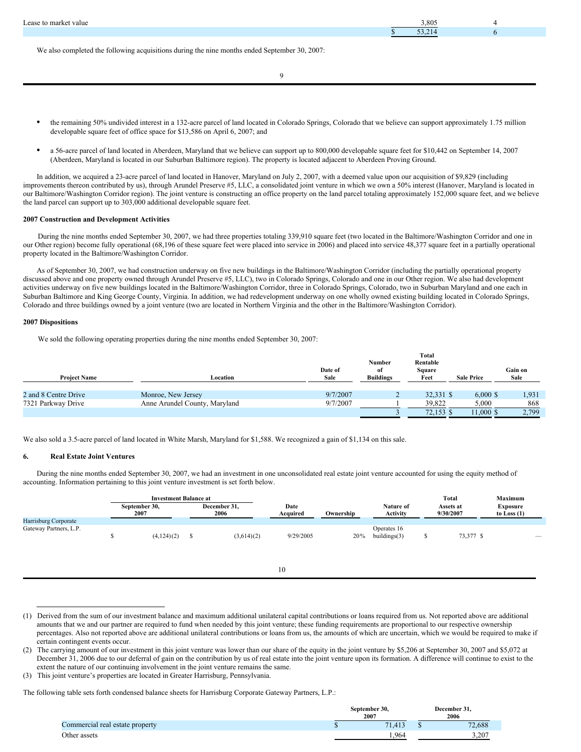We also completed the following acquisitions during the nine months ended September 30, 2007:

9

53,214

- **•** the remaining 50% undivided interest in a 132-acre parcel of land located in Colorado Springs, Colorado that we believe can support approximately 1.75 million developable square feet of office space for \$13,586 on April 6, 2007; and
- **•** a 56-acre parcel of land located in Aberdeen, Maryland that we believe can support up to 800,000 developable square feet for \$10,442 on September 14, 2007 (Aberdeen, Maryland is located in our Suburban Baltimore region). The property is located adjacent to Aberdeen Proving Ground.

In addition, we acquired a 23-acre parcel of land located in Hanover, Maryland on July 2, 2007, with a deemed value upon our acquisition of \$9,829 (including improvements thereon contributed by us), through Arundel Preserve #5, LLC, a consolidated joint venture in which we own a 50% interest (Hanover, Maryland is located in our Baltimore/Washington Corridor region). The joint venture is constructing an office property on the land parcel totaling approximately 152,000 square feet, and we believe the land parcel can support up to 303,000 additional developable square feet.

#### **2007 Construction and Development Activities**

During the nine months ended September 30, 2007, we had three properties totaling 339,910 square feet (two located in the Baltimore/Washington Corridor and one in our Other region) become fully operational (68,196 of these square feet were placed into service in 2006) and placed into service 48,377 square feet in a partially operational property located in the Baltimore/Washington Corridor.

As of September 30, 2007, we had construction underway on five new buildings in the Baltimore/Washington Corridor (including the partially operational property discussed above and one property owned through Arundel Preserve #5, LLC), two in Colorado Springs, Colorado and one in our Other region. We also had development activities underway on five new buildings located in the Baltimore/Washington Corridor, three in Colorado Springs, Colorado, two in Suburban Maryland and one each in Suburban Baltimore and King George County, Virginia. In addition, we had redevelopment underway on one wholly owned existing building located in Colorado Springs, Colorado and three buildings owned by a joint venture (two are located in Northern Virginia and the other in the Baltimore/Washington Corridor).

#### **2007 Dispositions**

We sold the following operating properties during the nine months ended September 30, 2007:

| <b>Project Name</b>  | Location                      | Date of<br>Sale | Number<br>of<br><b>Buildings</b> | Total<br>Rentable<br>Square<br>Feet | <b>Sale Price</b> | Gain on<br>Sale |
|----------------------|-------------------------------|-----------------|----------------------------------|-------------------------------------|-------------------|-----------------|
|                      |                               |                 |                                  |                                     |                   |                 |
| 2 and 8 Centre Drive | Monroe, New Jersey            | 9/7/2007        |                                  | 32,331 \$                           | $6,000$ \$        | 1.931           |
| 7321 Parkway Drive   | Anne Arundel County, Maryland | 9/7/2007        |                                  | 39.822                              | 5.000             | 868             |
|                      |                               |                 |                                  | $72,153$ \$                         | $1,000$ \$        | 2,799           |

We also sold a 3.5-acre parcel of land located in White Marsh, Maryland for \$1,588. We recognized a gain of \$1,134 on this sale.

#### **6. Real Estate Joint Ventures**

During the nine months ended September 30, 2007, we had an investment in one unconsolidated real estate joint venture accounted for using the equity method of accounting. Information pertaining to this joint venture investment is set forth below.

|                                                |   | <b>Investment Balance at</b> |                      |                  |           |                            | <b>Total</b> | Maximum                |                                  |  |
|------------------------------------------------|---|------------------------------|----------------------|------------------|-----------|----------------------------|--------------|------------------------|----------------------------------|--|
|                                                |   | September 30,<br>2007        | December 31,<br>2006 | Date<br>Acquired | Ownership | Nature of<br>Activity      |              | Assets at<br>9/30/2007 | <b>Exposure</b><br>to Loss $(1)$ |  |
| Harrisburg Corporate<br>Gateway Partners, L.P. | s | (4,124)(2)                   | \$<br>(3,614)(2)     | 9/29/2005        | 20%       | Operates 16<br>building(3) | c<br>ъ       | 73,377 \$              |                                  |  |
|                                                |   |                              |                      | 10               |           |                            |              |                        |                                  |  |

<sup>(1)</sup> Derived from the sum of our investment balance and maximum additional unilateral capital contributions or loans required from us. Not reported above are additional amounts that we and our partner are required to fund when needed by this joint venture; these funding requirements are proportional to our respective ownership percentages. Also not reported above are additional unilateral contributions or loans from us, the amounts of which are uncertain, which we would be required to make if certain contingent events occur.

The following table sets forth condensed balance sheets for Harrisburg Corporate Gateway Partners, L.P.:

|                                 | September 30,<br>2007 | December 31.<br>2006 |
|---------------------------------|-----------------------|----------------------|
| Commercial real estate property | 71.413                | 72,688               |
| Other assets                    | .964                  | 3.207                |

<sup>(2)</sup> The carrying amount of our investment in this joint venture was lower than our share of the equity in the joint venture by \$5,206 at September 30, 2007 and \$5,072 at December 31, 2006 due to our deferral of gain on the contribution by us of real estate into the joint venture upon its formation. A difference will continue to exist to the extent the nature of our continuing involvement in the joint venture remains the same.

<sup>(3)</sup> This joint venture's properties are located in Greater Harrisburg, Pennsylvania.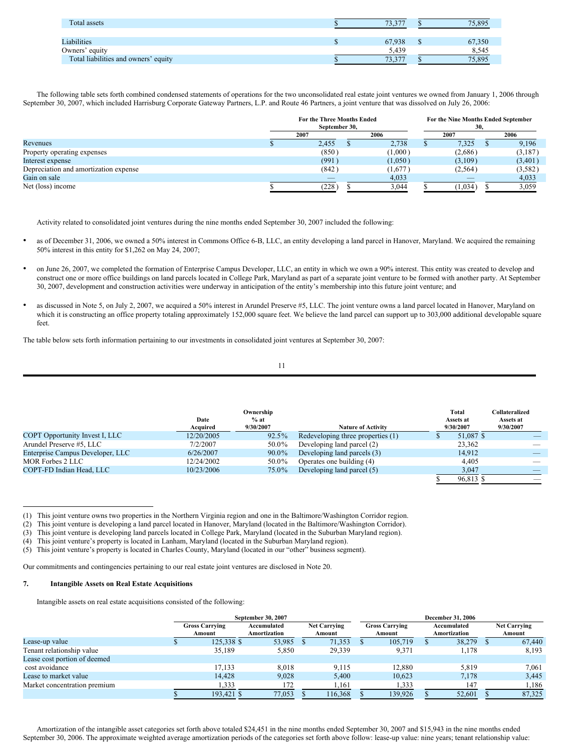| 73.377 | 75,895 |
|--------|--------|
|        |        |
| 67,938 | 67,350 |
| 5.439  | 8.545  |
| 73.377 | 75.895 |
|        |        |

The following table sets forth combined condensed statements of operations for the two unconsolidated real estate joint ventures we owned from January 1, 2006 through September 30, 2007, which included Harrisburg Corporate Gateway Partners, L.P. and Route 46 Partners, a joint venture that was dissolved on July 26, 2006:

|                                       | For the Three Months Ended<br>September 30, |  | For the Nine Months Ended September<br>30, |  |          |  |         |
|---------------------------------------|---------------------------------------------|--|--------------------------------------------|--|----------|--|---------|
|                                       | 2007                                        |  | 2006                                       |  | 2007     |  | 2006    |
| Revenues                              | 2,455                                       |  | 2,738                                      |  | 7.325    |  | 9,196   |
| Property operating expenses           | (850)                                       |  | (1,000)                                    |  | (2,686)  |  | (3,187) |
| Interest expense                      | (991)                                       |  | (1,050)                                    |  | (3,109)  |  | (3,401) |
| Depreciation and amortization expense | (842)                                       |  | (1,677)                                    |  | (2, 564) |  | (3,582) |
| Gain on sale                          | _                                           |  | 4,033                                      |  |          |  | 4,033   |
| Net (loss) income                     | (228)                                       |  | 3,044                                      |  | (1,034)  |  | 3,059   |

Activity related to consolidated joint ventures during the nine months ended September 30, 2007 included the following:

- as of December 31, 2006, we owned a 50% interest in Commons Office 6-B, LLC, an entity developing a land parcel in Hanover, Maryland. We acquired the remaining 50% interest in this entity for \$1,262 on May 24, 2007;
- on June 26, 2007, we completed the formation of Enterprise Campus Developer, LLC, an entity in which we own a 90% interest. This entity was created to develop and construct one or more office buildings on land parcels located in College Park, Maryland as part of a separate joint venture to be formed with another party. At September 30, 2007, development and construction activities were underway in anticipation of the entity's membership into this future joint venture; and
- as discussed in Note 5, on July 2, 2007, we acquired a 50% interest in Arundel Preserve #5, LLC. The joint venture owns a land parcel located in Hanover, Maryland on which it is constructing an office property totaling approximately 152,000 square feet. We believe the land parcel can support up to 303,000 additional developable square feet.

The table below sets forth information pertaining to our investments in consolidated joint ventures at September 30, 2007:

|                                  | Date<br>Acquired | Ownership<br>$%$ at<br>9/30/2007 | <b>Nature of Activity</b>         |  | Total<br>Assets at<br>9/30/2007 | Collateralized<br>Assets at<br>9/30/2007 |
|----------------------------------|------------------|----------------------------------|-----------------------------------|--|---------------------------------|------------------------------------------|
| COPT Opportunity Invest I, LLC   | 12/20/2005       | $92.5\%$                         | Redeveloping three properties (1) |  | 51,087 \$                       |                                          |
| Arundel Preserve #5, LLC         | 7/2/2007         | 50.0%                            | Developing land parcel (2)        |  | 23.362                          |                                          |
| Enterprise Campus Developer, LLC | 6/26/2007        | $90.0\%$                         | Developing land parcels (3)       |  | 14.912                          |                                          |
| <b>MOR Forbes 2 LLC</b>          | 12/24/2002       | 50.0%                            | Operates one building (4)         |  | 4.405                           |                                          |
| COPT-FD Indian Head, LLC         | 10/23/2006       | 75.0%                            | Developing land parcel (5)        |  | 3.047                           |                                          |
|                                  |                  |                                  |                                   |  | 96.813 \$                       |                                          |

<sup>(1)</sup> This joint venture owns two properties in the Northern Virginia region and one in the Baltimore/Washington Corridor region.

#### **7. Intangible Assets on Real Estate Acquisitions**

Intangible assets on real estate acquisitions consisted of the following:

|                              | September 30, 2007              |                             |  |                               |  | <b>December 31, 2006</b>        |  |                             |  |                               |  |
|------------------------------|---------------------------------|-----------------------------|--|-------------------------------|--|---------------------------------|--|-----------------------------|--|-------------------------------|--|
|                              | <b>Gross Carrying</b><br>Amount | Accumulated<br>Amortization |  | <b>Net Carrying</b><br>Amount |  | <b>Gross Carrying</b><br>Amount |  | Accumulated<br>Amortization |  | <b>Net Carrying</b><br>Amount |  |
| Lease-up value               | 125,338 \$                      | 53,985                      |  | 71,353                        |  | 105,719                         |  | 38,279                      |  | 67,440                        |  |
| Tenant relationship value    | 35.189                          | 5,850                       |  | 29.339                        |  | 9,371                           |  | 1.178                       |  | 8,193                         |  |
| Lease cost portion of deemed |                                 |                             |  |                               |  |                                 |  |                             |  |                               |  |
| cost avoidance               | 17.133                          | 8.018                       |  | 9.115                         |  | 12.880                          |  | 5.819                       |  | 7.061                         |  |
| Lease to market value        | 14.428                          | 9,028                       |  | 5.400                         |  | 10.623                          |  | 7.178                       |  | 3,445                         |  |
| Market concentration premium | 1,333                           | 172                         |  | 1,161                         |  | 1,333                           |  | 147                         |  | 1,186                         |  |
|                              | 193.421 \$                      | 77.053                      |  | 16.368                        |  | 139.926                         |  | 52.601                      |  | 87.325                        |  |

Amortization of the intangible asset categories set forth above totaled \$24,451 in the nine months ended September 30, 2007 and \$15,943 in the nine months ended September 30, 2006. The approximate weighted average amortization periods of the categories set forth above follow: lease-up value: nine years; tenant relationship value:

<sup>(2)</sup> This joint venture is developing a land parcel located in Hanover, Maryland (located in the Baltimore/Washington Corridor).

<sup>(3)</sup> This joint venture is developing land parcels located in College Park, Maryland (located in the Suburban Maryland region).

<sup>(4)</sup> This joint venture's property is located in Lanham, Maryland (located in the Suburban Maryland region).

<sup>(5)</sup> This joint venture's property is located in Charles County, Maryland (located in our "other" business segment).

Our commitments and contingencies pertaining to our real estate joint ventures are disclosed in Note 20.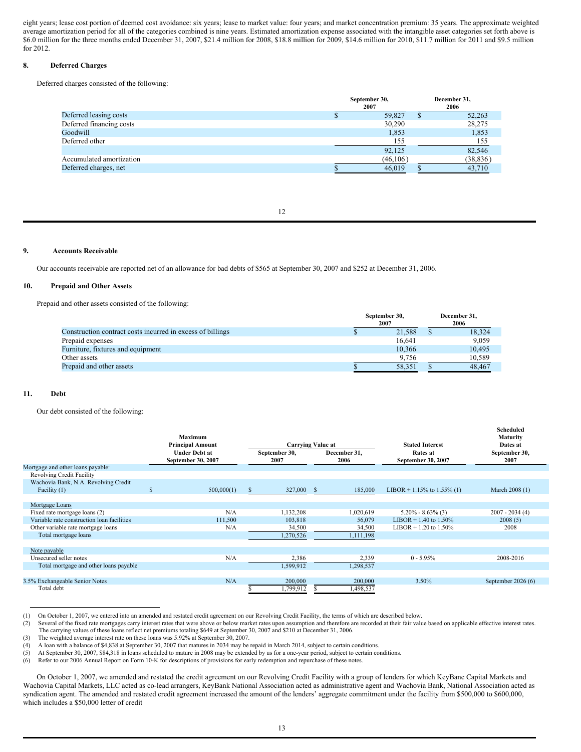eight years; lease cost portion of deemed cost avoidance: six years; lease to market value: four years; and market concentration premium: 35 years. The approximate weighted average amortization period for all of the categories combined is nine years. Estimated amortization expense associated with the intangible asset categories set forth above is \$6.0 million for the three months ended December 31, 2007, \$21.4 million for 2008, \$18.8 million for 2009, \$14.6 million for 2010, \$11.7 million for 2011 and \$9.5 million for 2012.

#### **8. Deferred Charges**

Deferred charges consisted of the following:

|                          | September 30, | December 31,<br>2006 |  |           |  |
|--------------------------|---------------|----------------------|--|-----------|--|
| Deferred leasing costs   |               | 59,827               |  | 52,263    |  |
| Deferred financing costs |               | 30,290               |  | 28,275    |  |
| Goodwill                 |               | 1,853                |  | 1,853     |  |
| Deferred other           |               | 155                  |  | 155       |  |
|                          |               | 92.125               |  | 82,546    |  |
| Accumulated amortization |               | (46, 106)            |  | (38, 836) |  |
| Deferred charges, net    |               | 46,019               |  | 43,710    |  |

#### **9. Accounts Receivable**

Our accounts receivable are reported net of an allowance for bad debts of \$565 at September 30, 2007 and \$252 at December 31, 2006.

## **10. Prepaid and Other Assets**

Prepaid and other assets consisted of the following:

|                                                            | September 30,<br>2007 |        | December 31,<br>2006 |
|------------------------------------------------------------|-----------------------|--------|----------------------|
| Construction contract costs incurred in excess of billings |                       | 21.588 | 18,324               |
| Prepaid expenses                                           |                       | 16.641 | 9.059                |
| Furniture, fixtures and equipment                          |                       | 10.366 | 10,495               |
| Other assets                                               |                       | 9.756  | 10,589               |
| Prepaid and other assets                                   |                       | 58.351 | 48,467               |

#### **11. Debt**

Our debt consisted of the following:

|                                            |              | Maximum<br><b>Principal Amount</b>         | <b>Carrying Value at</b> |      |                      | <b>Stated Interest</b>         | <b>Scheduled</b><br>Maturity<br>Dates at |
|--------------------------------------------|--------------|--------------------------------------------|--------------------------|------|----------------------|--------------------------------|------------------------------------------|
|                                            |              | <b>Under Debt at</b><br>September 30, 2007 | September 30,<br>2007    |      | December 31,<br>2006 | Rates at<br>September 30, 2007 | September 30,<br>2007                    |
| Mortgage and other loans payable:          |              |                                            |                          |      |                      |                                |                                          |
| <b>Revolving Credit Facility</b>           |              |                                            |                          |      |                      |                                |                                          |
| Wachovia Bank, N.A. Revolving Credit       |              |                                            |                          |      |                      |                                |                                          |
| Facility $(1)$                             | $\mathbb{S}$ | 500,000(1)                                 | 327,000                  | - \$ | 185,000              | LIBOR + 1.15% to 1.55% (1)     | March 2008 (1)                           |
|                                            |              |                                            |                          |      |                      |                                |                                          |
| Mortgage Loans                             |              |                                            |                          |      |                      |                                |                                          |
| Fixed rate mortgage loans (2)              |              | N/A                                        | 1,132,208                |      | 1,020,619            | $5.20\% - 8.63\%$ (3)          | $2007 - 2034(4)$                         |
| Variable rate construction loan facilities |              | 111,500                                    | 103,818                  |      | 56,079               | LIBOR + 1.40 to $1.50\%$       | 2008(5)                                  |
| Other variable rate mortgage loans         |              | N/A                                        | 34,500                   |      | 34,500               | LIBOR + 1.20 to $1.50\%$       | 2008                                     |
| Total mortgage loans                       |              |                                            | 1,270,526                |      | 1,111,198            |                                |                                          |
|                                            |              |                                            |                          |      |                      |                                |                                          |
| Note payable                               |              |                                            |                          |      |                      |                                |                                          |
| Unsecured seller notes                     |              | N/A                                        | 2,386                    |      | 2,339                | $0 - 5.95\%$                   | 2008-2016                                |
| Total mortgage and other loans payable     |              |                                            | 1,599,912                |      | 1,298,537            |                                |                                          |
|                                            |              |                                            |                          |      |                      |                                |                                          |
| 3.5% Exchangeable Senior Notes             |              | N/A                                        | 200,000                  |      | 200,000              | 3.50%                          | September $2026(6)$                      |
| Total debt                                 |              |                                            | 1,799,912                |      | 1,498,537            |                                |                                          |
|                                            |              |                                            |                          |      |                      |                                |                                          |

<sup>(1)</sup> On October 1, 2007, we entered into an amended and restated credit agreement on our Revolving Credit Facility, the terms of which are described below.

(2) Several of the fixed rate mortgages carry interest rates that were above or below market rates upon assumption and therefore are recorded at their fair value based on applicable effective interest rates. The carrying values of these loans reflect net premiums totaling \$649 at September 30, 2007 and \$210 at December 31, 2006.

(3) The weighted average interest rate on these loans was 5.92% at September 30, 2007.

(6) Refer to our 2006 Annual Report on Form 10-K for descriptions of provisions for early redemption and repurchase of these notes.

On October 1, 2007, we amended and restated the credit agreement on our Revolving Credit Facility with a group of lenders for which KeyBanc Capital Markets and Wachovia Capital Markets, LLC acted as co-lead arrangers, KeyBank National Association acted as administrative agent and Wachovia Bank, National Association acted as syndication agent. The amended and restated credit agreement increased the amount of the lenders' aggregate commitment under the facility from \$500,000 to \$600,000, which includes a \$50,000 letter of credit

<sup>(4)</sup> A loan with a balance of \$4,838 at September 30, 2007 that matures in 2034 may be repaid in March 2014, subject to certain conditions.

<sup>(5)</sup> At September 30, 2007, \$84,318 in loans scheduled to mature in 2008 may be extended by us for a one-year period, subject to certain conditions.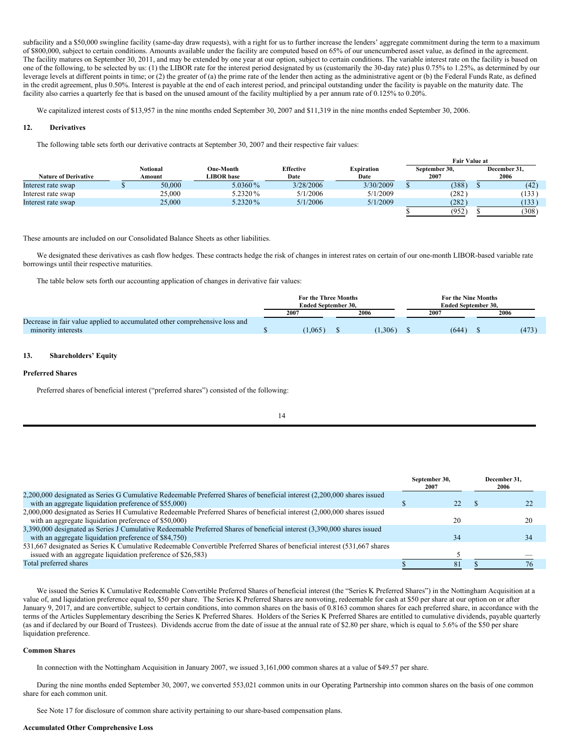subfacility and a \$50,000 swingline facility (same-day draw requests), with a right for us to further increase the lenders' aggregate commitment during the term to a maximum of \$800,000, subject to certain conditions. Amounts available under the facility are computed based on 65% of our unencumbered asset value, as defined in the agreement. The facility matures on September 30, 2011, and may be extended by one year at our option, subject to certain conditions. The variable interest rate on the facility is based on one of the following, to be selected by us: (1) the LIBOR rate for the interest period designated by us (customarily the 30-day rate) plus 0.75% to 1.25%, as determined by our leverage levels at different points in time; or (2) the greater of (a) the prime rate of the lender then acting as the administrative agent or (b) the Federal Funds Rate, as defined in the credit agreement, plus 0.50%. Interest is payable at the end of each interest period, and principal outstanding under the facility is payable on the maturity date. The facility also carries a quarterly fee that is based on the unused amount of the facility multiplied by a per annum rate of 0.125% to 0.20%.

We capitalized interest costs of \$13,957 in the nine months ended September 30, 2007 and \$11,319 in the nine months ended September 30, 2006.

#### **12. Derivatives**

The following table sets forth our derivative contracts at September 30, 2007 and their respective fair values:

|                             |  |                  |                   |                   |               | <b>Fair Value at</b> |       |
|-----------------------------|--|------------------|-------------------|-------------------|---------------|----------------------|-------|
| <b>Notional</b>             |  | <b>One-Month</b> | <b>Effective</b>  | <b>Expiration</b> | September 30. | December 31.         |       |
| <b>Nature of Derivative</b> |  | Amount           | <b>LIBOR</b> base | Date              | Date          | 2007                 | 2006  |
| Interest rate swap          |  | 50,000           | 5.0360 %          | 3/28/2006         | 3/30/2009     | (388)                | (42)  |
| Interest rate swap          |  | 25,000           | 5.2320%           | 5/1/2006          | 5/1/2009      | (282)                | (133) |
| Interest rate swap          |  | 25,000           | 5.2320 %          | 5/1/2006          | 5/1/2009      | (282)                | (133) |
|                             |  |                  |                   |                   |               | (952)                | (308) |

These amounts are included on our Consolidated Balance Sheets as other liabilities.

We designated these derivatives as cash flow hedges. These contracts hedge the risk of changes in interest rates on certain of our one-month LIBOR-based variable rate borrowings until their respective maturities.

The table below sets forth our accounting application of changes in derivative fair values:

|                                                                            | <b>For the Three Months</b><br><b>Ended September 30.</b> |         |      |        |  | For the Nine Months<br><b>Ended September 30.</b> |  |       |  |
|----------------------------------------------------------------------------|-----------------------------------------------------------|---------|------|--------|--|---------------------------------------------------|--|-------|--|
|                                                                            | 2007                                                      |         | 2006 |        |  | 2007                                              |  | 2006  |  |
| Decrease in fair value applied to accumulated other comprehensive loss and |                                                           |         |      |        |  |                                                   |  |       |  |
| minority interests                                                         |                                                           | (1.065) |      | 1,306) |  | (644)                                             |  | (473) |  |

#### **13. Shareholders' Equity**

#### **Preferred Shares**

Preferred shares of beneficial interest ("preferred shares") consisted of the following:

|                                                                                                                          | September 30,<br>2007 | December 31.<br>2006 |    |  |
|--------------------------------------------------------------------------------------------------------------------------|-----------------------|----------------------|----|--|
| 2,200,000 designated as Series G Cumulative Redeemable Preferred Shares of beneficial interest (2,200,000 shares issued  |                       |                      |    |  |
| with an aggregate liquidation preference of \$55,000)                                                                    | 22                    |                      | 22 |  |
| 2,000,000 designated as Series H Cumulative Redeemable Preferred Shares of beneficial interest (2,000,000 shares issued  |                       |                      |    |  |
| with an aggregate liquidation preference of \$50,000)                                                                    | 20                    |                      | 20 |  |
| 3,390,000 designated as Series J Cumulative Redeemable Preferred Shares of beneficial interest (3,390,000 shares issued  |                       |                      |    |  |
| with an aggregate liquidation preference of \$84,750)                                                                    | 34                    |                      | 34 |  |
| 531,667 designated as Series K Cumulative Redeemable Convertible Preferred Shares of beneficial interest (531,667 shares |                       |                      |    |  |
| issued with an aggregate liquidation preference of \$26,583)                                                             |                       |                      |    |  |
| Total preferred shares                                                                                                   | 81                    |                      | 76 |  |
|                                                                                                                          |                       |                      |    |  |

We issued the Series K Cumulative Redeemable Convertible Preferred Shares of beneficial interest (the "Series K Preferred Shares") in the Nottingham Acquisition at a value of, and liquidation preference equal to, \$50 per share. The Series K Preferred Shares are nonvoting, redeemable for cash at \$50 per share at our option on or after January 9, 2017, and are convertible, subject to certain conditions, into common shares on the basis of 0.8163 common shares for each preferred share, in accordance with the terms of the Articles Supplementary describing the Series K Preferred Shares. Holders of the Series K Preferred Shares are entitled to cumulative dividends, payable quarterly (as and if declared by our Board of Trustees). Dividends accrue from the date of issue at the annual rate of \$2.80 per share, which is equal to 5.6% of the \$50 per share liquidation preference.

#### **Common Shares**

In connection with the Nottingham Acquisition in January 2007, we issued 3,161,000 common shares at a value of \$49.57 per share.

During the nine months ended September 30, 2007, we converted 553,021 common units in our Operating Partnership into common shares on the basis of one common share for each common unit.

See Note 17 for disclosure of common share activity pertaining to our share-based compensation plans.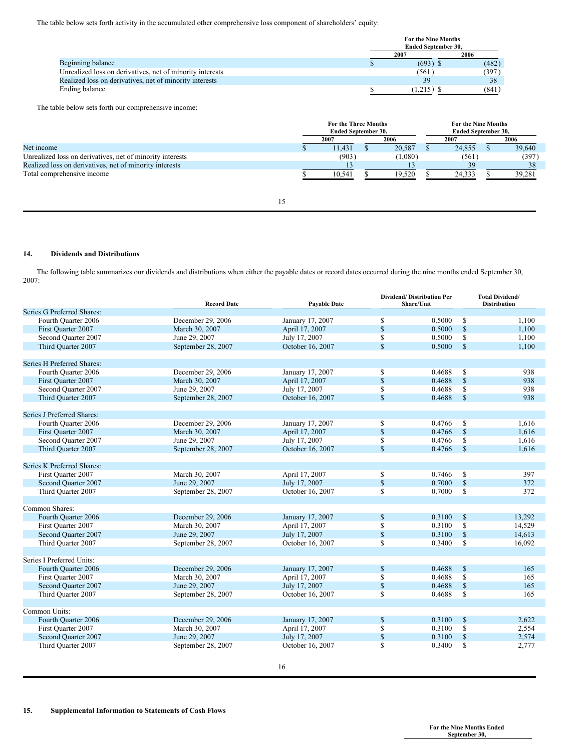The table below sets forth activity in the accumulated other comprehensive loss component of shareholders' equity:

|                                                           | <b>For the Nine Months</b><br><b>Ended September 30.</b> |       |
|-----------------------------------------------------------|----------------------------------------------------------|-------|
|                                                           | 2007                                                     | 2006  |
| Beginning balance                                         | $(693)$ \$                                               | (482) |
| Unrealized loss on derivatives, net of minority interests | (561)                                                    | (397  |
| Realized loss on derivatives, net of minority interests   | 39                                                       | 38    |
| Ending balance                                            | (1.215)                                                  | (841  |

The table below sets forth our comprehensive income:

|                                                           | <b>For the Three Months</b><br><b>Ended September 30,</b> |         | For the Nine Months<br>Ended September 30, |        |      |        |
|-----------------------------------------------------------|-----------------------------------------------------------|---------|--------------------------------------------|--------|------|--------|
|                                                           | 2007                                                      | 2006    |                                            | 2007   | 2006 |        |
| Net income                                                | 11,431                                                    | 20,587  |                                            | 24,855 |      | 39,640 |
| Unrealized loss on derivatives, net of minority interests | (903)                                                     | (1,080) |                                            | (561)  |      | (397)  |
| Realized loss on derivatives, net of minority interests   |                                                           |         |                                            | 39     |      | 38     |
| Total comprehensive income                                | 10,541                                                    | 19.520  |                                            | 24,333 |      | 39,281 |
|                                                           |                                                           |         |                                            |        |      |        |

## **14. Dividends and Distributions**

The following table summarizes our dividends and distributions when either the payable dates or record dates occurred during the nine months ended September 30, 2007:

|                            |                    |                     |               | Dividend/Distribution Per | <b>Total Dividend/</b><br><b>Distribution</b> |        |  |
|----------------------------|--------------------|---------------------|---------------|---------------------------|-----------------------------------------------|--------|--|
| Series G Preferred Shares: | <b>Record Date</b> | <b>Pavable Date</b> |               | Share/Unit                |                                               |        |  |
|                            |                    |                     |               |                           |                                               |        |  |
| Fourth Ouarter 2006        | December 29, 2006  | January 17, 2007    | \$            | 0.5000                    | \$                                            | 1.100  |  |
| First Ouarter 2007         | March 30, 2007     | April 17, 2007      | $\$$          | 0.5000                    | $\mathbf S$                                   | 1.100  |  |
| Second Quarter 2007        | June 29, 2007      | July 17, 2007       | \$            | 0.5000                    | $\mathbf S$                                   | 1.100  |  |
| Third Ouarter 2007         | September 28, 2007 | October 16, 2007    | $\mathbf S$   | 0.5000                    | $\mathbf S$                                   | 1.100  |  |
| Series H Preferred Shares: |                    |                     |               |                           |                                               |        |  |
| Fourth Ouarter 2006        | December 29, 2006  | January 17, 2007    | \$            | 0.4688                    | \$                                            | 938    |  |
| First Ouarter 2007         | March 30, 2007     | April 17, 2007      | $\mathsf{\$}$ | 0.4688                    | $\mathbf S$                                   | 938    |  |
| Second Quarter 2007        | June 29, 2007      | July 17, 2007       | \$            | 0.4688                    | $\mathbb{S}$                                  | 938    |  |
| Third Quarter 2007         | September 28, 2007 | October 16, 2007    | $\mathbf S$   | 0.4688                    | $\mathbf S$                                   | 938    |  |
| Series J Preferred Shares: |                    |                     |               |                           |                                               |        |  |
| Fourth Ouarter 2006        | December 29, 2006  | January 17, 2007    | \$            | 0.4766                    | \$                                            | 1,616  |  |
| First Ouarter 2007         | March 30, 2007     | April 17, 2007      | $\mathbf{\$}$ | 0.4766                    | $\mathbf{\$}$                                 | 1,616  |  |
| Second Quarter 2007        | June 29, 2007      | July 17, 2007       | \$            | 0.4766                    | \$                                            | 1,616  |  |
| Third Quarter 2007         | September 28, 2007 | October 16, 2007    | $\mathbf S$   | 0.4766                    | $\mathbf{\$}$                                 | 1,616  |  |
|                            |                    |                     |               |                           |                                               |        |  |
| Series K Preferred Shares: |                    |                     |               |                           |                                               |        |  |
| First Ouarter 2007         | March 30, 2007     | April 17, 2007      | \$            | 0.7466                    | \$                                            | 397    |  |
| Second Quarter 2007        | June 29, 2007      | July 17, 2007       | $\mathbf{\$}$ | 0.7000                    | $\mathbf{\$}$                                 | 372    |  |
| Third Quarter 2007         | September 28, 2007 | October 16, 2007    | \$            | 0.7000                    | \$                                            | 372    |  |
|                            |                    |                     |               |                           |                                               |        |  |
| Common Shares:             |                    |                     |               |                           |                                               |        |  |
| Fourth Ouarter 2006        | December 29, 2006  | January 17, 2007    | $\mathsf{\$}$ | 0.3100                    | $\mathsf{\$}$                                 | 13,292 |  |
| First Ouarter 2007         | March 30, 2007     | April 17, 2007      | \$            | 0.3100                    | \$                                            | 14,529 |  |
| Second Quarter 2007        | June 29, 2007      | July 17, 2007       | $\$$          | 0.3100                    | $\$$                                          | 14,613 |  |
| Third Ouarter 2007         | September 28, 2007 | October 16, 2007    | \$            | 0.3400                    | \$                                            | 16,092 |  |
| Series I Preferred Units:  |                    |                     |               |                           |                                               |        |  |
| Fourth Quarter 2006        | December 29, 2006  | January 17, 2007    | $\mathbb{S}$  | 0.4688                    | $\$$                                          | 165    |  |
| First Quarter 2007         | March 30, 2007     | April 17, 2007      | \$            | 0.4688                    | \$                                            | 165    |  |
| Second Quarter 2007        | June 29, 2007      | July 17, 2007       | $\$$          | 0.4688                    | $\mathbf{\$}$                                 | 165    |  |
| Third Quarter 2007         | September 28, 2007 | October 16, 2007    | \$            | 0.4688                    | \$                                            | 165    |  |
|                            |                    |                     |               |                           |                                               |        |  |
| Common Units:              |                    |                     |               |                           |                                               |        |  |
| Fourth Ouarter 2006        | December 29, 2006  | January 17, 2007    | $\$$          | 0.3100                    | $\mathbb{S}$                                  | 2,622  |  |
| First Ouarter 2007         | March 30, 2007     | April 17, 2007      | \$            | 0.3100                    | \$                                            | 2,554  |  |
| Second Quarter 2007        | June 29, 2007      | July 17, 2007       | $\$$          | 0.3100                    | $\$$                                          | 2,574  |  |
| Third Quarter 2007         | September 28, 2007 | October 16, 2007    | \$            | 0.3400                    | $\mathbb{S}$                                  | 2,777  |  |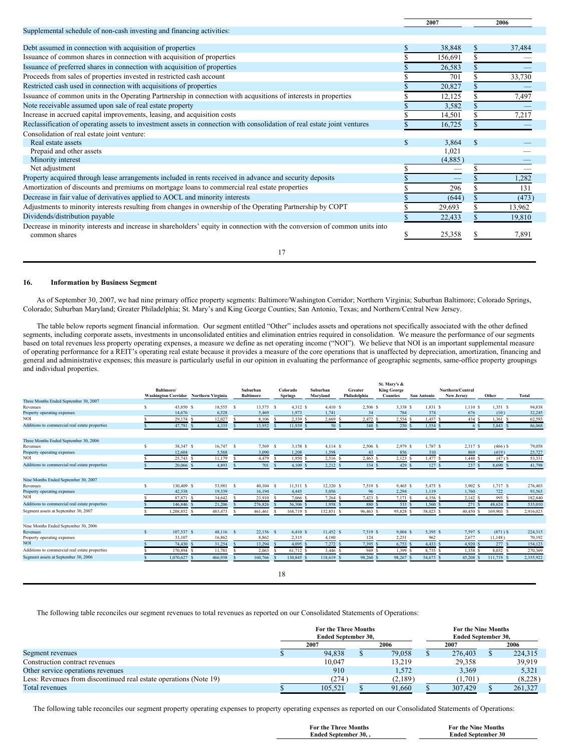|                                                                                                                                             | 2007    | 2006 |        |  |
|---------------------------------------------------------------------------------------------------------------------------------------------|---------|------|--------|--|
| Supplemental schedule of non-cash investing and financing activities:                                                                       |         |      |        |  |
| Debt assumed in connection with acquisition of properties                                                                                   | 38,848  |      | 37,484 |  |
| Issuance of common shares in connection with acquisition of properties                                                                      | 156,691 |      |        |  |
| Issuance of preferred shares in connection with acquisition of properties                                                                   | 26,583  |      |        |  |
| Proceeds from sales of properties invested in restricted cash account                                                                       | 701     |      | 33,730 |  |
| Restricted cash used in connection with acquisitions of properties                                                                          | 20,827  |      |        |  |
| Issuance of common units in the Operating Partnership in connection with acquaitions of interests in properties                             | 12,125  |      | 7,497  |  |
| Note receivable assumed upon sale of real estate property                                                                                   | 3,582   |      |        |  |
| Increase in accrued capital improvements, leasing, and acquisition costs                                                                    | 14,501  |      | 7,217  |  |
| Reclassification of operating assets to investment assets in connection with consolidation of real estate joint ventures                    | 16,725  |      |        |  |
| Consolidation of real estate joint venture:                                                                                                 |         |      |        |  |
| Real estate assets                                                                                                                          | 3,864   |      |        |  |
| Prepaid and other assets                                                                                                                    | 1,021   |      |        |  |
| Minority interest                                                                                                                           | (4,885) |      |        |  |
| Net adjustment                                                                                                                              |         |      |        |  |
| Property acquired through lease arrangements included in rents received in advance and security deposits                                    |         |      | 1,282  |  |
| Amortization of discounts and premiums on mortgage loans to commercial real estate properties                                               | 296     |      | 131    |  |
| Decrease in fair value of derivatives applied to AOCL and minority interests                                                                | (644)   |      | (473)  |  |
| Adjustments to minority interests resulting from changes in ownership of the Operating Partnership by COPT                                  | 29,693  |      | 13,962 |  |
| Dividends/distribution payable                                                                                                              | 22,433  |      | 19,810 |  |
| Decrease in minority interests and increase in shareholders' equity in connection with the conversion of common units into<br>common shares | 25,358  |      | 7,891  |  |
|                                                                                                                                             |         |      |        |  |

17

## **16. Information by Business Segment**

As of September 30, 2007, we had nine primary office property segments: Baltimore/Washington Corridor; Northern Virginia; Suburban Baltimore; Colorado Springs, Colorado; Suburban Maryland; Greater Philadelphia; St. Mary's and King George Counties; San Antonio, Texas; and Northern/Central New Jersey.

The table below reports segment financial information. Our segment entitled "Other" includes assets and operations not specifically associated with the other defined segments, including corporate assets, investments in unconsolidated entities and elimination entries required in consolidation. We measure the performance of our segments based on total revenues less property operating expenses, a measure we define as net operating income ("NOI"). We believe that NOI is an important supplemental measure of operating performance for a REIT's operating real estate because it provides a measure of the core operations that is unaffected by depreciation, amortization, financing and general and administrative expenses; this measure is particularly useful in our opinion in evaluating the performance of geographic segments, same-office property groupings and individual properties.

|                                                |              |              |                                       |      |                  |     |                |          |            |              | St. Mary's &       |               |                   |            |           |
|------------------------------------------------|--------------|--------------|---------------------------------------|------|------------------|-----|----------------|----------|------------|--------------|--------------------|---------------|-------------------|------------|-----------|
|                                                |              | Baltimore/   |                                       |      | Suburban         |     | Colorado       | Suburban |            | Greater      | <b>King George</b> |               | Northern/Central  |            |           |
|                                                |              |              | Washington Corridor Northern Virginia |      | <b>Baltimore</b> |     | <b>Springs</b> | Marvland |            | Philadelphia | Counties           | San Antonio   | <b>New Jersey</b> | Other      | Total     |
| Three Months Ended September 30, 2007          |              |              |                                       |      |                  |     |                |          |            |              |                    |               |                   |            |           |
| Revenues                                       | s            | 43,850 \$    | 18,555                                | - S  | 13,575 \$        |     | 4,312 \$       |          | 4.410 S    | 2.506 S      | 3,338 S            | 1,831 \$      | 1,110 S           | 1,351 S    | 94,838    |
| Property operating expenses                    |              | 14,676       | 6,528                                 |      | 5,469            |     | 1,973          |          | 1,741      | 34           | 784                | 374           | 676               | (10)       | 32,245    |
| <b>NOI</b>                                     |              | 29,174       | 12,027                                |      | 8,106            |     | 2.339 S        |          | 2.669 S    | 2.472 S      | 2.554 S            | 1,457 \$      | 434 S             | 1,361      | 62,593    |
| Additions to commercial real estate properties |              | 47,791 \$    | 4,335                                 |      | 13,952           |     | 11,939 \$      |          | 50S        | 348 \$       | 250 S              | 1,554 \$      | 6 S               | 5,843 S    | 86,068    |
| Three Months Ended September 30, 2006          |              |              |                                       |      |                  |     |                |          |            |              |                    |               |                   |            |           |
| Revenues                                       | s            | 38,347 \$    | 16,747                                | -S   | 7,569            | -S  | 3,158 \$       |          | 4.114 S    | 2,506 \$     | 2,979 S            | 1,787 \$      | 2,317 \$          | $(466)$ \$ | 79,058    |
| Property operating expenses                    |              | 12,604       | 5,568                                 |      | 3,090            |     | 1,208          |          | 1,598      | 43           | 856                | 310           | 869               | (419)      | 25,727    |
| <b>NOI</b>                                     |              | 25,743       | 11,179                                |      | 4,479            |     | 1,950 \$       |          | 2,516 \$   | $2,463$ \$   | $2,123$ \$         | 1,477 \$      | 1,448 S           | $(47)$ S   | 53,331    |
| Additions to commercial real estate properties |              | 20,066       | 4,893                                 |      | 701              | -S  | 4.109 S        |          | $2,212$ \$ | 334 S        | 429 S              | 127S          | 237 S             | 8,690 S    | 41,798    |
| Nine Months Ended September 30, 2007           |              |              |                                       |      |                  |     |                |          |            |              |                    |               |                   |            |           |
| Revenues                                       | s            | 130,409 \$   | 53,981                                | -S   | 40.104           | - S | 11.511 \$      |          | 12.320 S   | 7.519 S      | 9.465 S            | 5.475 S       | 3.902 S           | 1.717 S    | 276,403   |
| Property operating expenses                    |              | 42,538       | 19,339                                |      | 16,194           |     | 4,445          |          | 5,056      | 96           | 2,294              | 1,119         | 1,760             | 722        | 93,563    |
| <b>NOI</b>                                     |              | 87,871       | 34,642                                |      | 23,910           |     | 7,066 \$       |          | 7,264 \$   | 7,423 \$     | 7,171 S            | 4,356 \$      | 2,142 \$          | 995 S      | 182,840   |
| Additions to commercial real estate properties |              | 146,846      | 21,206                                |      | 276,826          |     | 36,306         |          | 1,958 \$   | 880 \$       | 533                | 1,560 \$<br>S | 271S              | 48,624     | 535,010   |
| Segment assets at September 30, 2007           |              | 1,208,852 \$ | 483,473                               |      | 461,461          |     | 168,719 \$     |          | 132,851 \$ | 96,463 \$    | 95,828 S           | 58,023 \$     | 40,450 S          | 169,903 S  | 2,916,023 |
| Nine Months Ended September 30, 2006           |              |              |                                       |      |                  |     |                |          |            |              |                    |               |                   |            |           |
| Revenues                                       | $\mathbf{s}$ | 107,537 S    | 48,116                                | - \$ | $22,156$ \$      |     | 6.410 S        |          | 11,452 \$  | 7.519 S      | $9,004$ \$         | 5,395 \$      | 7,597 S           | $(871)$ \$ | 224,315   |
| Property operating expenses                    |              | 33,107       | 16,862                                |      | 8,862            |     | 2.315          |          | 4.180      | 124          | 2,251              | 962           | 2,677             | (1,148)    | 70,192    |
| <b>NOI</b>                                     |              | 74,430       | 31,254                                |      | 13,294           |     | 4,095 \$       |          | 7.272 S    | 7,395 S      | $6,753$ \$         | $4,433$ \$    | 4,920 S           | 277 S      | 154,123   |
| Additions to commercial real estate properties |              | 170,894      | 11,781                                |      | 2,063            |     | 61,712 \$      |          | $3,446$ \$ | 949 S        | 1,399 S            | 8,735 \$      | 1,358 S           | 8,032 S    | 270,369   |
| Segment assets at September 30, 2006           |              | 1,070,627    | 466,938                               |      | 160,766          |     | 130,845 \$     |          | 118,619 \$ | 98,260 \$    | 98,267             | 54,673 \$     | 45,208            | 111,719    | 2,355,922 |
|                                                |              |              |                                       |      |                  |     | 18             |          |            |              |                    |               |                   |            |           |

The following table reconciles our segment revenues to total revenues as reported on our Consolidated Statements of Operations:

|                                                                   | For the Three Months<br><b>Ended September 30,</b> |  | <b>For the Nine Months</b><br><b>Ended September 30.</b> |  |         |  |         |
|-------------------------------------------------------------------|----------------------------------------------------|--|----------------------------------------------------------|--|---------|--|---------|
|                                                                   | 2007                                               |  | 2006                                                     |  | 2007    |  | 2006    |
| Segment revenues                                                  | 94.838                                             |  | 79.058                                                   |  | 276,403 |  | 224,315 |
| Construction contract revenues                                    | 10.047                                             |  | 13.219                                                   |  | 29.358  |  | 39.919  |
| Other service operations revenues                                 | 910                                                |  | 1.572                                                    |  | 3.369   |  | 5,321   |
| Less: Revenues from discontinued real estate operations (Note 19) | (274)                                              |  | (2,189)                                                  |  | (1,701) |  | (8,228) |
| Total revenues                                                    | 105.521                                            |  | 91,660                                                   |  | 307,429 |  | 261,327 |

The following table reconciles our segment property operating expenses to property operating expenses as reported on our Consolidated Statements of Operations:

**For the Three Months Ended September 30, , For the Nine Months Ended September 30**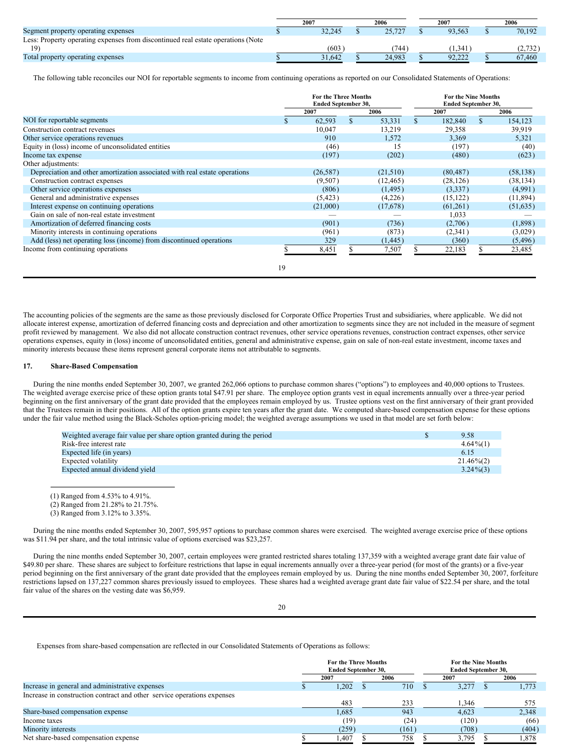|                                                                                  | 2007   | 2006   | 2007   | 2006    |
|----------------------------------------------------------------------------------|--------|--------|--------|---------|
| Segment property operating expenses                                              | 32.245 | 25,727 | 93.563 | 70.192  |
| Less: Property operating expenses from discontinued real estate operations (Note |        |        |        |         |
| 19)                                                                              | (603)  | 744    | 1.341  | (2,732) |
| Total property operating expenses                                                | 31.642 | 24.983 | 92.222 | 67,460  |

The following table reconciles our NOI for reportable segments to income from continuing operations as reported on our Consolidated Statements of Operations:

|                                                                            | For the Three Months<br><b>Ended September 30,</b> |           |              |           | <b>For the Nine Months</b><br>Ended September 30, |           |              |           |  |
|----------------------------------------------------------------------------|----------------------------------------------------|-----------|--------------|-----------|---------------------------------------------------|-----------|--------------|-----------|--|
|                                                                            |                                                    | 2007      |              | 2006      |                                                   | 2007      |              | 2006      |  |
| NOI for reportable segments                                                |                                                    | 62,593    | $\mathbb{S}$ | 53,331    | S                                                 | 182,840   | $\mathbb{S}$ | 154,123   |  |
| Construction contract revenues                                             |                                                    | 10,047    |              | 13,219    |                                                   | 29,358    |              | 39,919    |  |
| Other service operations revenues                                          |                                                    | 910       |              | 1,572     |                                                   | 3,369     |              | 5,321     |  |
| Equity in (loss) income of unconsolidated entities                         |                                                    | (46)      |              | 15        |                                                   | (197)     |              | (40)      |  |
| Income tax expense                                                         |                                                    | (197)     |              | (202)     |                                                   | (480)     |              | (623)     |  |
| Other adjustments:                                                         |                                                    |           |              |           |                                                   |           |              |           |  |
| Depreciation and other amortization associated with real estate operations |                                                    | (26, 587) |              | (21,510)  |                                                   | (80, 487) |              | (58, 138) |  |
| Construction contract expenses                                             |                                                    | (9,507)   |              | (12, 465) |                                                   | (28, 126) |              | (38, 134) |  |
| Other service operations expenses                                          |                                                    | (806)     |              | (1, 495)  |                                                   | (3,337)   |              | (4,991)   |  |
| General and administrative expenses                                        |                                                    | (5, 423)  |              | (4,226)   |                                                   | (15, 122) |              | (11, 894) |  |
| Interest expense on continuing operations                                  |                                                    | (21,000)  |              | (17,678)  |                                                   | (61,261)  |              | (51, 635) |  |
| Gain on sale of non-real estate investment                                 |                                                    |           |              |           |                                                   | 1,033     |              |           |  |
| Amortization of deferred financing costs                                   |                                                    | (901)     |              | (736)     |                                                   | (2,706)   |              | (1,898)   |  |
| Minority interests in continuing operations                                |                                                    | (961)     |              | (873)     |                                                   | (2,341)   |              | (3,029)   |  |
| Add (less) net operating loss (income) from discontinued operations        |                                                    | 329       |              | (1, 445)  |                                                   | (360)     |              | (5,496)   |  |
| Income from continuing operations                                          |                                                    | 8,451     |              | 7,507     |                                                   | 22,183    |              | 23,485    |  |
|                                                                            | 19                                                 |           |              |           |                                                   |           |              |           |  |
|                                                                            |                                                    |           |              |           |                                                   |           |              |           |  |

The accounting policies of the segments are the same as those previously disclosed for Corporate Office Properties Trust and subsidiaries, where applicable. We did not allocate interest expense, amortization of deferred financing costs and depreciation and other amortization to segments since they are not included in the measure of segment profit reviewed by management. We also did not allocate construction contract revenues, other service operations revenues, construction contract expenses, other service operations expenses, equity in (loss) income of unconsolidated entities, general and administrative expense, gain on sale of non-real estate investment, income taxes and minority interests because these items represent general corporate items not attributable to segments.

## **17. Share-Based Compensation**

During the nine months ended September 30, 2007, we granted 262,066 options to purchase common shares ("options") to employees and 40,000 options to Trustees. The weighted average exercise price of these option grants total \$47.91 per share. The employee option grants vest in equal increments annually over a three-year period beginning on the first anniversary of the grant date provided that the employees remain employed by us. Trustee options vest on the first anniversary of their grant provided that the Trustees remain in their positions. All of the option grants expire ten years after the grant date. We computed share-based compensation expense for these options under the fair value method using the Black-Scholes option-pricing model; the weighted average assumptions we used in that model are set forth below:

| Weighted average fair value per share option granted during the period | 9.58         |
|------------------------------------------------------------------------|--------------|
| Risk-free interest rate                                                | $4.64\%(1)$  |
| Expected life (in years)                                               | 6.15         |
| Expected volatility                                                    | $21.46\%(2)$ |
| Expected annual dividend yield                                         | $3.24\%$ (3) |

(1) Ranged from 4.53% to 4.91%.

(2) Ranged from 21.28% to 21.75%.

(3) Ranged from 3.12% to 3.35%.

During the nine months ended September 30, 2007, 595,957 options to purchase common shares were exercised. The weighted average exercise price of these options was \$11.94 per share, and the total intrinsic value of options exercised was \$23,257.

During the nine months ended September 30, 2007, certain employees were granted restricted shares totaling 137,359 with a weighted average grant date fair value of \$49.80 per share. These shares are subject to forfeiture restrictions that lapse in equal increments annually over a three-year period (for most of the grants) or a five-year period beginning on the first anniversary of the grant date provided that the employees remain employed by us. During the nine months ended September 30, 2007, forfeiture restrictions lapsed on 137,227 common shares previously issued to employees. These shares had a weighted average grant date fair value of \$22.54 per share, and the total fair value of the shares on the vesting date was \$6,959.

20

Expenses from share-based compensation are reflected in our Consolidated Statements of Operations as follows:

|                                                                         | <b>For the Three Months</b><br>Ended September 30, |       |  |       | <b>For the Nine Months</b><br><b>Ended September 30,</b> |       |  |       |
|-------------------------------------------------------------------------|----------------------------------------------------|-------|--|-------|----------------------------------------------------------|-------|--|-------|
|                                                                         |                                                    | 2007  |  | 2006  |                                                          | 2007  |  | 2006  |
| Increase in general and administrative expenses                         |                                                    | .202  |  | 710   |                                                          | 3.277 |  | 1,773 |
| Increase in construction contract and other service operations expenses |                                                    |       |  |       |                                                          |       |  |       |
|                                                                         |                                                    | 483   |  | 233   |                                                          | 1,346 |  | 575   |
| Share-based compensation expense                                        |                                                    | 1.685 |  | 943   |                                                          | 4.623 |  | 2,348 |
| Income taxes                                                            |                                                    | (19)  |  | (24)  |                                                          | (120) |  | (66)  |
| Minority interests                                                      |                                                    | (259) |  | (161) |                                                          | (708) |  | (404) |
| Net share-based compensation expense                                    |                                                    | . 407 |  | 758   |                                                          | 3.795 |  | 1.878 |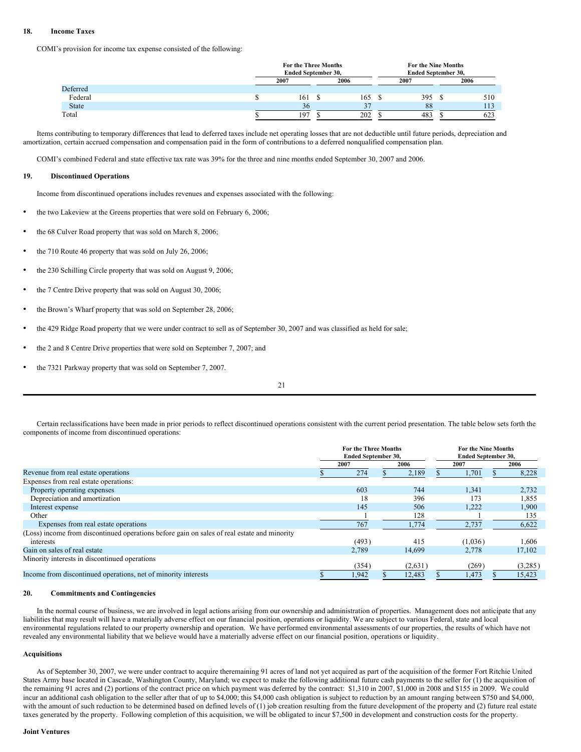#### **18. Income Taxes**

COMI's provision for income tax expense consisted of the following:

|              | For the Three Months<br>Ended September 30, |      |  |      |  | <b>For the Nine Months</b><br>Ended September 30, |  |      |  |  |  |
|--------------|---------------------------------------------|------|--|------|--|---------------------------------------------------|--|------|--|--|--|
|              |                                             | 2007 |  | 2006 |  | 2007                                              |  | 2006 |  |  |  |
| Deferred     |                                             |      |  |      |  |                                                   |  |      |  |  |  |
| Federal      |                                             | 161  |  | 165  |  | 395                                               |  | 510  |  |  |  |
| <b>State</b> |                                             | 36   |  | 37   |  | 88                                                |  |      |  |  |  |
| Total        |                                             | 197  |  | 202  |  | 483                                               |  | 623  |  |  |  |

Items contributing to temporary differences that lead to deferred taxes include net operating losses that are not deductible until future periods, depreciation and amortization, certain accrued compensation and compensation paid in the form of contributions to a deferred nonqualified compensation plan.

COMI's combined Federal and state effective tax rate was 39% for the three and nine months ended September 30, 2007 and 2006.

## **19. Discontinued Operations**

Income from discontinued operations includes revenues and expenses associated with the following:

- the two Lakeview at the Greens properties that were sold on February 6, 2006;
- the 68 Culver Road property that was sold on March 8, 2006;
- the 710 Route 46 property that was sold on July 26, 2006;
- the 230 Schilling Circle property that was sold on August 9, 2006;
- the 7 Centre Drive property that was sold on August 30, 2006;
- the Brown's Wharf property that was sold on September 28, 2006;
- the 429 Ridge Road property that we were under contract to sell as of September 30, 2007 and was classified as held for sale;
- the 2 and 8 Centre Drive properties that were sold on September 7, 2007; and
- the 7321 Parkway property that was sold on September 7, 2007.

 $21$ 

Certain reclassifications have been made in prior periods to reflect discontinued operations consistent with the current period presentation. The table below sets forth the components of income from discontinued operations:

|                                                                                             | <b>For the Three Months</b><br>Ended September 30, |       |  |         | <b>For the Nine Months</b><br>Ended September 30, |         |  |         |  |
|---------------------------------------------------------------------------------------------|----------------------------------------------------|-------|--|---------|---------------------------------------------------|---------|--|---------|--|
|                                                                                             |                                                    | 2007  |  | 2006    |                                                   | 2007    |  | 2006    |  |
| Revenue from real estate operations                                                         |                                                    | 274   |  | 2,189   |                                                   | 1,701   |  | 8,228   |  |
| Expenses from real estate operations:                                                       |                                                    |       |  |         |                                                   |         |  |         |  |
| Property operating expenses                                                                 |                                                    | 603   |  | 744     |                                                   | 1,341   |  | 2,732   |  |
| Depreciation and amortization                                                               |                                                    | 18    |  | 396     |                                                   | 173     |  | 1,855   |  |
| Interest expense                                                                            |                                                    | 145   |  | 506     |                                                   | 1,222   |  | 1,900   |  |
| Other                                                                                       |                                                    |       |  | 128     |                                                   |         |  | 135     |  |
| Expenses from real estate operations                                                        |                                                    | 767   |  | 1,774   |                                                   | 2,737   |  | 6,622   |  |
| (Loss) income from discontinued operations before gain on sales of real estate and minority |                                                    |       |  |         |                                                   |         |  |         |  |
| interests                                                                                   |                                                    | (493) |  | 415     |                                                   | (1,036) |  | 1,606   |  |
| Gain on sales of real estate                                                                |                                                    | 2,789 |  | 14.699  |                                                   | 2,778   |  | 17,102  |  |
| Minority interests in discontinued operations                                               |                                                    |       |  |         |                                                   |         |  |         |  |
|                                                                                             |                                                    | (354) |  | (2,631) |                                                   | (269)   |  | (3,285) |  |
| Income from discontinued operations, net of minority interests                              |                                                    | 1,942 |  | 12,483  |                                                   | 1,473   |  | 15,423  |  |

#### **20. Commitments and Contingencies**

In the normal course of business, we are involved in legal actions arising from our ownership and administration of properties. Management does not anticipate that any liabilities that may result will have a materially adverse effect on our financial position, operations or liquidity. We are subject to various Federal, state and local environmental regulations related to our property ownership and operation. We have performed environmental assessments of our properties, the results of which have not revealed any environmental liability that we believe would have a materially adverse effect on our financial position, operations or liquidity.

#### **Acquisitions**

As of September 30, 2007, we were under contract to acquire theremaining 91 acres of land not yet acquired as part of the acquisition of the former Fort Ritchie United States Army base located in Cascade, Washington County, Maryland; we expect to make the following additional future cash payments to the seller for (1) the acquisition of the remaining 91 acres and (2) portions of the contract price on which payment was deferred by the contract: \$1,310 in 2007, \$1,000 in 2008 and \$155 in 2009. We could incur an additional cash obligation to the seller after that of up to \$4,000; this \$4,000 cash obligation is subject to reduction by an amount ranging between \$750 and \$4,000, with the amount of such reduction to be determined based on defined levels of (1) job creation resulting from the future development of the property and (2) future real estate taxes generated by the property. Following completion of this acquisition, we will be obligated to incur \$7,500 in development and construction costs for the property.

#### **Joint Ventures**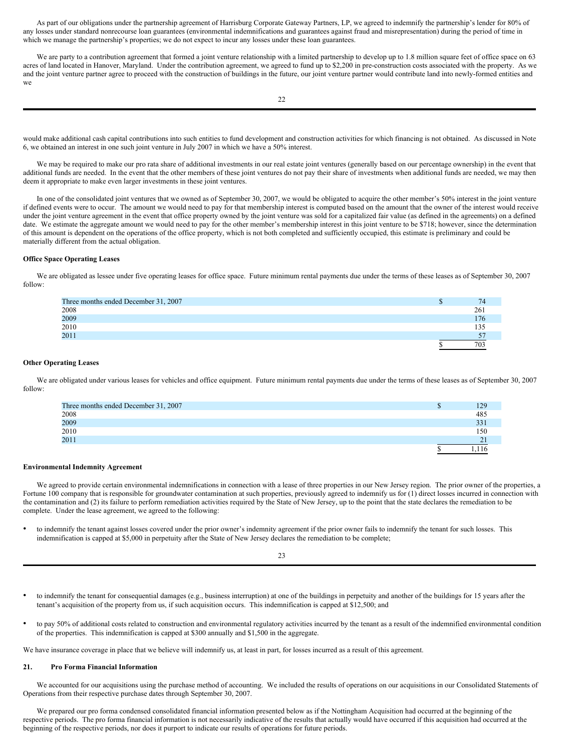As part of our obligations under the partnership agreement of Harrisburg Corporate Gateway Partners, LP, we agreed to indemnify the partnership's lender for 80% of any losses under standard nonrecourse loan guarantees (environmental indemnifications and guarantees against fraud and misrepresentation) during the period of time in which we manage the partnership's properties; we do not expect to incur any losses under these loan guarantees.

We are party to a contribution agreement that formed a joint venture relationship with a limited partnership to develop up to 1.8 million square feet of office space on 63 acres of land located in Hanover, Maryland. Under the contribution agreement, we agreed to fund up to \$2,200 in pre-construction costs associated with the property. As we and the joint venture partner agree to proceed with the construction of buildings in the future, our joint venture partner would contribute land into newly-formed entities and we

would make additional cash capital contributions into such entities to fund development and construction activities for which financing is not obtained. As discussed in Note 6, we obtained an interest in one such joint venture in July 2007 in which we have a 50% interest.

We may be required to make our pro rata share of additional investments in our real estate joint ventures (generally based on our percentage ownership) in the event that additional funds are needed. In the event that the other members of these joint ventures do not pay their share of investments when additional funds are needed, we may then deem it appropriate to make even larger investments in these joint ventures.

In one of the consolidated joint ventures that we owned as of September 30, 2007, we would be obligated to acquire the other member's 50% interest in the joint venture if defined events were to occur. The amount we would need to pay for that membership interest is computed based on the amount that the owner of the interest would receive under the joint venture agreement in the event that office property owned by the joint venture was sold for a capitalized fair value (as defined in the agreements) on a defined date. We estimate the aggregate amount we would need to pay for the other member's membership interest in this joint venture to be \$718; however, since the determination of this amount is dependent on the operations of the office property, which is not both completed and sufficiently occupied, this estimate is preliminary and could be materially different from the actual obligation.

#### **Office Space Operating Leases**

We are obligated as lessee under five operating leases for office space. Future minimum rental payments due under the terms of these leases as of September 30, 2007 follow:

| Three months ended December 31, 2007 |     |
|--------------------------------------|-----|
| 2008                                 | 261 |
| 2009                                 | 176 |
| 2010                                 |     |
| 2011                                 |     |
|                                      |     |

#### **Other Operating Leases**

We are obligated under various leases for vehicles and office equipment. Future minimum rental payments due under the terms of these leases as of September 30, 2007 follow:

| Three months ended December 31, 2007 | 129 |
|--------------------------------------|-----|
| 2008                                 | 485 |
| 2009                                 | 331 |
| 2010                                 | 150 |
| 2011                                 | 21  |
|                                      |     |

#### **Environmental Indemnity Agreement**

We agreed to provide certain environmental indemnifications in connection with a lease of three properties in our New Jersey region. The prior owner of the properties, a Fortune 100 company that is responsible for groundwater contamination at such properties, previously agreed to indemnify us for (1) direct losses incurred in connection with the contamination and (2) its failure to perform remediation activities required by the State of New Jersey, up to the point that the state declares the remediation to be complete. Under the lease agreement, we agreed to the following:

• to indemnify the tenant against losses covered under the prior owner's indemnity agreement if the prior owner fails to indemnify the tenant for such losses. This indemnification is capped at \$5,000 in perpetuity after the State of New Jersey declares the remediation to be complete;

23

- to indemnify the tenant for consequential damages (e.g., business interruption) at one of the buildings in perpetuity and another of the buildings for 15 years after the tenant's acquisition of the property from us, if such acquisition occurs. This indemnification is capped at \$12,500; and
- to pay 50% of additional costs related to construction and environmental regulatory activities incurred by the tenant as a result of the indemnified environmental condition of the properties. This indemnification is capped at \$300 annually and \$1,500 in the aggregate.

We have insurance coverage in place that we believe will indemnify us, at least in part, for losses incurred as a result of this agreement.

#### **21. Pro Forma Financial Information**

We accounted for our acquisitions using the purchase method of accounting. We included the results of operations on our acquisitions in our Consolidated Statements of Operations from their respective purchase dates through September 30, 2007.

We prepared our pro forma condensed consolidated financial information presented below as if the Nottingham Acquisition had occurred at the beginning of the respective periods. The pro forma financial information is not necessarily indicative of the results that actually would have occurred if this acquisition had occurred at the beginning of the respective periods, nor does it purport to indicate our results of operations for future periods.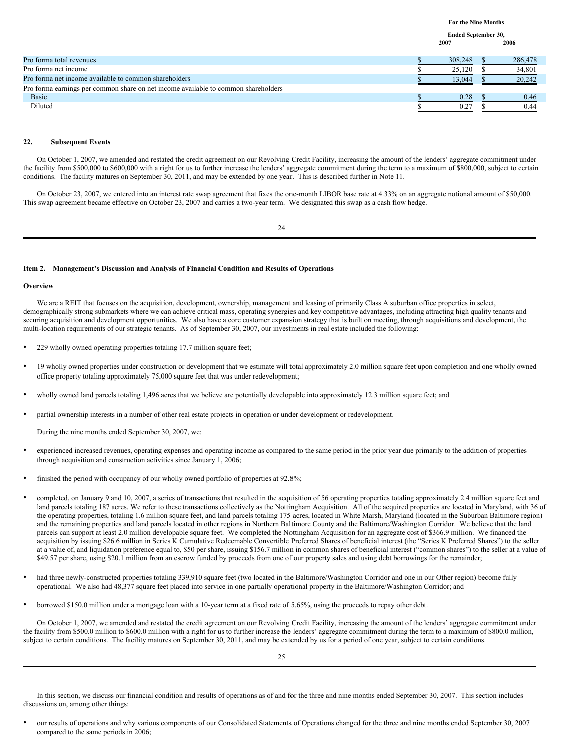|                                                                                    | <b>Ended September 30,</b> |  |         |
|------------------------------------------------------------------------------------|----------------------------|--|---------|
|                                                                                    | 2007                       |  | 2006    |
| Pro forma total revenues                                                           | 308,248                    |  | 286,478 |
| Pro forma net income                                                               | 25,120                     |  | 34,801  |
| Pro forma net income available to common shareholders                              | 13,044                     |  | 20,242  |
| Pro forma earnings per common share on net income available to common shareholders |                            |  |         |
| Basic                                                                              | 0.28                       |  | 0.46    |
| Diluted                                                                            | 0.27                       |  | 0.44    |

<span id="page-15-0"></span>**For the Nine Months**

#### **22. Subsequent Events**

On October 1, 2007, we amended and restated the credit agreement on our Revolving Credit Facility, increasing the amount of the lenders' aggregate commitment under the facility from \$500,000 to \$600,000 with a right for us to further increase the lenders' aggregate commitment during the term to a maximum of \$800,000, subject to certain conditions. The facility matures on September 30, 2011, and may be extended by one year. This is described further in Note 11.

On October 23, 2007, we entered into an interest rate swap agreement that fixes the one-month LIBOR base rate at 4.33% on an aggregate notional amount of \$50,000. This swap agreement became effective on October 23, 2007 and carries a two-year term. We designated this swap as a cash flow hedge.

#### **Item 2. Management's Discussion and Analysis of Financial Condition and Results of Operations**

#### **Overview**

We are a REIT that focuses on the acquisition, development, ownership, management and leasing of primarily Class A suburban office properties in select, demographically strong submarkets where we can achieve critical mass, operating synergies and key competitive advantages, including attracting high quality tenants and securing acquisition and development opportunities. We also have a core customer expansion strategy that is built on meeting, through acquisitions and development, the multi-location requirements of our strategic tenants. As of September 30, 2007, our investments in real estate included the following:

- 229 wholly owned operating properties totaling 17.7 million square feet;
- 19 wholly owned properties under construction or development that we estimate will total approximately 2.0 million square feet upon completion and one wholly owned office property totaling approximately 75,000 square feet that was under redevelopment;
- wholly owned land parcels totaling 1,496 acres that we believe are potentially developable into approximately 12.3 million square feet; and
- partial ownership interests in a number of other real estate projects in operation or under development or redevelopment.

During the nine months ended September 30, 2007, we:

- experienced increased revenues, operating expenses and operating income as compared to the same period in the prior year due primarily to the addition of properties through acquisition and construction activities since January 1, 2006;
- finished the period with occupancy of our wholly owned portfolio of properties at 92.8%;
- completed, on January 9 and 10, 2007, a series of transactions that resulted in the acquisition of 56 operating properties totaling approximately 2.4 million square feet and land parcels totaling 187 acres. We refer to these transactions collectively as the Nottingham Acquisition. All of the acquired properties are located in Maryland, with 36 of the operating properties, totaling 1.6 million square feet, and land parcels totaling 175 acres, located in White Marsh, Maryland (located in the Suburban Baltimore region) and the remaining properties and land parcels located in other regions in Northern Baltimore County and the Baltimore/Washington Corridor. We believe that the land parcels can support at least 2.0 million developable square feet. We completed the Nottingham Acquisition for an aggregate cost of \$366.9 million. We financed the acquisition by issuing \$26.6 million in Series K Cumulative Redeemable Convertible Preferred Shares of beneficial interest (the "Series K Preferred Shares") to the seller at a value of, and liquidation preference equal to, \$50 per share, issuing \$156.7 million in common shares of beneficial interest ("common shares") to the seller at a value of \$49.57 per share, using \$20.1 million from an escrow funded by proceeds from one of our property sales and using debt borrowings for the remainder;
- had three newly-constructed properties totaling 339,910 square feet (two located in the Baltimore/Washington Corridor and one in our Other region) become fully operational. We also had 48,377 square feet placed into service in one partially operational property in the Baltimore/Washington Corridor; and
- borrowed \$150.0 million under a mortgage loan with a 10-year term at a fixed rate of 5.65%, using the proceeds to repay other debt.

On October 1, 2007, we amended and restated the credit agreement on our Revolving Credit Facility, increasing the amount of the lenders' aggregate commitment under the facility from \$500.0 million to \$600.0 million with a right for us to further increase the lenders' aggregate commitment during the term to a maximum of \$800.0 million, subject to certain conditions. The facility matures on September 30, 2011, and may be extended by us for a period of one year, subject to certain conditions.

In this section, we discuss our financial condition and results of operations as of and for the three and nine months ended September 30, 2007. This section includes discussions on, among other things:

• our results of operations and why various components of our Consolidated Statements of Operations changed for the three and nine months ended September 30, 2007 compared to the same periods in 2006;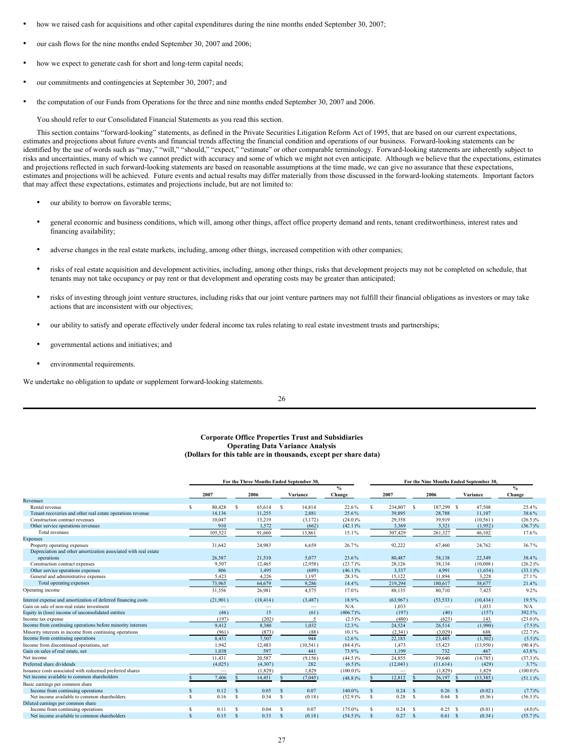- how we raised cash for acquisitions and other capital expenditures during the nine months ended September 30, 2007;
- our cash flows for the nine months ended September 30, 2007 and 2006;
- how we expect to generate cash for short and long-term capital needs;
- our commitments and contingencies at September 30, 2007; and
- the computation of our Funds from Operations for the three and nine months ended September 30, 2007 and 2006.

You should refer to our Consolidated Financial Statements as you read this section.

This section contains "forward-looking" statements, as defined in the Private Securities Litigation Reform Act of 1995, that are based on our current expectations, estimates and projections about future events and financial trends affecting the financial condition and operations of our business. Forward-looking statements can be identified by the use of words such as "may," "will," "should," "expect," "estimate" or other comparable terminology. Forward-looking statements are inherently subject to risks and uncertainties, many of which we cannot predict with accuracy and some of which we might not even anticipate. Although we believe that the expectations, estimates and projections reflected in such forward-looking statements are based on reasonable assumptions at the time made, we can give no assurance that these expectations, estimates and projections will be achieved. Future events and actual results may differ materially from those discussed in the forward-looking statements. Important factors that may affect these expectations, estimates and projections include, but are not limited to:

- our ability to borrow on favorable terms;
- general economic and business conditions, which will, among other things, affect office property demand and rents, tenant creditworthiness, interest rates and financing availability;
- adverse changes in the real estate markets, including, among other things, increased competition with other companies;
- risks of real estate acquisition and development activities, including, among other things, risks that development projects may not be completed on schedule, that tenants may not take occupancy or pay rent or that development and operating costs may be greater than anticipated;
- risks of investing through joint venture structures, including risks that our joint venture partners may not fulfill their financial obligations as investors or may take actions that are inconsistent with our objectives;
- our ability to satisfy and operate effectively under federal income tax rules relating to real estate investment trusts and partnerships;
- governmental actions and initiatives; and
- environmental requirements.

We undertake no obligation to update or supplement forward-looking statements.

26

#### **Corporate Office Properties Trust and Subsidiaries Operating Data Variance Analysis (Dollars for this table are in thousands, except per share data)**

|                                                                 |               | For the Three Months Ended September 30, |              |           |               |           |               |             |                          |              |           |                              |       |             |
|-----------------------------------------------------------------|---------------|------------------------------------------|--------------|-----------|---------------|-----------|---------------|-------------|--------------------------|--------------|-----------|------------------------------|-------|-------------|
|                                                                 |               |                                          |              |           |               |           | $\frac{0}{0}$ |             |                          |              |           |                              |       | $^{0}/_{0}$ |
|                                                                 |               | 2007                                     |              | 2006      |               | Variance  | Change        |             | 2007                     |              | 2006      | Variance                     |       | Change      |
| Revenues                                                        |               |                                          |              |           |               |           |               |             |                          |              |           |                              |       |             |
| Rental revenue                                                  | S             | 80,428                                   | -S           | 65.614    | S             | 14.814    | 22.6%         | S.          | 234,807                  | s            | 187,299 S | 47.508                       |       | 25.4%       |
| Tenant recoveries and other real estate operations revenue      |               | 14,136                                   |              | 11,255    |               | 2,881     | 25.6%         |             | 39,895                   |              | 28,788    | 11,107                       |       | 38.6%       |
| Construction contract revenues                                  |               | 10,047                                   |              | 13,219    |               | (3,172)   | $(24.0)\%$    |             | 29,358                   |              | 39,919    | (10, 561)                    |       | $(26.5)\%$  |
| Other service operations revenues                               |               | 910                                      |              | 1,572     |               | (662)     | $(42.1)\%$    |             | 3,369                    |              | 5,321     | (1,952)                      |       | $(36.7)\%$  |
| Total revenues                                                  |               | 105,521                                  |              | 91,660    |               | 13,861    | 15.1%         |             | 307,429                  |              | 261,327   | 46.102                       |       | 17.6%       |
| <b>Expenses</b>                                                 |               |                                          |              |           |               |           |               |             |                          |              |           |                              |       |             |
| Property operating expenses                                     |               | 31,642                                   |              | 24,983    |               | 6,659     | 26.7%         |             | 92,222                   |              | 67,460    | 24,762                       |       | 36.7%       |
| Depreciation and other amortization associated with real estate |               |                                          |              |           |               |           |               |             |                          |              |           |                              |       |             |
| operations                                                      |               | 26.587                                   |              | 21,510    |               | 5,077     | 23.6%         |             | 80,487                   |              | 58,138    | 22,349                       |       | 38.4%       |
| Construction contract expenses                                  |               | 9,507                                    |              | 12,465    |               | (2,958)   | $(23.7)\%$    |             | 28,126                   |              | 38,134    | (10,008)                     |       | $(26.2)\%$  |
| Other service operations expenses                               |               | 806                                      |              | 1,495     |               | (689)     | $(46.1)\%$    |             | 3,337                    |              | 4,991     | (1,654)                      |       | $(33.1)\%$  |
| General and administrative expenses                             |               | 5,423                                    |              | 4,226     |               | 1,197     | 28.3%         |             | 15,122                   |              | 11,894    | 3,228                        |       | 27.1%       |
| Total operating expenses                                        |               | 73,965                                   |              | 64,679    |               | 9,286     | 14.4%         |             | 219,294                  |              | 180,617   | 38,677                       |       | 21.4%       |
| Operating income                                                |               | 31,556                                   |              | 26,981    |               | 4,575     | 17.0%         |             | 88,135                   |              | 80,710    | 7.425                        |       | 9.2%        |
| Interest expense and amortization of deferred financing costs   |               | (21,901)                                 |              | (18, 414) |               | (3,487)   | 18.9%         |             | (63,967)                 |              | (53, 533) | (10, 434)                    |       | 19.5%       |
| Gain on sale of non-real estate investment                      |               |                                          |              |           |               |           | N/A           |             | 1.033                    |              |           | 1.033                        |       | N/A         |
| Equity in (loss) income of unconsolidated entities              |               | (46)                                     |              | 15        |               | (61)      | $(406.7)\%$   |             | (197)                    |              | (40)      | (157)                        |       | 392.5%      |
| Income tax expense                                              |               | (197)                                    |              | (202)     |               | 5         | $(2.5)\%$     |             | (480)                    |              | (623)     | 143                          |       | $(23.0)\%$  |
| Income from continuing operations before minority interests     |               | 9,412                                    |              | 8,380     |               | 1.032     | 12.3%         |             | 24,524                   |              | 26,514    | (1,990)                      |       | $(7.5)\%$   |
| Minority interests in income from continuing operations         |               | (961)                                    |              | (873)     |               | (88)      | 10.1%         |             | (2, 341)                 |              | (3,029)   | 688                          |       | $(22.7)\%$  |
| Income from continuing operations                               |               | 8,451                                    |              | 7.507     |               | 944       | $12.6\%$      |             | 22,183                   |              | 23,485    | (1,302)                      |       | $(5.5)\%$   |
| Income from discontinued operations, net                        |               | 1,942                                    |              | 12,483    |               | (10, 541) | $(84.4)\%$    |             | 1,473                    |              | 15,423    | (13.950)                     |       | $(90.4)\%$  |
| Gain on sales of real estate, net                               |               | 1,038                                    |              | 597       |               | 441       | 73.9%         |             | 1,199                    |              | 732       | 467                          |       | 63.8%       |
| Net income                                                      |               | 11.431                                   |              | 20,587    |               | (9,156)   | $(44.5)\%$    |             | 24,855                   |              | 39,640    | (14, 785)                    |       | $(37.3)\%$  |
| Preferred share dividends                                       |               | (4,025)                                  |              | (4,307)   |               | 282       | $(6.5)\%$     |             | (12,043)                 |              | (11,614)  |                              | (429) | 3.7%        |
| Issuance costs associated with redeemed preferred shares        |               |                                          |              | (1,829)   |               | 1,829     | $(100.0)\%$   |             | $\overline{\phantom{a}}$ |              | (1,829)   | 1,829                        |       | $(100.0)\%$ |
| Net income available to common shareholders                     |               | 7,406                                    | $\mathbf{s}$ | 14,451    | $\mathbf{S}$  | (7,045)   | $(48.8)\%$    |             | 12,812                   |              | 26,197    | (13, 385)                    |       | $(51.1)\%$  |
| Basic earnings per common share                                 |               |                                          |              |           |               |           |               |             |                          |              |           |                              |       |             |
| Income from continuing operations                               | $\mathbf{s}$  | 0.12                                     | <sup>S</sup> | 0.05      | $\mathcal{S}$ | 0.07      | 140.0%        | \$.         | 0.24                     | <b>S</b>     | 0.26      | (0.02)<br>$\mathbf{\hat{s}}$ |       | (7.7)%      |
| Net income available to common shareholders                     | S             | 0.16                                     | <sup>S</sup> | 0.34      | S             | (0.18)    | $(52.9)\%$    | s           | 0.28                     | s            | 0.64      | -S<br>(0.36)                 |       | $(56.3)\%$  |
| Diluted earnings per common share                               |               |                                          |              |           |               |           |               |             |                          |              |           |                              |       |             |
| Income from continuing operations                               | <b>S</b>      | 0.11                                     | -S           | 0.04      | -S            | 0.07      | 175.0%        | S           | 0.24                     | S            | 0.25      | s<br>(0.01)                  |       | $(4.0)\%$   |
| Net income available to common shareholders                     | <sup>\$</sup> | 0.15                                     | <sub>S</sub> | 0.33      | <sup>S</sup>  | (0.18)    | $(54.5)\%$    | $\mathbb S$ | 0.27                     | <sup>S</sup> | 0.61 S    | (0.34)                       |       | $(55.7)\%$  |
|                                                                 |               |                                          |              |           |               |           |               |             |                          |              |           |                              |       |             |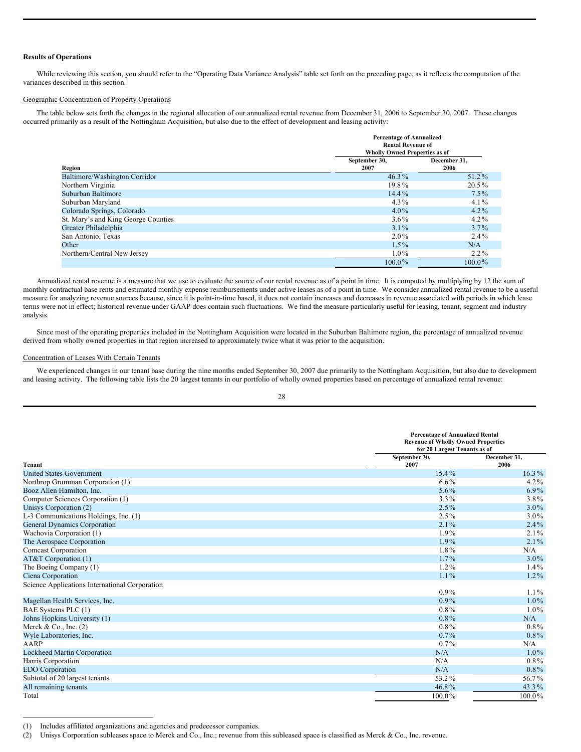#### **Results of Operations**

While reviewing this section, you should refer to the "Operating Data Variance Analysis" table set forth on the preceding page, as it reflects the computation of the variances described in this section.

## Geographic Concentration of Property Operations

The table below sets forth the changes in the regional allocation of our annualized rental revenue from December 31, 2006 to September 30, 2007. These changes occurred primarily as a result of the Nottingham Acquisition, but also due to the effect of development and leasing activity:

|                                     | <b>Percentage of Annualized</b><br><b>Rental Revenue of</b> |                      |  |  |  |  |  |  |  |
|-------------------------------------|-------------------------------------------------------------|----------------------|--|--|--|--|--|--|--|
|                                     | <b>Wholly Owned Properties as of</b>                        |                      |  |  |  |  |  |  |  |
| Region                              | September 30,<br>2007                                       | December 31,<br>2006 |  |  |  |  |  |  |  |
| Baltimore/Washington Corridor       | $46.3\%$                                                    | 51.2%                |  |  |  |  |  |  |  |
| Northern Virginia                   | 19.8%                                                       | $20.5\%$             |  |  |  |  |  |  |  |
| Suburban Baltimore                  | $14.4\%$                                                    | $7.5\%$              |  |  |  |  |  |  |  |
| Suburban Maryland                   | $4.3\%$                                                     | $4.1\%$              |  |  |  |  |  |  |  |
| Colorado Springs, Colorado          | $4.0\%$                                                     | $4.2\%$              |  |  |  |  |  |  |  |
| St. Mary's and King George Counties | $3.6\%$                                                     | $4.2\%$              |  |  |  |  |  |  |  |
| Greater Philadelphia                | $3.1\%$                                                     | $3.7\%$              |  |  |  |  |  |  |  |
| San Antonio, Texas                  | $2.0\%$                                                     | $2.4\%$              |  |  |  |  |  |  |  |
| Other                               | $1.5\%$                                                     | N/A                  |  |  |  |  |  |  |  |
| Northern/Central New Jersey         | $1.0\%$                                                     | $2.2\%$              |  |  |  |  |  |  |  |
|                                     | $100.0\%$                                                   | $100.0\%$            |  |  |  |  |  |  |  |

Annualized rental revenue is a measure that we use to evaluate the source of our rental revenue as of a point in time. It is computed by multiplying by 12 the sum of monthly contractual base rents and estimated monthly expense reimbursements under active leases as of a point in time. We consider annualized rental revenue to be a useful measure for analyzing revenue sources because, since it is point-in-time based, it does not contain increases and decreases in revenue associated with periods in which lease terms were not in effect; historical revenue under GAAP does contain such fluctuations. We find the measure particularly useful for leasing, tenant, segment and industry analysis.

Since most of the operating properties included in the Nottingham Acquisition were located in the Suburban Baltimore region, the percentage of annualized revenue derived from wholly owned properties in that region increased to approximately twice what it was prior to the acquisition.

#### Concentration of Leases With Certain Tenants

We experienced changes in our tenant base during the nine months ended September 30, 2007 due primarily to the Nottingham Acquisition, but also due to development and leasing activity. The following table lists the 20 largest tenants in our portfolio of wholly owned properties based on percentage of annualized rental revenue:

| × |                  |
|---|------------------|
|   | I<br>×<br>w<br>۹ |

|                                                | <b>Percentage of Annualized Rental</b><br><b>Revenue of Wholly Owned Properties</b><br>for 20 Largest Tenants as of |              |  |  |  |  |
|------------------------------------------------|---------------------------------------------------------------------------------------------------------------------|--------------|--|--|--|--|
|                                                | September 30,                                                                                                       | December 31, |  |  |  |  |
| Tenant                                         | 2007                                                                                                                | 2006         |  |  |  |  |
| <b>United States Government</b>                | $15.4\%$                                                                                                            | $16.3\%$     |  |  |  |  |
| Northrop Grumman Corporation (1)               | $6.6\%$                                                                                                             | $4.2\%$      |  |  |  |  |
| Booz Allen Hamilton, Inc.                      | 5.6%                                                                                                                | $6.9\%$      |  |  |  |  |
| Computer Sciences Corporation (1)              | $3.3\%$                                                                                                             | 3.8%         |  |  |  |  |
| Unisys Corporation (2)                         | $2.5\%$                                                                                                             | $3.0\%$      |  |  |  |  |
| L-3 Communications Holdings, Inc. (1)          | $2.5\%$                                                                                                             | $3.0\%$      |  |  |  |  |
| <b>General Dynamics Corporation</b>            | $2.1\%$                                                                                                             | $2.4\%$      |  |  |  |  |
| Wachovia Corporation (1)                       | $1.9\%$                                                                                                             | $2.1\%$      |  |  |  |  |
| The Aerospace Corporation                      | $1.9\%$                                                                                                             | $2.1\%$      |  |  |  |  |
| <b>Comcast Corporation</b>                     | $1.8\%$                                                                                                             | N/A          |  |  |  |  |
| AT&T Corporation (1)                           | $1.7\%$                                                                                                             | $3.0\%$      |  |  |  |  |
| The Boeing Company (1)                         | $1.2\%$                                                                                                             | $1.4\%$      |  |  |  |  |
| Ciena Corporation                              | $1.1\%$                                                                                                             | $1.2\%$      |  |  |  |  |
| Science Applications International Corporation |                                                                                                                     |              |  |  |  |  |
|                                                | $0.9\%$                                                                                                             | $1.1\%$      |  |  |  |  |
| Magellan Health Services, Inc.                 | $0.9\%$                                                                                                             | $1.0\%$      |  |  |  |  |
| BAE Systems PLC (1)                            | $0.8\%$                                                                                                             | $1.0\%$      |  |  |  |  |
| Johns Hopkins University (1)                   | $0.8\%$                                                                                                             | N/A          |  |  |  |  |
| Merck & Co., Inc. $(2)$                        | $0.8\%$                                                                                                             | $0.8\%$      |  |  |  |  |
| Wyle Laboratories, Inc.                        | $0.7\%$                                                                                                             | $0.8\%$      |  |  |  |  |
| AARP                                           | $0.7\%$                                                                                                             | N/A          |  |  |  |  |
| Lockheed Martin Corporation                    | N/A                                                                                                                 | $1.0\%$      |  |  |  |  |
| Harris Corporation                             | N/A                                                                                                                 | $0.8\%$      |  |  |  |  |
| <b>EDO</b> Corporation                         | N/A                                                                                                                 | $0.8\%$      |  |  |  |  |
| Subtotal of 20 largest tenants                 | 53.2%                                                                                                               | 56.7%        |  |  |  |  |
| All remaining tenants                          | 46.8%                                                                                                               | 43.3%        |  |  |  |  |
| Total                                          | 100.0%                                                                                                              | 100.0%       |  |  |  |  |

<sup>(1)</sup> Includes affiliated organizations and agencies and predecessor companies.

<sup>(2)</sup> Unisys Corporation subleases space to Merck and Co., Inc.; revenue from this subleased space is classified as Merck & Co., Inc. revenue.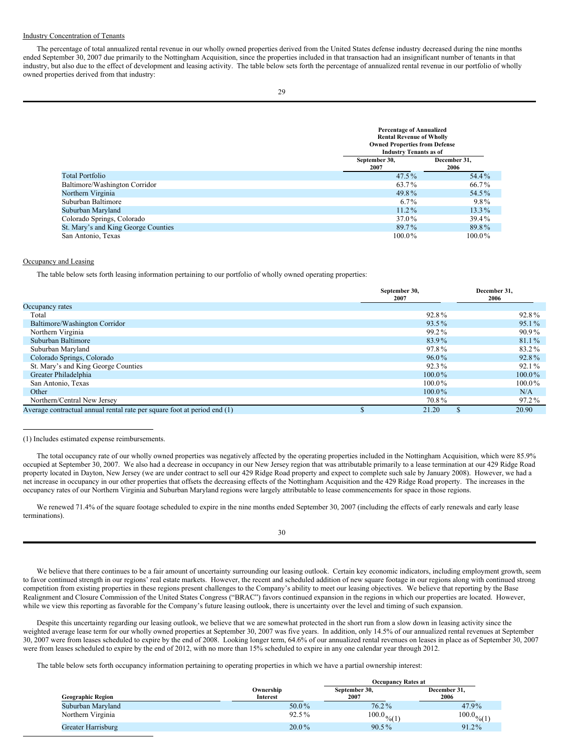## Industry Concentration of Tenants

The percentage of total annualized rental revenue in our wholly owned properties derived from the United States defense industry decreased during the nine months ended September 30, 2007 due primarily to the Nottingham Acquisition, since the properties included in that transaction had an insignificant number of tenants in that industry, but also due to the effect of development and leasing activity. The table below sets forth the percentage of annualized rental revenue in our portfolio of wholly owned properties derived from that industry:

|                                     |                       | <b>Percentage of Annualized</b><br><b>Rental Revenue of Wholly</b><br><b>Owned Properties from Defense</b><br><b>Industry Tenants as of</b> |  |  |
|-------------------------------------|-----------------------|---------------------------------------------------------------------------------------------------------------------------------------------|--|--|
|                                     | September 30,<br>2007 | December 31,<br>2006                                                                                                                        |  |  |
| <b>Total Portfolio</b>              | 47.5%                 | 54.4%                                                                                                                                       |  |  |
| Baltimore/Washington Corridor       | 63.7%                 | 66.7%                                                                                                                                       |  |  |
| Northern Virginia                   | 49.8%                 | 54.5%                                                                                                                                       |  |  |
| Suburban Baltimore                  | $6.7\%$               | $9.8\%$                                                                                                                                     |  |  |
| Suburban Maryland                   | $11.2\%$              | $13.3\%$                                                                                                                                    |  |  |
| Colorado Springs, Colorado          | 37.0%                 | $39.4\%$                                                                                                                                    |  |  |
| St. Mary's and King George Counties | 89.7%                 | 89.8%                                                                                                                                       |  |  |
| San Antonio, Texas                  | 100.0%                | 100.0%                                                                                                                                      |  |  |

#### Occupancy and Leasing

The table below sets forth leasing information pertaining to our portfolio of wholly owned operating properties:

|                                                                          | September 30, |           | December 31, |  |  |
|--------------------------------------------------------------------------|---------------|-----------|--------------|--|--|
|                                                                          | 2007          |           | 2006         |  |  |
| Occupancy rates                                                          |               |           |              |  |  |
| Total                                                                    |               | 92.8%     | 92.8%        |  |  |
| Baltimore/Washington Corridor                                            |               | 93.5%     | $95.1\%$     |  |  |
| Northern Virginia                                                        |               | 99.2%     | $90.9\%$     |  |  |
| Suburban Baltimore                                                       |               | 83.9%     | 81.1%        |  |  |
| Suburban Maryland                                                        |               | 97.8%     | 83.2%        |  |  |
| Colorado Springs, Colorado                                               |               | $96.0\%$  | 92.8%        |  |  |
| St. Mary's and King George Counties                                      |               | 92.3%     | 92.1%        |  |  |
| Greater Philadelphia                                                     |               | $100.0\%$ | $100.0\%$    |  |  |
| San Antonio, Texas                                                       |               | $100.0\%$ | $100.0\%$    |  |  |
| Other                                                                    |               | $100.0\%$ | N/A          |  |  |
| Northern/Central New Jersey                                              |               | 70.8%     | $97.2\%$     |  |  |
| Average contractual annual rental rate per square foot at period end (1) |               | 21.20     | 20.90        |  |  |

(1) Includes estimated expense reimbursements.

The total occupancy rate of our wholly owned properties was negatively affected by the operating properties included in the Nottingham Acquisition, which were 85.9% occupied at September 30, 2007. We also had a decrease in occupancy in our New Jersey region that was attributable primarily to a lease termination at our 429 Ridge Road property located in Dayton, New Jersey (we are under contract to sell our 429 Ridge Road property and expect to complete such sale by January 2008). However, we had a net increase in occupancy in our other properties that offsets the decreasing effects of the Nottingham Acquisition and the 429 Ridge Road property. The increases in the occupancy rates of our Northern Virginia and Suburban Maryland regions were largely attributable to lease commencements for space in those regions.

We renewed 71.4% of the square footage scheduled to expire in the nine months ended September 30, 2007 (including the effects of early renewals and early lease terminations).

#### 30

We believe that there continues to be a fair amount of uncertainty surrounding our leasing outlook. Certain key economic indicators, including employment growth, seem to favor continued strength in our regions' real estate markets. However, the recent and scheduled addition of new square footage in our regions along with continued strong competition from existing properties in these regions present challenges to the Company's ability to meet our leasing objectives. We believe that reporting by the Base Realignment and Closure Commission of the United States Congress ("BRAC") favors continued expansion in the regions in which our properties are located. However, while we view this reporting as favorable for the Company's future leasing outlook, there is uncertainty over the level and timing of such expansion.

Despite this uncertainty regarding our leasing outlook, we believe that we are somewhat protected in the short run from a slow down in leasing activity since the weighted average lease term for our wholly owned properties at September 30, 2007 was five years. In addition, only 14.5% of our annualized rental revenues at September 30, 2007 were from leases scheduled to expire by the end of 2008. Looking longer term, 64.6% of our annualized rental revenues on leases in place as of September 30, 2007 were from leases scheduled to expire by the end of 2012, with no more than 15% scheduled to expire in any one calendar year through 2012.

The table below sets forth occupancy information pertaining to operating properties in which we have a partial ownership interest:

|                          |                 | <b>Occupancy Rates at</b> |                          |  |  |  |
|--------------------------|-----------------|---------------------------|--------------------------|--|--|--|
|                          | Ownership       | September 30,             | December 31,             |  |  |  |
| <b>Geographic Region</b> | <b>Interest</b> | 2007                      | 2006                     |  |  |  |
| Suburban Maryland        | 50.0%           | $76.2\%$                  | $47.9\%$                 |  |  |  |
| Northern Virginia        | $92.5\%$        | $100.0\frac{9}{6(1)}$     | $100.0_{\frac{9}{6}}(1)$ |  |  |  |
| Greater Harrisburg       | $20.0\%$        | $90.5\%$                  | $91.2\%$                 |  |  |  |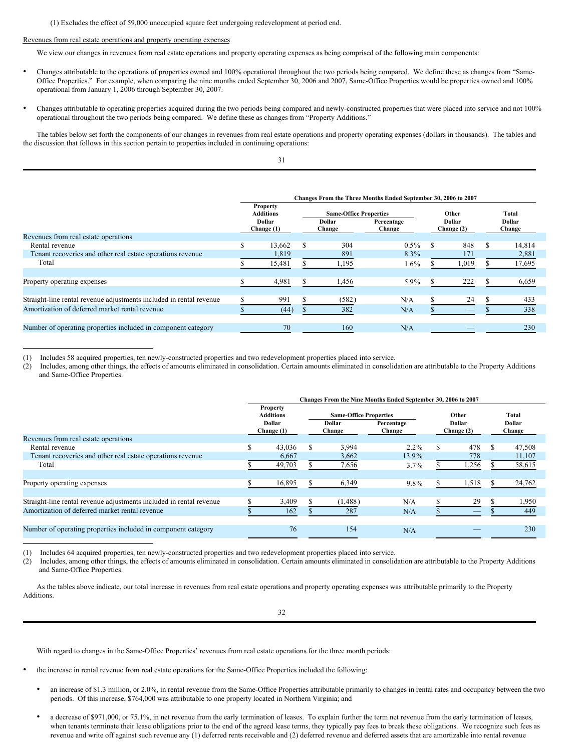(1) Excludes the effect of 59,000 unoccupied square feet undergoing redevelopment at period end.

#### Revenues from real estate operations and property operating expenses

We view our changes in revenues from real estate operations and property operating expenses as being comprised of the following main components:

- Changes attributable to the operations of properties owned and 100% operational throughout the two periods being compared. We define these as changes from "Same-Office Properties." For example, when comparing the nine months ended September 30, 2006 and 2007, Same-Office Properties would be properties owned and 100% operational from January 1, 2006 through September 30, 2007.
- Changes attributable to operating properties acquired during the two periods being compared and newly-constructed properties that were placed into service and not 100% operational throughout the two periods being compared. We define these as changes from "Property Additions."

The tables below set forth the components of our changes in revenues from real estate operations and property operating expenses (dollars in thousands). The tables and the discussion that follows in this section pertain to properties included in continuing operations:

31

|                                                                     |                      |                                     |                  |                               | Changes From the Three Months Ended September 30, 2006 to 2007 |                      |       |                         |
|---------------------------------------------------------------------|----------------------|-------------------------------------|------------------|-------------------------------|----------------------------------------------------------------|----------------------|-------|-------------------------|
|                                                                     |                      | <b>Property</b><br><b>Additions</b> |                  | <b>Same-Office Properties</b> |                                                                |                      | Other | Total                   |
|                                                                     | Dollar<br>Change (1) |                                     | Dollar<br>Change |                               | Percentage<br>Change                                           | Dollar<br>Change (2) |       | <b>Dollar</b><br>Change |
| Revenues from real estate operations                                |                      |                                     |                  |                               |                                                                |                      |       |                         |
| Rental revenue                                                      | S                    | 13,662                              |                  | 304                           | $0.5\%$                                                        |                      | 848   | 14,814                  |
| Tenant recoveries and other real estate operations revenue          |                      | 1,819                               |                  | 891                           | $8.3\%$                                                        |                      | 171   | 2,881                   |
| Total                                                               |                      | 15,481                              |                  | 1,195                         | $1.6\%$                                                        |                      | 1,019 | 17,695                  |
| Property operating expenses                                         |                      | 4,981                               |                  | 1,456                         | 5.9%                                                           |                      | 222   | 6,659                   |
|                                                                     |                      |                                     |                  |                               |                                                                |                      |       |                         |
| Straight-line rental revenue adjustments included in rental revenue |                      | 991                                 |                  | (582)                         | N/A                                                            |                      | 24    | 433                     |
| Amortization of deferred market rental revenue                      |                      | (44                                 |                  | 382                           | N/A                                                            |                      |       | 338                     |
| Number of operating properties included in component category       |                      | 70                                  |                  | 160                           | N/A                                                            |                      |       | 230                     |

(1) Includes 58 acquired properties, ten newly-constructed properties and two redevelopment properties placed into service.

(2) Includes, among other things, the effects of amounts eliminated in consolidation. Certain amounts eliminated in consolidation are attributable to the Property Additions and Same-Office Properties.

| Changes From the Nine Months Ended September 30, 2006 to 2007 |        |                  |         |                      |                                      |       |   |                                  |
|---------------------------------------------------------------|--------|------------------|---------|----------------------|--------------------------------------|-------|---|----------------------------------|
| <b>Property</b><br><b>Additions</b><br>Dollar<br>Change (1)   |        | Dollar<br>Change |         | Percentage<br>Change | Other<br><b>Dollar</b><br>Change (2) |       |   | Total<br><b>Dollar</b><br>Change |
|                                                               |        |                  |         |                      |                                      |       |   |                                  |
| \$                                                            | 43,036 | S                | 3,994   | $2.2\%$              | \$                                   | 478   | S | 47,508                           |
|                                                               | 6,667  |                  | 3,662   | 13.9%                |                                      | 778   |   | 11,107                           |
|                                                               | 49,703 |                  | 7,656   | 3.7%                 |                                      | 1,256 |   | 58,615                           |
|                                                               | 16,895 |                  | 6,349   | 9.8%                 |                                      | 1,518 |   | 24,762                           |
|                                                               | 3,409  |                  | (1,488) | N/A                  |                                      | 29    |   | 1,950                            |
|                                                               | 162    |                  | 287     | N/A                  |                                      |       |   | 449                              |
|                                                               | 76     |                  | 154     | N/A                  |                                      |       |   | 230                              |
|                                                               |        |                  |         |                      | <b>Same-Office Properties</b>        |       |   |                                  |

(1) Includes 64 acquired properties, ten newly-constructed properties and two redevelopment properties placed into service.

(2) Includes, among other things, the effects of amounts eliminated in consolidation. Certain amounts eliminated in consolidation are attributable to the Property Additions and Same-Office Properties.

As the tables above indicate, our total increase in revenues from real estate operations and property operating expenses was attributable primarily to the Property Additions.

With regard to changes in the Same-Office Properties' revenues from real estate operations for the three month periods:

- the increase in rental revenue from real estate operations for the Same-Office Properties included the following:
	- an increase of \$1.3 million, or 2.0%, in rental revenue from the Same-Office Properties attributable primarily to changes in rental rates and occupancy between the two periods. Of this increase, \$764,000 was attributable to one property located in Northern Virginia; and
	- a decrease of \$971,000, or 75.1%, in net revenue from the early termination of leases. To explain further the term net revenue from the early termination of leases, when tenants terminate their lease obligations prior to the end of the agreed lease terms, they typically pay fees to break these obligations. We recognize such fees as revenue and write off against such revenue any (1) deferred rents receivable and (2) deferred revenue and deferred assets that are amortizable into rental revenue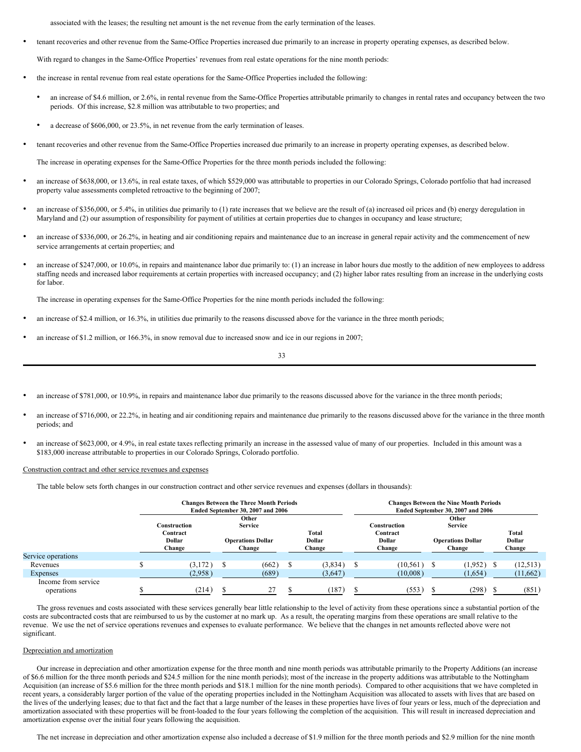associated with the leases; the resulting net amount is the net revenue from the early termination of the leases.

tenant recoveries and other revenue from the Same-Office Properties increased due primarily to an increase in property operating expenses, as described below.

With regard to changes in the Same-Office Properties' revenues from real estate operations for the nine month periods:

- the increase in rental revenue from real estate operations for the Same-Office Properties included the following:
	- an increase of \$4.6 million, or 2.6%, in rental revenue from the Same-Office Properties attributable primarily to changes in rental rates and occupancy between the two periods. Of this increase, \$2.8 million was attributable to two properties; and
	- a decrease of \$606,000, or 23.5%, in net revenue from the early termination of leases.
- tenant recoveries and other revenue from the Same-Office Properties increased due primarily to an increase in property operating expenses, as described below.

The increase in operating expenses for the Same-Office Properties for the three month periods included the following:

- an increase of \$638,000, or 13.6%, in real estate taxes, of which \$529,000 was attributable to properties in our Colorado Springs, Colorado portfolio that had increased property value assessments completed retroactive to the beginning of 2007;
- an increase of \$356,000, or 5.4%, in utilities due primarily to (1) rate increases that we believe are the result of (a) increased oil prices and (b) energy deregulation in Maryland and (2) our assumption of responsibility for payment of utilities at certain properties due to changes in occupancy and lease structure;
- an increase of \$336,000, or 26.2%, in heating and air conditioning repairs and maintenance due to an increase in general repair activity and the commencement of new service arrangements at certain properties; and
- an increase of \$247,000, or 10.0%, in repairs and maintenance labor due primarily to: (1) an increase in labor hours due mostly to the addition of new employees to address staffing needs and increased labor requirements at certain properties with increased occupancy; and (2) higher labor rates resulting from an increase in the underlying costs for labor.

The increase in operating expenses for the Same-Office Properties for the nine month periods included the following:

- an increase of \$2.4 million, or 16.3%, in utilities due primarily to the reasons discussed above for the variance in the three month periods;
- an increase of \$1.2 million, or 166.3%, in snow removal due to increased snow and ice in our regions in 2007;

33

- an increase of \$781,000, or 10.9%, in repairs and maintenance labor due primarily to the reasons discussed above for the variance in the three month periods;
- an increase of \$716,000, or 22.2%, in heating and air conditioning repairs and maintenance due primarily to the reasons discussed above for the variance in the three month periods; and
- an increase of \$623,000, or 4.9%, in real estate taxes reflecting primarily an increase in the assessed value of many of our properties. Included in this amount was a \$183,000 increase attributable to properties in our Colorado Springs, Colorado portfolio.

#### Construction contract and other service revenues and expenses

The table below sets forth changes in our construction contract and other service revenues and expenses (dollars in thousands):

|                                   | <b>Changes Between the Three Month Periods</b><br>Ended September 30, 2007 and 2006 |  |                                                               |   |                           |      |                                                     |               | <b>Changes Between the Nine Month Periods</b><br>Ended September 30, 2007 and 2006 |                                  |
|-----------------------------------|-------------------------------------------------------------------------------------|--|---------------------------------------------------------------|---|---------------------------|------|-----------------------------------------------------|---------------|------------------------------------------------------------------------------------|----------------------------------|
|                                   | Construction<br>Contract<br><b>Dollar</b><br>Change                                 |  | Other<br><b>Service</b><br><b>Operations Dollar</b><br>Change |   | Total<br>Dollar<br>Change |      | Construction<br>Contract<br><b>Dollar</b><br>Change |               | Other<br><b>Service</b><br><b>Operations Dollar</b><br>Change                      | Total<br><b>Dollar</b><br>Change |
| Service operations                |                                                                                     |  |                                                               |   |                           |      |                                                     |               |                                                                                    |                                  |
| Revenues                          | (3,172)                                                                             |  | (662)                                                         | S | (3,834)                   | - \$ | (10, 561)                                           | $\mathcal{P}$ | (1,952)                                                                            | (12, 513)                        |
| Expenses                          | (2,958)                                                                             |  | (689)                                                         |   | (3,647)                   |      | (10,008)                                            |               | (1,654)                                                                            | (11,662)                         |
| Income from service<br>operations | (214)                                                                               |  | 27                                                            |   | (187)                     |      | (553)                                               |               | (298)                                                                              | (851)                            |

The gross revenues and costs associated with these services generally bear little relationship to the level of activity from these operations since a substantial portion of the costs are subcontracted costs that are reimbursed to us by the customer at no mark up. As a result, the operating margins from these operations are small relative to the revenue. We use the net of service operations revenues and expenses to evaluate performance. We believe that the changes in net amounts reflected above were not significant.

#### Depreciation and amortization

Our increase in depreciation and other amortization expense for the three month and nine month periods was attributable primarily to the Property Additions (an increase of \$6.6 million for the three month periods and \$24.5 million for the nine month periods); most of the increase in the property additions was attributable to the Nottingham Acquisition (an increase of \$5.6 million for the three month periods and \$18.1 million for the nine month periods). Compared to other acquisitions that we have completed in recent years, a considerably larger portion of the value of the operating properties included in the Nottingham Acquisition was allocated to assets with lives that are based on the lives of the underlying leases; due to that fact and the fact that a large number of the leases in these properties have lives of four years or less, much of the depreciation and amortization associated with these properties will be front-loaded to the four years following the completion of the acquisition. This will result in increased depreciation and amortization expense over the initial four years following the acquisition.

The net increase in depreciation and other amortization expense also included a decrease of \$1.9 million for the three month periods and \$2.9 million for the nine month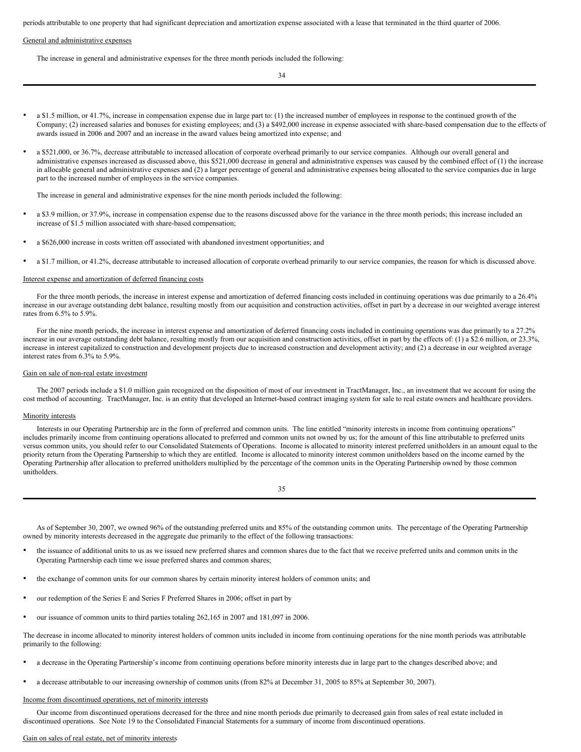periods attributable to one property that had significant depreciation and amortization expense associated with a lease that terminated in the third quarter of 2006.

#### General and administrative expenses

The increase in general and administrative expenses for the three month periods included the following:

34

- a \$1.5 million, or 41.7%, increase in compensation expense due in large part to: (1) the increased number of employees in response to the continued growth of the Company; (2) increased salaries and bonuses for existing employees; and (3) a \$492,000 increase in expense associated with share-based compensation due to the effects of awards issued in 2006 and 2007 and an increase in the award values being amortized into expense; and
- a \$521,000, or 36.7%, decrease attributable to increased allocation of corporate overhead primarily to our service companies. Although our overall general and administrative expenses increased as discussed above, this \$521,000 decrease in general and administrative expenses was caused by the combined effect of (1) the increase in allocable general and administrative expenses and (2) a larger percentage of general and administrative expenses being allocated to the service companies due in large part to the increased number of employees in the service companies.

The increase in general and administrative expenses for the nine month periods included the following:

- a \$3.9 million, or 37.9%, increase in compensation expense due to the reasons discussed above for the variance in the three month periods; this increase included an increase of \$1.5 million associated with share-based compensation;
- a \$626,000 increase in costs written off associated with abandoned investment opportunities; and
- a \$1.7 million, or 41.2%, decrease attributable to increased allocation of corporate overhead primarily to our service companies, the reason for which is discussed above.

#### Interest expense and amortization of deferred financing costs

For the three month periods, the increase in interest expense and amortization of deferred financing costs included in continuing operations was due primarily to a 26.4% increase in our average outstanding debt balance, resulting mostly from our acquisition and construction activities, offset in part by a decrease in our weighted average interest rates from 6.5% to 5.9%.

For the nine month periods, the increase in interest expense and amortization of deferred financing costs included in continuing operations was due primarily to a 27.2% increase in our average outstanding debt balance, resulting mostly from our acquisition and construction activities, offset in part by the effects of: (1) a \$2.6 million, or 23.3%, increase in interest capitalized to construction and development projects due to increased construction and development activity; and (2) a decrease in our weighted average interest rates from 6.3% to 5.9%.

#### Gain on sale of non-real estate investment

The 2007 periods include a \$1.0 million gain recognized on the disposition of most of our investment in TractManager, Inc., an investment that we account for using the cost method of accounting. TractManager, Inc. is an entity that developed an Internet-based contract imaging system for sale to real estate owners and healthcare providers.

#### Minority interests

Interests in our Operating Partnership are in the form of preferred and common units. The line entitled "minority interests in income from continuing operations" includes primarily income from continuing operations allocated to preferred and common units not owned by us; for the amount of this line attributable to preferred units versus common units, you should refer to our Consolidated Statements of Operations. Income is allocated to minority interest preferred unitholders in an amount equal to the priority return from the Operating Partnership to which they are entitled. Income is allocated to minority interest common unitholders based on the income earned by the Operating Partnership after allocation to preferred unitholders multiplied by the percentage of the common units in the Operating Partnership owned by those common unitholders.

35

As of September 30, 2007, we owned 96% of the outstanding preferred units and 85% of the outstanding common units. The percentage of the Operating Partnership owned by minority interests decreased in the aggregate due primarily to the effect of the following transactions:

- the issuance of additional units to us as we issued new preferred shares and common shares due to the fact that we receive preferred units and common units in the Operating Partnership each time we issue preferred shares and common shares;
- the exchange of common units for our common shares by certain minority interest holders of common units; and
- our redemption of the Series E and Series F Preferred Shares in 2006; offset in part by
- our issuance of common units to third parties totaling 262,165 in 2007 and 181,097 in 2006.

The decrease in income allocated to minority interest holders of common units included in income from continuing operations for the nine month periods was attributable primarily to the following:

- a decrease in the Operating Partnership's income from continuing operations before minority interests due in large part to the changes described above; and
- a decrease attributable to our increasing ownership of common units (from 82% at December 31, 2005 to 85% at September 30, 2007).

## Income from discontinued operations, net of minority interests

Our income from discontinued operations decreased for the three and nine month periods due primarily to decreased gain from sales of real estate included in discontinued operations. See Note 19 to the Consolidated Financial Statements for a summary of income from discontinued operations.

#### Gain on sales of real estate, net of minority interests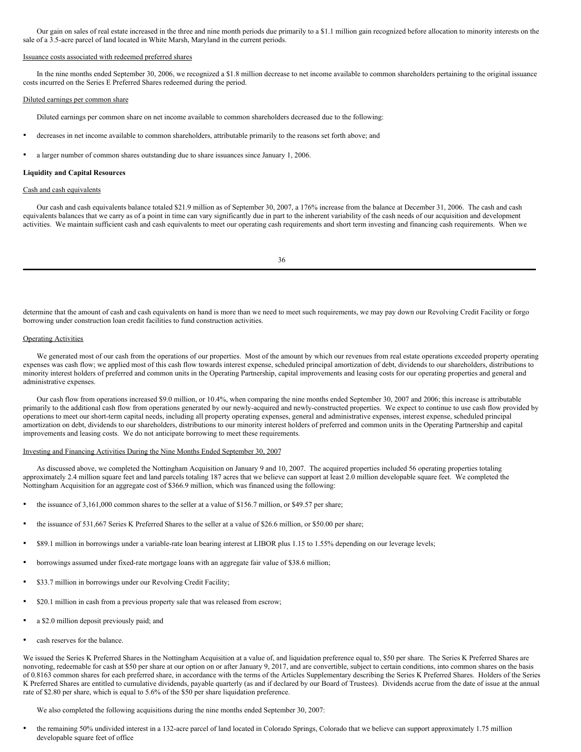Our gain on sales of real estate increased in the three and nine month periods due primarily to a \$1.1 million gain recognized before allocation to minority interests on the sale of a 3.5-acre parcel of land located in White Marsh, Maryland in the current periods.

#### Issuance costs associated with redeemed preferred shares

In the nine months ended September 30, 2006, we recognized a \$1.8 million decrease to net income available to common shareholders pertaining to the original issuance costs incurred on the Series E Preferred Shares redeemed during the period.

#### Diluted earnings per common share

Diluted earnings per common share on net income available to common shareholders decreased due to the following:

- decreases in net income available to common shareholders, attributable primarily to the reasons set forth above; and
- a larger number of common shares outstanding due to share issuances since January 1, 2006.

#### **Liquidity and Capital Resources**

#### Cash and cash equivalents

Our cash and cash equivalents balance totaled \$21.9 million as of September 30, 2007, a 176% increase from the balance at December 31, 2006. The cash and cash equivalents balances that we carry as of a point in time can vary significantly due in part to the inherent variability of the cash needs of our acquisition and development activities. We maintain sufficient cash and cash equivalents to meet our operating cash requirements and short term investing and financing cash requirements. When we

| I<br>×<br>۰. | ٠<br>I<br>I<br>×<br>٧ |
|--------------|-----------------------|

determine that the amount of cash and cash equivalents on hand is more than we need to meet such requirements, we may pay down our Revolving Credit Facility or forgo borrowing under construction loan credit facilities to fund construction activities.

## Operating Activities

We generated most of our cash from the operations of our properties. Most of the amount by which our revenues from real estate operations exceeded property operating expenses was cash flow; we applied most of this cash flow towards interest expense, scheduled principal amortization of debt, dividends to our shareholders, distributions to minority interest holders of preferred and common units in the Operating Partnership, capital improvements and leasing costs for our operating properties and general and administrative expenses.

Our cash flow from operations increased \$9.0 million, or 10.4%, when comparing the nine months ended September 30, 2007 and 2006; this increase is attributable primarily to the additional cash flow from operations generated by our newly-acquired and newly-constructed properties. We expect to continue to use cash flow provided by operations to meet our short-term capital needs, including all property operating expenses, general and administrative expenses, interest expense, scheduled principal amortization on debt, dividends to our shareholders, distributions to our minority interest holders of preferred and common units in the Operating Partnership and capital improvements and leasing costs. We do not anticipate borrowing to meet these requirements.

#### Investing and Financing Activities During the Nine Months Ended September 30, 2007

As discussed above, we completed the Nottingham Acquisition on January 9 and 10, 2007. The acquired properties included 56 operating properties totaling approximately 2.4 million square feet and land parcels totaling 187 acres that we believe can support at least 2.0 million developable square feet. We completed the Nottingham Acquisition for an aggregate cost of \$366.9 million, which was financed using the following:

- the issuance of 3,161,000 common shares to the seller at a value of \$156.7 million, or \$49.57 per share;
- the issuance of 531,667 Series K Preferred Shares to the seller at a value of \$26.6 million, or \$50.00 per share;
- \$89.1 million in borrowings under a variable-rate loan bearing interest at LIBOR plus 1.15 to 1.55% depending on our leverage levels;
- borrowings assumed under fixed-rate mortgage loans with an aggregate fair value of \$38.6 million;
- \$33.7 million in borrowings under our Revolving Credit Facility;
- \$20.1 million in cash from a previous property sale that was released from escrow;
- a \$2.0 million deposit previously paid; and
- cash reserves for the balance.

We issued the Series K Preferred Shares in the Nottingham Acquisition at a value of, and liquidation preference equal to, \$50 per share. The Series K Preferred Shares are nonvoting, redeemable for cash at \$50 per share at our option on or after January 9, 2017, and are convertible, subject to certain conditions, into common shares on the basis of 0.8163 common shares for each preferred share, in accordance with the terms of the Articles Supplementary describing the Series K Preferred Shares. Holders of the Series K Preferred Shares are entitled to cumulative dividends, payable quarterly (as and if declared by our Board of Trustees). Dividends accrue from the date of issue at the annual rate of \$2.80 per share, which is equal to 5.6% of the \$50 per share liquidation preference.

We also completed the following acquisitions during the nine months ended September 30, 2007:

the remaining 50% undivided interest in a 132-acre parcel of land located in Colorado Springs, Colorado that we believe can support approximately 1.75 million developable square feet of office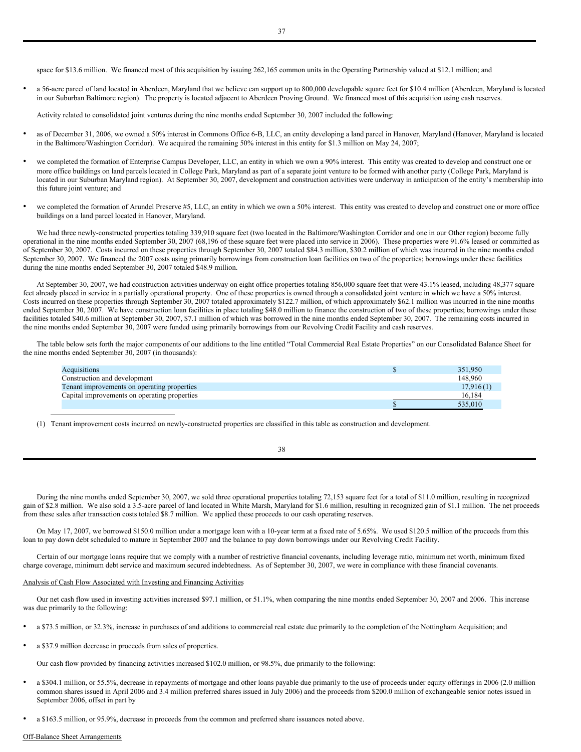space for \$13.6 million. We financed most of this acquisition by issuing 262,165 common units in the Operating Partnership valued at \$12.1 million; and

a 56-acre parcel of land located in Aberdeen, Maryland that we believe can support up to 800,000 developable square feet for \$10.4 million (Aberdeen, Maryland is located in our Suburban Baltimore region). The property is located adjacent to Aberdeen Proving Ground. We financed most of this acquisition using cash reserves.

Activity related to consolidated joint ventures during the nine months ended September 30, 2007 included the following:

- as of December 31, 2006, we owned a 50% interest in Commons Office 6-B, LLC, an entity developing a land parcel in Hanover, Maryland (Hanover, Maryland is located in the Baltimore/Washington Corridor). We acquired the remaining 50% interest in this entity for \$1.3 million on May 24, 2007;
- we completed the formation of Enterprise Campus Developer, LLC, an entity in which we own a 90% interest. This entity was created to develop and construct one or more office buildings on land parcels located in College Park, Maryland as part of a separate joint venture to be formed with another party (College Park, Maryland is located in our Suburban Maryland region). At September 30, 2007, development and construction activities were underway in anticipation of the entity's membership into this future joint venture; and
- we completed the formation of Arundel Preserve #5, LLC, an entity in which we own a 50% interest. This entity was created to develop and construct one or more office buildings on a land parcel located in Hanover, Maryland.

We had three newly-constructed properties totaling 339,910 square feet (two located in the Baltimore/Washington Corridor and one in our Other region) become fully operational in the nine months ended September 30, 2007 (68,196 of these square feet were placed into service in 2006). These properties were 91.6% leased or committed as of September 30, 2007. Costs incurred on these properties through September 30, 2007 totaled \$84.3 million, \$30.2 million of which was incurred in the nine months ended September 30, 2007. We financed the 2007 costs using primarily borrowings from construction loan facilities on two of the properties; borrowings under these facilities during the nine months ended September 30, 2007 totaled \$48.9 million.

At September 30, 2007, we had construction activities underway on eight office properties totaling 856,000 square feet that were 43.1% leased, including 48,377 square feet already placed in service in a partially operational property. One of these properties is owned through a consolidated joint venture in which we have a 50% interest. Costs incurred on these properties through September 30, 2007 totaled approximately \$122.7 million, of which approximately \$62.1 million was incurred in the nine months ended September 30, 2007. We have construction loan facilities in place totaling \$48.0 million to finance the construction of two of these properties; borrowings under these facilities totaled \$40.6 million at September 30, 2007, \$7.1 million of which was borrowed in the nine months ended September 30, 2007. The remaining costs incurred in the nine months ended September 30, 2007 were funded using primarily borrowings from our Revolving Credit Facility and cash reserves.

The table below sets forth the major components of our additions to the line entitled "Total Commercial Real Estate Properties" on our Consolidated Balance Sheet for the nine months ended September 30, 2007 (in thousands):

| Acquisitions                                 | 351.950   |
|----------------------------------------------|-----------|
| Construction and development                 | 148,960   |
| Tenant improvements on operating properties  | 17,916(1) |
| Capital improvements on operating properties | 16.184    |
|                                              | 535,010   |

(1) Tenant improvement costs incurred on newly-constructed properties are classified in this table as construction and development.

| o<br>I<br>$\sim$ | I<br>$\sim$ |
|------------------|-------------|

During the nine months ended September 30, 2007, we sold three operational properties totaling 72,153 square feet for a total of \$11.0 million, resulting in recognized gain of \$2.8 million. We also sold a 3.5-acre parcel of land located in White Marsh, Maryland for \$1.6 million, resulting in recognized gain of \$1.1 million. The net proceeds from these sales after transaction costs totaled \$8.7 million. We applied these proceeds to our cash operating reserves.

On May 17, 2007, we borrowed \$150.0 million under a mortgage loan with a 10-year term at a fixed rate of 5.65%. We used \$120.5 million of the proceeds from this loan to pay down debt scheduled to mature in September 2007 and the balance to pay down borrowings under our Revolving Credit Facility.

Certain of our mortgage loans require that we comply with a number of restrictive financial covenants, including leverage ratio, minimum net worth, minimum fixed charge coverage, minimum debt service and maximum secured indebtedness. As of September 30, 2007, we were in compliance with these financial covenants.

#### Analysis of Cash Flow Associated with Investing and Financing Activities

Our net cash flow used in investing activities increased \$97.1 million, or 51.1%, when comparing the nine months ended September 30, 2007 and 2006. This increase was due primarily to the following:

- a \$73.5 million, or 32.3%, increase in purchases of and additions to commercial real estate due primarily to the completion of the Nottingham Acquisition; and
- a \$37.9 million decrease in proceeds from sales of properties.

Our cash flow provided by financing activities increased \$102.0 million, or 98.5%, due primarily to the following:

- a \$304.1 million, or 55.5%, decrease in repayments of mortgage and other loans payable due primarily to the use of proceeds under equity offerings in 2006 (2.0 million common shares issued in April 2006 and 3.4 million preferred shares issued in July 2006) and the proceeds from \$200.0 million of exchangeable senior notes issued in September 2006, offset in part by
- a \$163.5 million, or 95.9%, decrease in proceeds from the common and preferred share issuances noted above.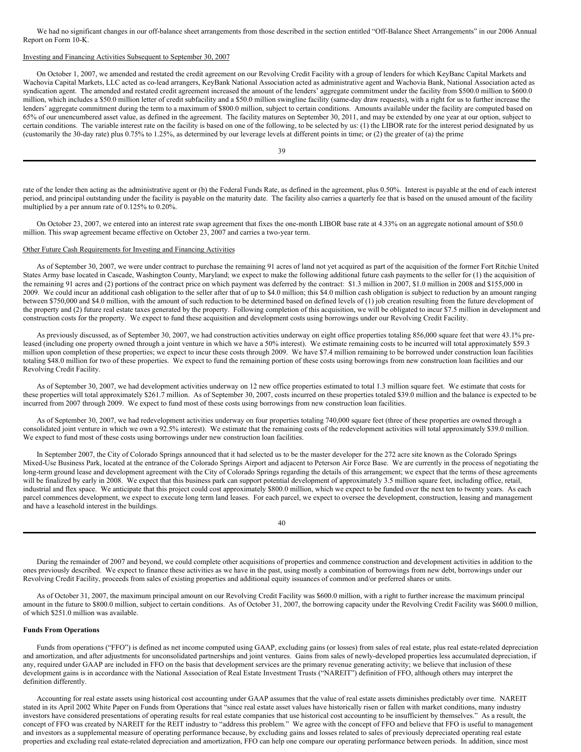We had no significant changes in our off-balance sheet arrangements from those described in the section entitled "Off-Balance Sheet Arrangements" in our 2006 Annual Report on Form 10-K.

## Investing and Financing Activities Subsequent to September 30, 2007

On October 1, 2007, we amended and restated the credit agreement on our Revolving Credit Facility with a group of lenders for which KeyBanc Capital Markets and Wachovia Capital Markets, LLC acted as co-lead arrangers, KeyBank National Association acted as administrative agent and Wachovia Bank, National Association acted as syndication agent. The amended and restated credit agreement increased the amount of the lenders' aggregate commitment under the facility from \$500.0 million to \$600.0 million, which includes a \$50.0 million letter of credit subfacility and a \$50.0 million swingline facility (same-day draw requests), with a right for us to further increase the lenders' aggregate commitment during the term to a maximum of \$800.0 million, subject to certain conditions. Amounts available under the facility are computed based on 65% of our unencumbered asset value, as defined in the agreement. The facility matures on September 30, 2011, and may be extended by one year at our option, subject to certain conditions. The variable interest rate on the facility is based on one of the following, to be selected by us: (1) the LIBOR rate for the interest period designated by us (customarily the 30-day rate) plus 0.75% to 1.25%, as determined by our leverage levels at different points in time; or (2) the greater of (a) the prime

39

rate of the lender then acting as the administrative agent or (b) the Federal Funds Rate, as defined in the agreement, plus 0.50%. Interest is payable at the end of each interest period, and principal outstanding under the facility is payable on the maturity date. The facility also carries a quarterly fee that is based on the unused amount of the facility multiplied by a per annum rate of 0.125% to 0.20%.

On October 23, 2007, we entered into an interest rate swap agreement that fixes the one-month LIBOR base rate at 4.33% on an aggregate notional amount of \$50.0 million. This swap agreement became effective on October 23, 2007 and carries a two-year term.

#### Other Future Cash Requirements for Investing and Financing Activities

As of September 30, 2007, we were under contract to purchase the remaining 91 acres of land not yet acquired as part of the acquisition of the former Fort Ritchie United States Army base located in Cascade, Washington County, Maryland; we expect to make the following additional future cash payments to the seller for (1) the acquisition of the remaining 91 acres and (2) portions of the contract price on which payment was deferred by the contract: \$1.3 million in 2007, \$1.0 million in 2008 and \$155,000 in 2009. We could incur an additional cash obligation to the seller after that of up to \$4.0 million; this \$4.0 million cash obligation is subject to reduction by an amount ranging between \$750,000 and \$4.0 million, with the amount of such reduction to be determined based on defined levels of (1) job creation resulting from the future development of the property and (2) future real estate taxes generated by the property. Following completion of this acquisition, we will be obligated to incur \$7.5 million in development and construction costs for the property. We expect to fund these acquisition and development costs using borrowings under our Revolving Credit Facility.

As previously discussed, as of September 30, 2007, we had construction activities underway on eight office properties totaling 856,000 square feet that were 43.1% preleased (including one property owned through a joint venture in which we have a 50% interest). We estimate remaining costs to be incurred will total approximately \$59.3 million upon completion of these properties; we expect to incur these costs through 2009. We have \$7.4 million remaining to be borrowed under construction loan facilities totaling \$48.0 million for two of these properties. We expect to fund the remaining portion of these costs using borrowings from new construction loan facilities and our Revolving Credit Facility.

As of September 30, 2007, we had development activities underway on 12 new office properties estimated to total 1.3 million square feet. We estimate that costs for these properties will total approximately \$261.7 million. As of September 30, 2007, costs incurred on these properties totaled \$39.0 million and the balance is expected to be incurred from 2007 through 2009. We expect to fund most of these costs using borrowings from new construction loan facilities.

As of September 30, 2007, we had redevelopment activities underway on four properties totaling 740,000 square feet (three of these properties are owned through a consolidated joint venture in which we own a 92.5% interest). We estimate that the remaining costs of the redevelopment activities will total approximately \$39.0 million. We expect to fund most of these costs using borrowings under new construction loan facilities.

In September 2007, the City of Colorado Springs announced that it had selected us to be the master developer for the 272 acre site known as the Colorado Springs Mixed-Use Business Park, located at the entrance of the Colorado Springs Airport and adjacent to Peterson Air Force Base. We are currently in the process of negotiating the long-term ground lease and development agreement with the City of Colorado Springs regarding the details of this arrangement; we expect that the terms of these agreements will be finalized by early in 2008. We expect that this business park can support potential development of approximately 3.5 million square feet, including office, retail, industrial and flex space. We anticipate that this project could cost approximately \$800.0 million, which we expect to be funded over the next ten to twenty years. As each parcel commences development, we expect to execute long term land leases. For each parcel, we expect to oversee the development, construction, leasing and management and have a leasehold interest in the buildings.

During the remainder of 2007 and beyond, we could complete other acquisitions of properties and commence construction and development activities in addition to the ones previously described. We expect to finance these activities as we have in the past, using mostly a combination of borrowings from new debt, borrowings under our Revolving Credit Facility, proceeds from sales of existing properties and additional equity issuances of common and/or preferred shares or units.

As of October 31, 2007, the maximum principal amount on our Revolving Credit Facility was \$600.0 million, with a right to further increase the maximum principal amount in the future to \$800.0 million, subject to certain conditions. As of October 31, 2007, the borrowing capacity under the Revolving Credit Facility was \$600.0 million, of which \$251.0 million was available.

#### **Funds From Operations**

Funds from operations ("FFO") is defined as net income computed using GAAP, excluding gains (or losses) from sales of real estate, plus real estate-related depreciation and amortization, and after adjustments for unconsolidated partnerships and joint ventures. Gains from sales of newly-developed properties less accumulated depreciation, if any, required under GAAP are included in FFO on the basis that development services are the primary revenue generating activity; we believe that inclusion of these development gains is in accordance with the National Association of Real Estate Investment Trusts ("NAREIT") definition of FFO, although others may interpret the definition differently.

Accounting for real estate assets using historical cost accounting under GAAP assumes that the value of real estate assets diminishes predictably over time. NAREIT stated in its April 2002 White Paper on Funds from Operations that "since real estate asset values have historically risen or fallen with market conditions, many industry investors have considered presentations of operating results for real estate companies that use historical cost accounting to be insufficient by themselves." As a result, the concept of FFO was created by NAREIT for the REIT industry to "address this problem." We agree with the concept of FFO and believe that FFO is useful to management and investors as a supplemental measure of operating performance because, by excluding gains and losses related to sales of previously depreciated operating real estate properties and excluding real estate-related depreciation and amortization, FFO can help one compare our operating performance between periods. In addition, since most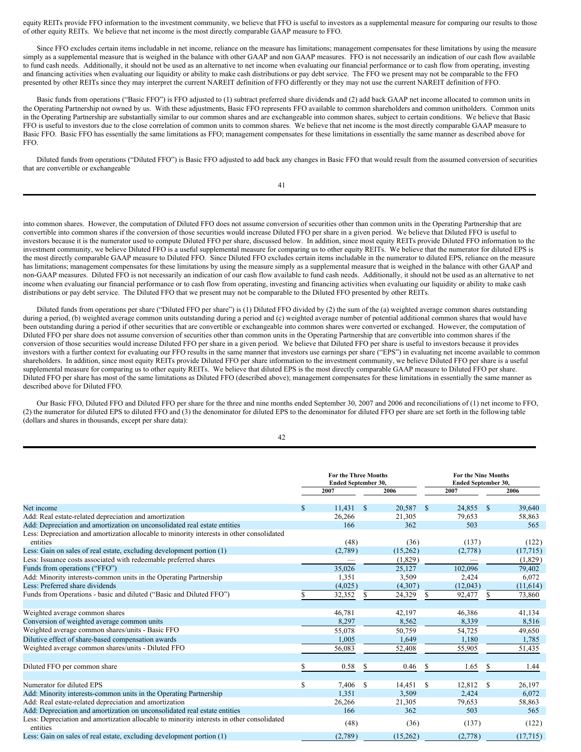equity REITs provide FFO information to the investment community, we believe that FFO is useful to investors as a supplemental measure for comparing our results to those of other equity REITs. We believe that net income is the most directly comparable GAAP measure to FFO.

Since FFO excludes certain items includable in net income, reliance on the measure has limitations; management compensates for these limitations by using the measure simply as a supplemental measure that is weighed in the balance with other GAAP and non GAAP measures. FFO is not necessarily an indication of our cash flow available to fund cash needs. Additionally, it should not be used as an alternative to net income when evaluating our financial performance or to cash flow from operating, investing and financing activities when evaluating our liquidity or ability to make cash distributions or pay debt service. The FFO we present may not be comparable to the FFO presented by other REITs since they may interpret the current NAREIT definition of FFO differently or they may not use the current NAREIT definition of FFO.

Basic funds from operations ("Basic FFO") is FFO adjusted to (1) subtract preferred share dividends and (2) add back GAAP net income allocated to common units in the Operating Partnership not owned by us. With these adjustments, Basic FFO represents FFO available to common shareholders and common unitholders. Common units in the Operating Partnership are substantially similar to our common shares and are exchangeable into common shares, subject to certain conditions. We believe that Basic FFO is useful to investors due to the close correlation of common units to common shares. We believe that net income is the most directly comparable GAAP measure to Basic FFO. Basic FFO has essentially the same limitations as FFO; management compensates for these limitations in essentially the same manner as described above for FFO.

Diluted funds from operations ("Diluted FFO") is Basic FFO adjusted to add back any changes in Basic FFO that would result from the assumed conversion of securities that are convertible or exchangeable

| ٦<br>٠ |  |
|--------|--|
|        |  |

into common shares. However, the computation of Diluted FFO does not assume conversion of securities other than common units in the Operating Partnership that are convertible into common shares if the conversion of those securities would increase Diluted FFO per share in a given period. We believe that Diluted FFO is useful to investors because it is the numerator used to compute Diluted FFO per share, discussed below. In addition, since most equity REITs provide Diluted FFO information to the investment community, we believe Diluted FFO is a useful supplemental measure for comparing us to other equity REITs. We believe that the numerator for diluted EPS is the most directly comparable GAAP measure to Diluted FFO. Since Diluted FFO excludes certain items includable in the numerator to diluted EPS, reliance on the measure has limitations; management compensates for these limitations by using the measure simply as a supplemental measure that is weighed in the balance with other GAAP and non-GAAP measures. Diluted FFO is not necessarily an indication of our cash flow available to fund cash needs. Additionally, it should not be used as an alternative to net income when evaluating our financial performance or to cash flow from operating, investing and financing activities when evaluating our liquidity or ability to make cash distributions or pay debt service. The Diluted FFO that we present may not be comparable to the Diluted FFO presented by other REITs.

Diluted funds from operations per share ("Diluted FFO per share") is (1) Diluted FFO divided by (2) the sum of the (a) weighted average common shares outstanding during a period, (b) weighted average common units outstanding during a period and (c) weighted average number of potential additional common shares that would have been outstanding during a period if other securities that are convertible or exchangeable into common shares were converted or exchanged. However, the computation of Diluted FFO per share does not assume conversion of securities other than common units in the Operating Partnership that are convertible into common shares if the conversion of those securities would increase Diluted FFO per share in a given period. We believe that Diluted FFO per share is useful to investors because it provides investors with a further context for evaluating our FFO results in the same manner that investors use earnings per share ("EPS") in evaluating net income available to common shareholders. In addition, since most equity REITs provide Diluted FFO per share information to the investment community, we believe Diluted FFO per share is a useful supplemental measure for comparing us to other equity REITs. We believe that diluted EPS is the most directly comparable GAAP measure to Diluted FFO per share. Diluted FFO per share has most of the same limitations as Diluted FFO (described above); management compensates for these limitations in essentially the same manner as described above for Diluted FFO.

Our Basic FFO, Diluted FFO and Diluted FFO per share for the three and nine months ended September 30, 2007 and 2006 and reconciliations of (1) net income to FFO, (2) the numerator for diluted EPS to diluted FFO and (3) the denominator for diluted EPS to the denominator for diluted FFO per share are set forth in the following table (dollars and shares in thousands, except per share data):

| ٦<br>ı |  |
|--------|--|
|        |  |
|        |  |

|                                                                                                       | <b>For the Three Months</b><br>Ended September 30, |         |              |          | For the Nine Months<br>Ended September 30, |          |               |           |
|-------------------------------------------------------------------------------------------------------|----------------------------------------------------|---------|--------------|----------|--------------------------------------------|----------|---------------|-----------|
|                                                                                                       |                                                    | 2007    |              | 2006     |                                            | 2007     |               | 2006      |
| Net income                                                                                            | S.                                                 | 11,431  | $\mathbb{S}$ | 20.587   | -S                                         | 24,855   | <sup>\$</sup> | 39,640    |
| Add: Real estate-related depreciation and amortization                                                |                                                    | 26,266  |              | 21,305   |                                            | 79,653   |               | 58,863    |
| Add: Depreciation and amortization on unconsolidated real estate entities                             |                                                    | 166     |              | 362      |                                            | 503      |               | 565       |
| Less: Depreciation and amortization allocable to minority interests in other consolidated<br>entities |                                                    |         |              |          |                                            |          |               |           |
|                                                                                                       |                                                    | (48)    |              | (36)     |                                            | (137)    |               | (122)     |
| Less: Gain on sales of real estate, excluding development portion (1)                                 |                                                    | (2,789) |              | (15,262) |                                            | (2,778)  |               | (17,715)  |
| Less: Issuance costs associated with redeemable preferred shares                                      |                                                    |         |              | (1,829)  |                                            |          |               | (1,829)   |
| Funds from operations ("FFO")                                                                         |                                                    | 35,026  |              | 25,127   |                                            | 102,096  |               | 79,402    |
| Add: Minority interests-common units in the Operating Partnership<br>Less: Preferred share dividends  |                                                    | 1,351   |              | 3,509    |                                            | 2,424    |               | 6,072     |
|                                                                                                       |                                                    | (4,025) |              | (4,307)  |                                            | (12,043) |               | (11, 614) |
| Funds from Operations - basic and diluted ("Basic and Diluted FFO")                                   |                                                    | 32,352  | \$           | 24,329   | <sup>\$</sup>                              | 92,477   | S             | 73,860    |
|                                                                                                       |                                                    |         |              |          |                                            |          |               |           |
| Weighted average common shares                                                                        |                                                    | 46,781  |              | 42,197   |                                            | 46,386   |               | 41,134    |
| Conversion of weighted average common units                                                           |                                                    | 8,297   |              | 8,562    |                                            | 8,339    |               | 8,516     |
| Weighted average common shares/units - Basic FFO                                                      |                                                    | 55,078  |              | 50,759   |                                            | 54,725   |               | 49,650    |
| Dilutive effect of share-based compensation awards                                                    |                                                    | 1,005   |              | 1,649    |                                            | 1,180    |               | 1,785     |
| Weighted average common shares/units - Diluted FFO                                                    |                                                    | 56,083  |              | 52,408   |                                            | 55,905   |               | 51,435    |
|                                                                                                       |                                                    |         |              |          |                                            |          |               |           |
| Diluted FFO per common share                                                                          |                                                    | 0.58    | S            | 0.46     | -S                                         | 1.65     | <b>S</b>      | 1.44      |
|                                                                                                       |                                                    |         |              |          |                                            |          |               |           |
| Numerator for diluted EPS                                                                             | \$                                                 | 7,406   | \$           | 14,451   | -S                                         | 12,812   | S             | 26,197    |
| Add: Minority interests-common units in the Operating Partnership                                     |                                                    | 1,351   |              | 3,509    |                                            | 2,424    |               | 6,072     |
| Add: Real estate-related depreciation and amortization                                                |                                                    | 26,266  |              | 21,305   |                                            | 79,653   |               | 58,863    |
| Add: Depreciation and amortization on unconsolidated real estate entities                             |                                                    | 166     |              | 362      |                                            | 503      |               | 565       |
| Less: Depreciation and amortization allocable to minority interests in other consolidated<br>entities |                                                    | (48)    |              | (36)     |                                            | (137)    |               | (122)     |
| Less: Gain on sales of real estate, excluding development portion (1)                                 |                                                    | (2,789) |              | (15,262) |                                            | (2,778)  |               | (17,715)  |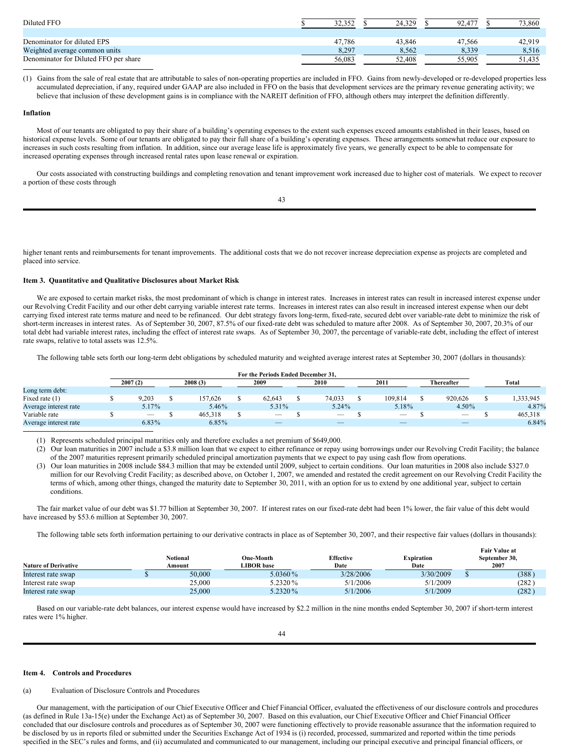| Diluted FFO                           | 32.352 | 24.329 | 92.47  | 73,860 |
|---------------------------------------|--------|--------|--------|--------|
| Denominator for diluted EPS           | 47.786 | 43.846 | 47.566 | 42,919 |
| Weighted average common units         | 8.297  | 8.562  | 8.339  | 8,516  |
| Denominator for Diluted FFO per share | 56.083 | 52,408 | 55.905 | 51.435 |

(1) Gains from the sale of real estate that are attributable to sales of non-operating properties are included in FFO. Gains from newly-developed or re-developed properties less accumulated depreciation, if any, required under GAAP are also included in FFO on the basis that development services are the primary revenue generating activity; we believe that inclusion of these development gains is in compliance with the NAREIT definition of FFO, although others may interpret the definition differently.

#### **Inflation**

Most of our tenants are obligated to pay their share of a building's operating expenses to the extent such expenses exceed amounts established in their leases, based on historical expense levels. Some of our tenants are obligated to pay their full share of a building's operating expenses. These arrangements somewhat reduce our exposure to increases in such costs resulting from inflation. In addition, since our average lease life is approximately five years, we generally expect to be able to compensate for increased operating expenses through increased rental rates upon lease renewal or expiration.

Our costs associated with constructing buildings and completing renovation and tenant improvement work increased due to higher cost of materials. We expect to recover a portion of these costs through

<span id="page-26-0"></span>

| ٦ |                  |
|---|------------------|
|   | I<br>I<br>×<br>v |

higher tenant rents and reimbursements for tenant improvements. The additional costs that we do not recover increase depreciation expense as projects are completed and placed into service.

## **Item 3. Quantitative and Qualitative Disclosures about Market Risk**

We are exposed to certain market risks, the most predominant of which is change in interest rates. Increases in interest rates can result in increased interest expense under our Revolving Credit Facility and our other debt carrying variable interest rate terms. Increases in interest rates can also result in increased interest expense when our debt carrying fixed interest rate terms mature and need to be refinanced. Our debt strategy favors long-term, fixed-rate, secured debt over variable-rate debt to minimize the risk of short-term increases in interest rates. As of September 30, 2007, 87.5% of our fixed-rate debt was scheduled to mature after 2008. As of September 30, 2007, 20.3% of our total debt had variable interest rates, including the effect of interest rate swaps. As of September 30, 2007, the percentage of variable-rate debt, including the effect of interest rate swaps, relative to total assets was 12.5%.

The following table sets forth our long-term debt obligations by scheduled maturity and weighted average interest rates at September 30, 2007 (dollars in thousands):

|                       |                          |         | For the Periods Ended December 31. |        |                          |                          |          |
|-----------------------|--------------------------|---------|------------------------------------|--------|--------------------------|--------------------------|----------|
|                       | 2007(2)                  | 2008(3) | 2009                               | 2010   | 2011                     | Thereafter               | Total    |
| Long term debt:       |                          |         |                                    |        |                          |                          |          |
| Fixed rate (1)        | 9.203                    | 157.626 | 62.643                             | 74,033 | 109.814                  | 920,626                  | .333,945 |
| Average interest rate | 5.17%                    | 5.46%   | 5.31%                              | 5.24%  | 5.18%                    | 4.50%                    | 4.87%    |
| Variable rate         | $\overline{\phantom{m}}$ | 465,318 | $\overline{\phantom{m}}$           |        | $\overline{\phantom{m}}$ | $\overline{\phantom{a}}$ | 465.318  |
| Average interest rate | 6.83%                    | 6.85%   |                                    |        |                          |                          | 6.84%    |

(1) Represents scheduled principal maturities only and therefore excludes a net premium of \$649,000.

(2) Our loan maturities in 2007 include a \$3.8 million loan that we expect to either refinance or repay using borrowings under our Revolving Credit Facility; the balance of the 2007 maturities represent primarily scheduled principal amortization payments that we expect to pay using cash flow from operations.

(3) Our loan maturities in 2008 include \$84.3 million that may be extended until 2009, subject to certain conditions. Our loan maturities in 2008 also include \$327.0 million for our Revolving Credit Facility; as described above, on October 1, 2007, we amended and restated the credit agreement on our Revolving Credit Facility the terms of which, among other things, changed the maturity date to September 30, 2011, with an option for us to extend by one additional year, subject to certain conditions.

The fair market value of our debt was \$1.77 billion at September 30, 2007. If interest rates on our fixed-rate debt had been 1% lower, the fair value of this debt would have increased by \$53.6 million at September 30, 2007.

The following table sets forth information pertaining to our derivative contracts in place as of September 30, 2007, and their respective fair values (dollars in thousands):

| <b>Nature of Derivative</b> | Notional<br>Amount | One-Month<br><b>LIBOR</b> base | <b>Effective</b><br>Date | <b>Expiration</b><br>Date | <b>Fair Value at</b><br>September 30,<br>2007 |
|-----------------------------|--------------------|--------------------------------|--------------------------|---------------------------|-----------------------------------------------|
| Interest rate swap          | 50,000             | 5.0360%                        | 3/28/2006                | 3/30/2009                 | (388)                                         |
| Interest rate swap          | 25,000             | 5.2320%                        | 5/1/2006                 | 5/1/2009                  | (282)                                         |
| Interest rate swap          | 25,000             | 5.2320%                        | 5/1/2006                 | 5/1/2009                  | $(282)$ <sup>-</sup>                          |

Based on our variable-rate debt balances, our interest expense would have increased by \$2.2 million in the nine months ended September 30, 2007 if short-term interest rates were 1% higher.

#### <span id="page-26-1"></span>**Item 4. Controls and Procedures**

#### (a) Evaluation of Disclosure Controls and Procedures

Our management, with the participation of our Chief Executive Officer and Chief Financial Officer, evaluated the effectiveness of our disclosure controls and procedures (as defined in Rule 13a-15(e) under the Exchange Act) as of September 30, 2007. Based on this evaluation, our Chief Executive Officer and Chief Financial Officer concluded that our disclosure controls and procedures as of September 30, 2007 were functioning effectively to provide reasonable assurance that the information required to be disclosed by us in reports filed or submitted under the Securities Exchange Act of 1934 is (i) recorded, processed, summarized and reported within the time periods specified in the SEC's rules and forms, and (ii) accumulated and communicated to our management, including our principal executive and principal financial officers, or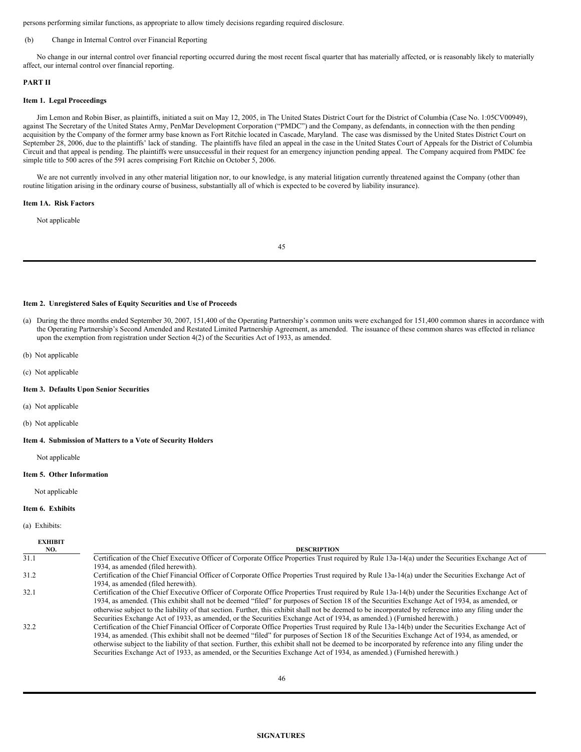persons performing similar functions, as appropriate to allow timely decisions regarding required disclosure.

## (b) Change in Internal Control over Financial Reporting

No change in our internal control over financial reporting occurred during the most recent fiscal quarter that has materially affected, or is reasonably likely to materially affect, our internal control over financial reporting.

#### <span id="page-27-0"></span>**PART II**

#### <span id="page-27-1"></span>**Item 1. Legal Proceedings**

Jim Lemon and Robin Biser, as plaintiffs, initiated a suit on May 12, 2005, in The United States District Court for the District of Columbia (Case No. 1:05CV00949), against The Secretary of the United States Army, PenMar Development Corporation ("PMDC") and the Company, as defendants, in connection with the then pending acquisition by the Company of the former army base known as Fort Ritchie located in Cascade, Maryland. The case was dismissed by the United States District Court on September 28, 2006, due to the plaintiffs' lack of standing. The plaintiffs have filed an appeal in the case in the United States Court of Appeals for the District of Columbia Circuit and that appeal is pending. The plaintiffs were unsuccessful in their request for an emergency injunction pending appeal. The Company acquired from PMDC fee simple title to 500 acres of the 591 acres comprising Fort Ritchie on October 5, 2006.

We are not currently involved in any other material litigation nor, to our knowledge, is any material litigation currently threatened against the Company (other than routine litigation arising in the ordinary course of business, substantially all of which is expected to be covered by liability insurance).

#### **Item 1A. Risk Factors**

<span id="page-27-2"></span>Not applicable

<span id="page-27-3"></span>45

## **Item 2. Unregistered Sales of Equity Securities and Use of Proceeds**

- (a) During the three months ended September 30, 2007, 151,400 of the Operating Partnership's common units were exchanged for 151,400 common shares in accordance with the Operating Partnership's Second Amended and Restated Limited Partnership Agreement, as amended. The issuance of these common shares was effected in reliance upon the exemption from registration under Section 4(2) of the Securities Act of 1933, as amended.
- (b) Not applicable
- (c) Not applicable

#### <span id="page-27-4"></span>**Item 3. Defaults Upon Senior Securities**

(a) Not applicable

(b) Not applicable

#### **Item 4. Submission of Matters to a Vote of Security Holders**

<span id="page-27-6"></span><span id="page-27-5"></span>Not applicable

#### **Item 5. Other Information**

<span id="page-27-7"></span>Not applicable

#### **Item 6. Exhibits**

(a) Exhibits:

<span id="page-27-8"></span>

| NO.  | <b>DESCRIPTION</b>                                                                                                                                      |
|------|---------------------------------------------------------------------------------------------------------------------------------------------------------|
| 31.1 | Certification of the Chief Executive Officer of Corporate Office Properties Trust required by Rule 13a-14(a) under the Securities Exchange Act of       |
|      | 1934, as amended (filed herewith).                                                                                                                      |
| 31.2 | Certification of the Chief Financial Officer of Corporate Office Properties Trust required by Rule 13a-14(a) under the Securities Exchange Act of       |
|      | 1934, as amended (filed herewith).                                                                                                                      |
| 32.1 | Certification of the Chief Executive Officer of Corporate Office Properties Trust required by Rule 13a-14(b) under the Securities Exchange Act of       |
|      | 1934, as amended. (This exhibit shall not be deemed "filed" for purposes of Section 18 of the Securities Exchange Act of 1934, as amended, or           |
|      | otherwise subject to the liability of that section. Further, this exhibit shall not be deemed to be incorporated by reference into any filing under the |
|      | Securities Exchange Act of 1933, as amended, or the Securities Exchange Act of 1934, as amended.) (Furnished herewith.)                                 |
| 32.2 | Certification of the Chief Financial Officer of Corporate Office Properties Trust required by Rule 13a-14(b) under the Securities Exchange Act of       |
|      | 1934, as amended. (This exhibit shall not be deemed "filed" for purposes of Section 18 of the Securities Exchange Act of 1934, as amended, or           |
|      | otherwise subject to the liability of that section. Further, this exhibit shall not be deemed to be incorporated by reference into any filing under the |
|      | Securities Exchange Act of 1933, as amended, or the Securities Exchange Act of 1934, as amended.) (Furnished herewith.)                                 |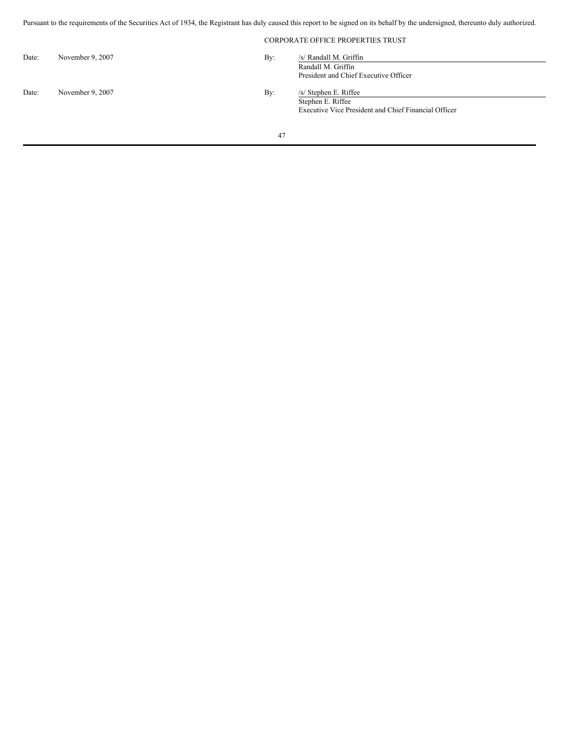Pursuant to the requirements of the Securities Act of 1934, the Registrant has duly caused this report to be signed on its behalf by the undersigned, thereunto duly authorized.

|       |                  | <b>CORPORATE OFFICE PROPERTIES TRUST</b> |                                                                                                    |  |  |
|-------|------------------|------------------------------------------|----------------------------------------------------------------------------------------------------|--|--|
| Date: | November 9, 2007 | By:                                      | /s/ Randall M. Griffin<br>Randall M. Griffin<br>President and Chief Executive Officer              |  |  |
| Date: | November 9, 2007 | By:                                      | /s/ Stephen E. Riffee<br>Stephen E. Riffee<br>Executive Vice President and Chief Financial Officer |  |  |
|       |                  | 47                                       |                                                                                                    |  |  |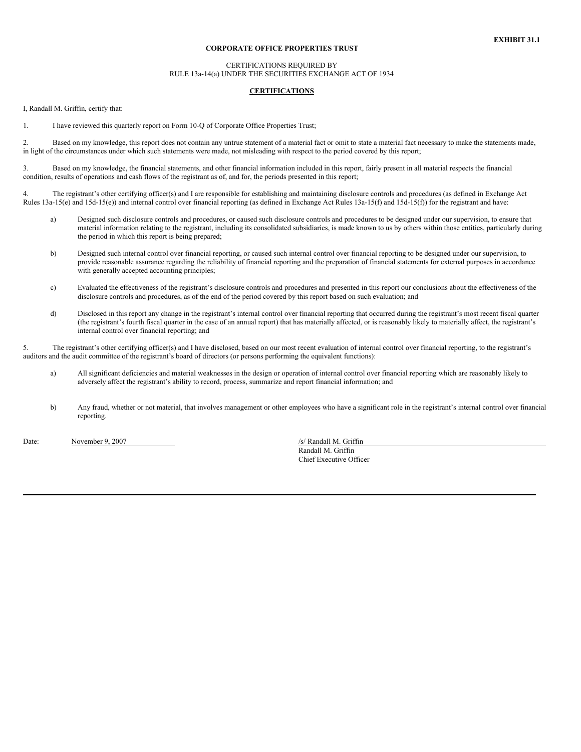## CERTIFICATIONS REQUIRED BY RULE 13a-14(a) UNDER THE SECURITIES EXCHANGE ACT OF 1934

#### **CERTIFICATIONS**

I, Randall M. Griffin, certify that:

1. I have reviewed this quarterly report on Form 10-Q of Corporate Office Properties Trust;

2. Based on my knowledge, this report does not contain any untrue statement of a material fact or omit to state a material fact necessary to make the statements made, in light of the circumstances under which such statements were made, not misleading with respect to the period covered by this report;

3. Based on my knowledge, the financial statements, and other financial information included in this report, fairly present in all material respects the financial condition, results of operations and cash flows of the registrant as of, and for, the periods presented in this report;

4. The registrant's other certifying officer(s) and I are responsible for establishing and maintaining disclosure controls and procedures (as defined in Exchange Act Rules 13a-15(e) and 15d-15(e)) and internal control over financial reporting (as defined in Exchange Act Rules 13a-15(f) and 15d-15(f)) for the registrant and have:

- a) Designed such disclosure controls and procedures, or caused such disclosure controls and procedures to be designed under our supervision, to ensure that material information relating to the registrant, including its consolidated subsidiaries, is made known to us by others within those entities, particularly during the period in which this report is being prepared;
- b) Designed such internal control over financial reporting, or caused such internal control over financial reporting to be designed under our supervision, to provide reasonable assurance regarding the reliability of financial reporting and the preparation of financial statements for external purposes in accordance with generally accepted accounting principles;
- c) Evaluated the effectiveness of the registrant's disclosure controls and procedures and presented in this report our conclusions about the effectiveness of the disclosure controls and procedures, as of the end of the period covered by this report based on such evaluation; and
- d) Disclosed in this report any change in the registrant's internal control over financial reporting that occurred during the registrant's most recent fiscal quarter (the registrant's fourth fiscal quarter in the case of an annual report) that has materially affected, or is reasonably likely to materially affect, the registrant's internal control over financial reporting; and

5. The registrant's other certifying officer(s) and I have disclosed, based on our most recent evaluation of internal control over financial reporting, to the registrant's auditors and the audit committee of the registrant's board of directors (or persons performing the equivalent functions):

- a) All significant deficiencies and material weaknesses in the design or operation of internal control over financial reporting which are reasonably likely to adversely affect the registrant's ability to record, process, summarize and report financial information; and
- b) Any fraud, whether or not material, that involves management or other employees who have a significant role in the registrant's internal control over financial reporting.

Date: November 9, 2007 /s/ Randall M. Griffin

Randall M. Griffin Chief Executive Officer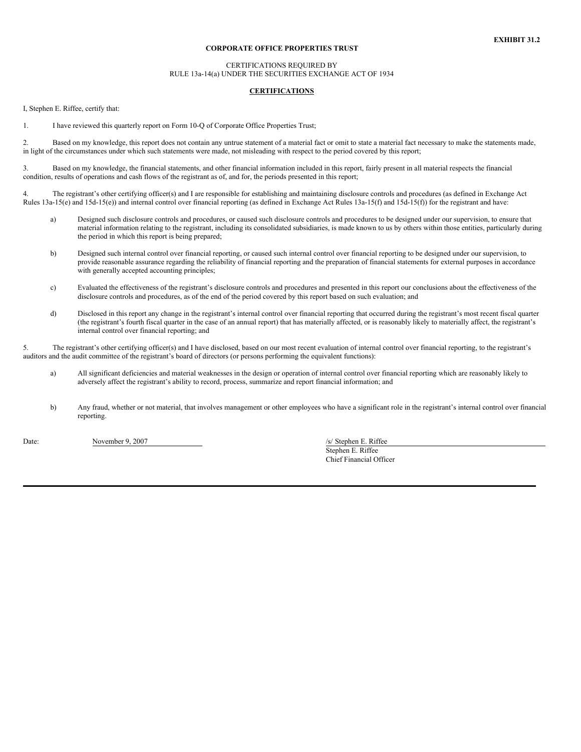## CERTIFICATIONS REQUIRED BY RULE 13a-14(a) UNDER THE SECURITIES EXCHANGE ACT OF 1934

#### **CERTIFICATIONS**

I, Stephen E. Riffee, certify that:

1. I have reviewed this quarterly report on Form 10-Q of Corporate Office Properties Trust;

2. Based on my knowledge, this report does not contain any untrue statement of a material fact or omit to state a material fact necessary to make the statements made, in light of the circumstances under which such statements were made, not misleading with respect to the period covered by this report;

3. Based on my knowledge, the financial statements, and other financial information included in this report, fairly present in all material respects the financial condition, results of operations and cash flows of the registrant as of, and for, the periods presented in this report;

4. The registrant's other certifying officer(s) and I are responsible for establishing and maintaining disclosure controls and procedures (as defined in Exchange Act Rules 13a-15(e) and 15d-15(e)) and internal control over financial reporting (as defined in Exchange Act Rules 13a-15(f) and 15d-15(f)) for the registrant and have:

- a) Designed such disclosure controls and procedures, or caused such disclosure controls and procedures to be designed under our supervision, to ensure that material information relating to the registrant, including its consolidated subsidiaries, is made known to us by others within those entities, particularly during the period in which this report is being prepared;
- b) Designed such internal control over financial reporting, or caused such internal control over financial reporting to be designed under our supervision, to provide reasonable assurance regarding the reliability of financial reporting and the preparation of financial statements for external purposes in accordance with generally accepted accounting principles;
- c) Evaluated the effectiveness of the registrant's disclosure controls and procedures and presented in this report our conclusions about the effectiveness of the disclosure controls and procedures, as of the end of the period covered by this report based on such evaluation; and
- d) Disclosed in this report any change in the registrant's internal control over financial reporting that occurred during the registrant's most recent fiscal quarter (the registrant's fourth fiscal quarter in the case of an annual report) that has materially affected, or is reasonably likely to materially affect, the registrant's internal control over financial reporting; and

5. The registrant's other certifying officer(s) and I have disclosed, based on our most recent evaluation of internal control over financial reporting, to the registrant's auditors and the audit committee of the registrant's board of directors (or persons performing the equivalent functions):

- a) All significant deficiencies and material weaknesses in the design or operation of internal control over financial reporting which are reasonably likely to adversely affect the registrant's ability to record, process, summarize and report financial information; and
- b) Any fraud, whether or not material, that involves management or other employees who have a significant role in the registrant's internal control over financial reporting.

Date: November 9, 2007 /s/ Stephen E. Riffee

Stephen E. Riffee Chief Financial Officer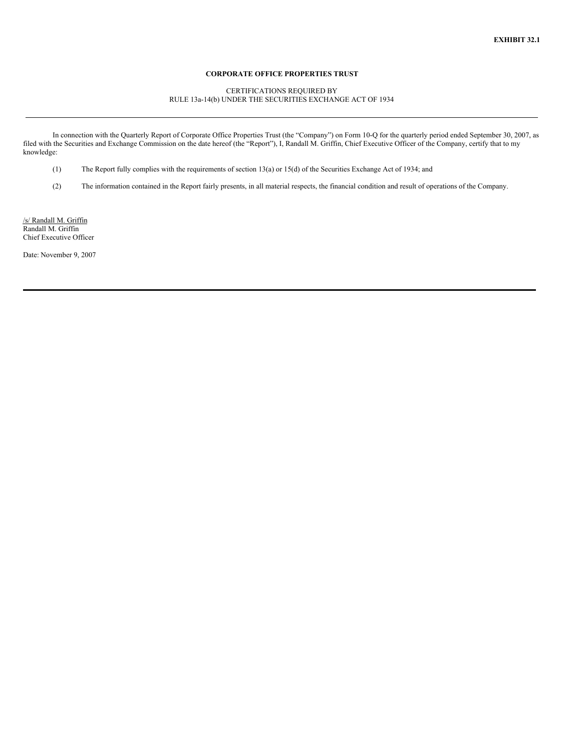## CERTIFICATIONS REQUIRED BY RULE 13a-14(b) UNDER THE SECURITIES EXCHANGE ACT OF 1934

In connection with the Quarterly Report of Corporate Office Properties Trust (the "Company") on Form 10-Q for the quarterly period ended September 30, 2007, as filed with the Securities and Exchange Commission on the date hereof (the "Report"), I, Randall M. Griffin, Chief Executive Officer of the Company, certify that to my knowledge:

(1) The Report fully complies with the requirements of section 13(a) or 15(d) of the Securities Exchange Act of 1934; and

(2) The information contained in the Report fairly presents, in all material respects, the financial condition and result of operations of the Company.

/s/ Randall M. Griffin Randall M. Griffin Chief Executive Officer

Date: November 9, 2007